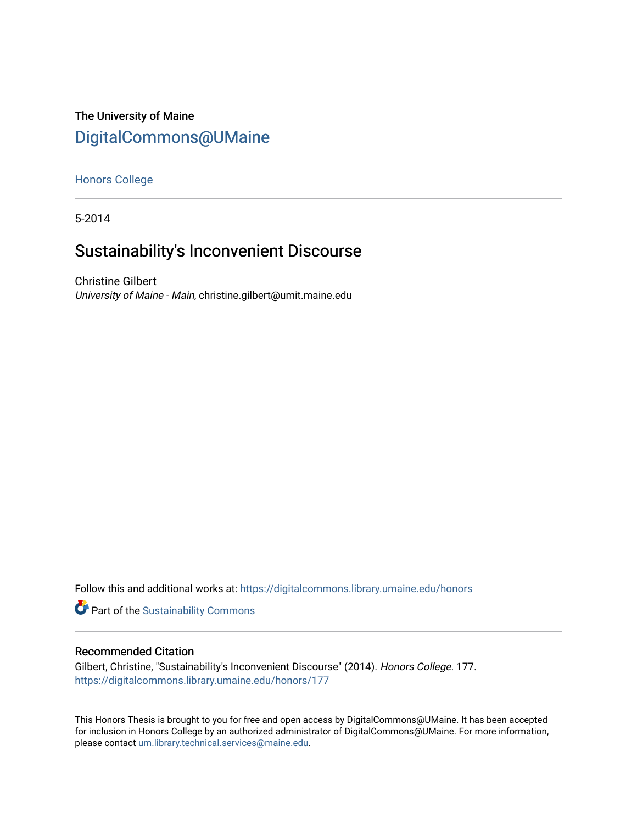# The University of Maine [DigitalCommons@UMaine](https://digitalcommons.library.umaine.edu/)

### [Honors College](https://digitalcommons.library.umaine.edu/honors)

5-2014

# Sustainability's Inconvenient Discourse

Christine Gilbert University of Maine - Main, christine.gilbert@umit.maine.edu

Follow this and additional works at: [https://digitalcommons.library.umaine.edu/honors](https://digitalcommons.library.umaine.edu/honors?utm_source=digitalcommons.library.umaine.edu%2Fhonors%2F177&utm_medium=PDF&utm_campaign=PDFCoverPages) 

Part of the [Sustainability Commons](http://network.bepress.com/hgg/discipline/1031?utm_source=digitalcommons.library.umaine.edu%2Fhonors%2F177&utm_medium=PDF&utm_campaign=PDFCoverPages)

## Recommended Citation

Gilbert, Christine, "Sustainability's Inconvenient Discourse" (2014). Honors College. 177. [https://digitalcommons.library.umaine.edu/honors/177](https://digitalcommons.library.umaine.edu/honors/177?utm_source=digitalcommons.library.umaine.edu%2Fhonors%2F177&utm_medium=PDF&utm_campaign=PDFCoverPages) 

This Honors Thesis is brought to you for free and open access by DigitalCommons@UMaine. It has been accepted for inclusion in Honors College by an authorized administrator of DigitalCommons@UMaine. For more information, please contact [um.library.technical.services@maine.edu.](mailto:um.library.technical.services@maine.edu)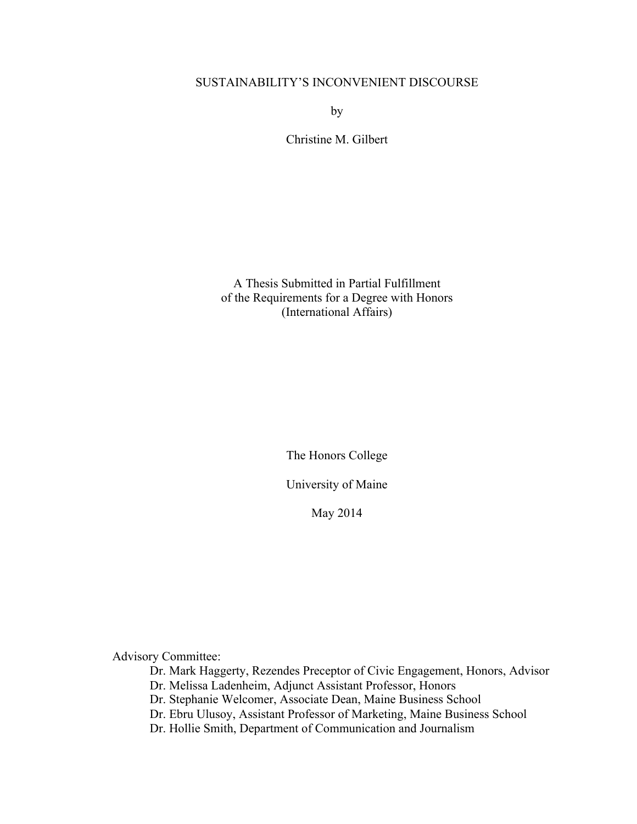## SUSTAINABILITY'S INCONVENIENT DISCOURSE

by

Christine M. Gilbert

A Thesis Submitted in Partial Fulfillment of the Requirements for a Degree with Honors (International Affairs)

The Honors College

University of Maine

May 2014

Advisory Committee:

Dr. Mark Haggerty, Rezendes Preceptor of Civic Engagement, Honors, Advisor

Dr. Melissa Ladenheim, Adjunct Assistant Professor, Honors

Dr. Stephanie Welcomer, Associate Dean, Maine Business School

Dr. Ebru Ulusoy, Assistant Professor of Marketing, Maine Business School

Dr. Hollie Smith, Department of Communication and Journalism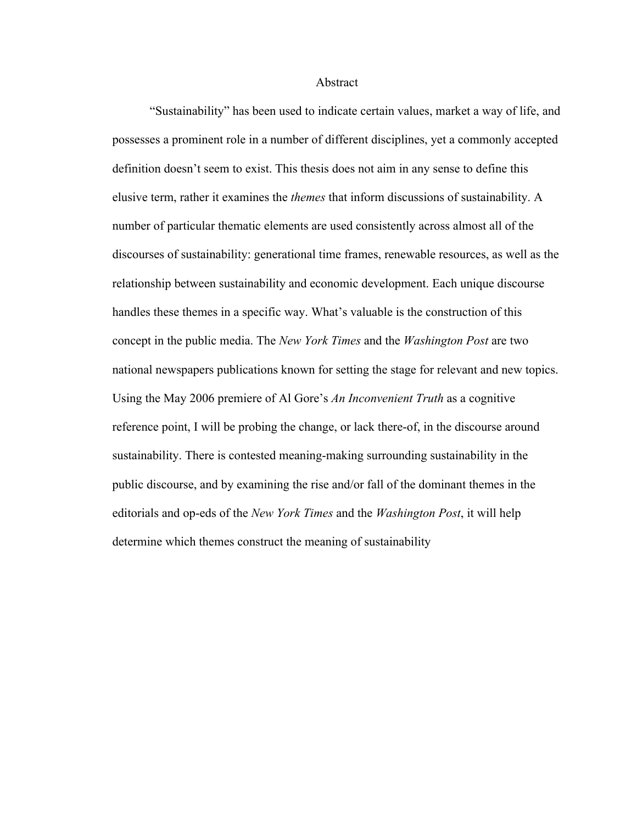Abstract

"Sustainability" has been used to indicate certain values, market a way of life, and possesses a prominent role in a number of different disciplines, yet a commonly accepted definition doesn't seem to exist. This thesis does not aim in any sense to define this elusive term, rather it examines the *themes* that inform discussions of sustainability. A number of particular thematic elements are used consistently across almost all of the discourses of sustainability: generational time frames, renewable resources, as well as the relationship between sustainability and economic development. Each unique discourse handles these themes in a specific way. What's valuable is the construction of this concept in the public media. The *New York Times* and the *Washington Post* are two national newspapers publications known for setting the stage for relevant and new topics. Using the May 2006 premiere of Al Gore's *An Inconvenient Truth* as a cognitive reference point, I will be probing the change, or lack there-of, in the discourse around sustainability. There is contested meaning-making surrounding sustainability in the public discourse, and by examining the rise and/or fall of the dominant themes in the editorials and op-eds of the *New York Times* and the *Washington Post*, it will help determine which themes construct the meaning of sustainability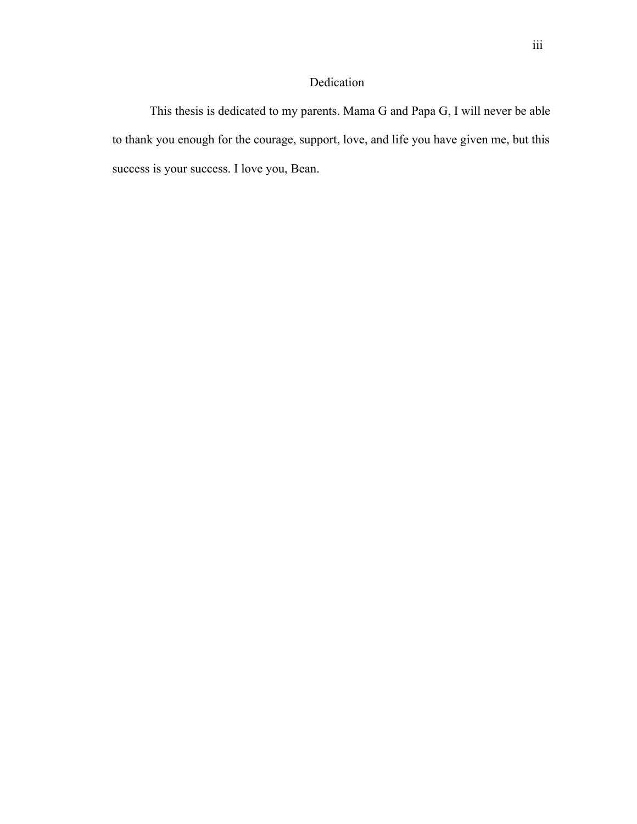# Dedication

This thesis is dedicated to my parents. Mama G and Papa G, I will never be able to thank you enough for the courage, support, love, and life you have given me, but this success is your success. I love you, Bean.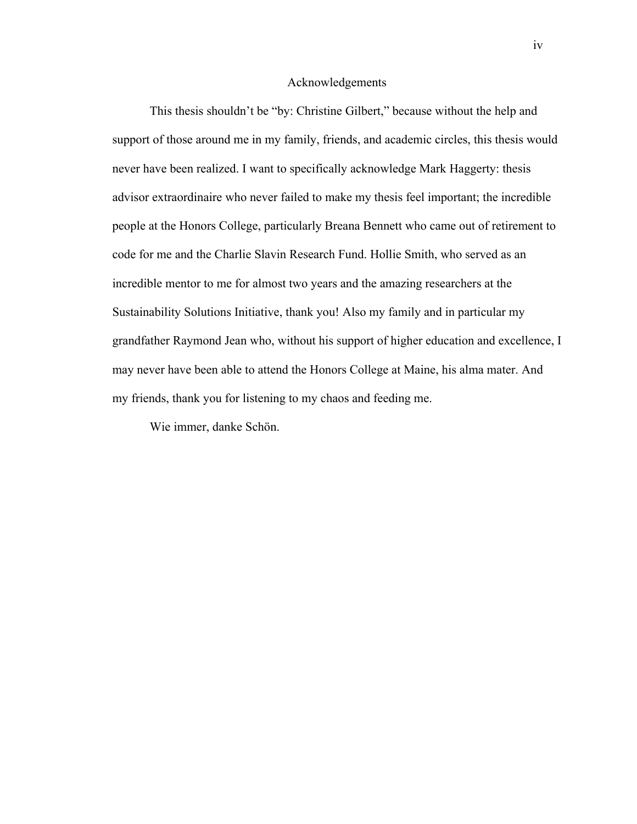#### Acknowledgements

This thesis shouldn't be "by: Christine Gilbert," because without the help and support of those around me in my family, friends, and academic circles, this thesis would never have been realized. I want to specifically acknowledge Mark Haggerty: thesis advisor extraordinaire who never failed to make my thesis feel important; the incredible people at the Honors College, particularly Breana Bennett who came out of retirement to code for me and the Charlie Slavin Research Fund. Hollie Smith, who served as an incredible mentor to me for almost two years and the amazing researchers at the Sustainability Solutions Initiative, thank you! Also my family and in particular my grandfather Raymond Jean who, without his support of higher education and excellence, I may never have been able to attend the Honors College at Maine, his alma mater. And my friends, thank you for listening to my chaos and feeding me.

Wie immer, danke Schön.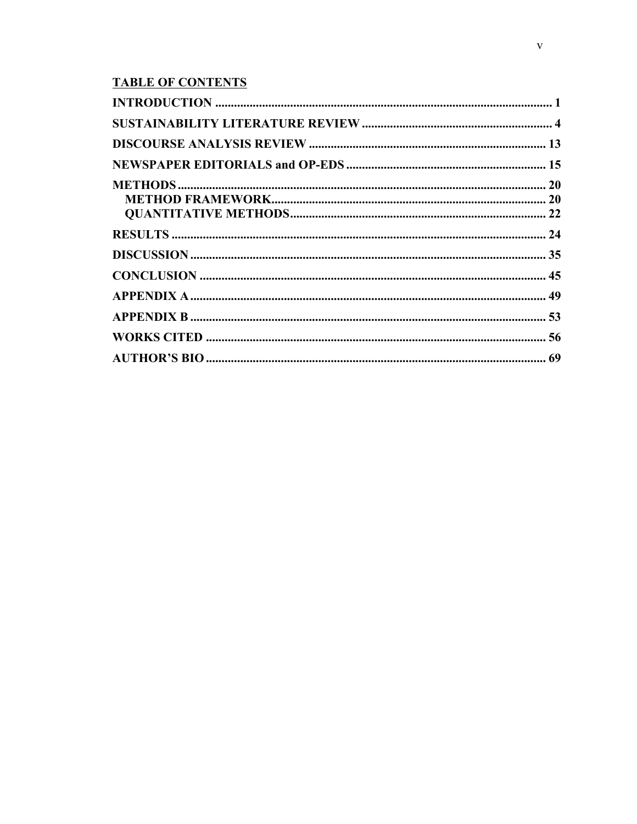# **TABLE OF CONTENTS**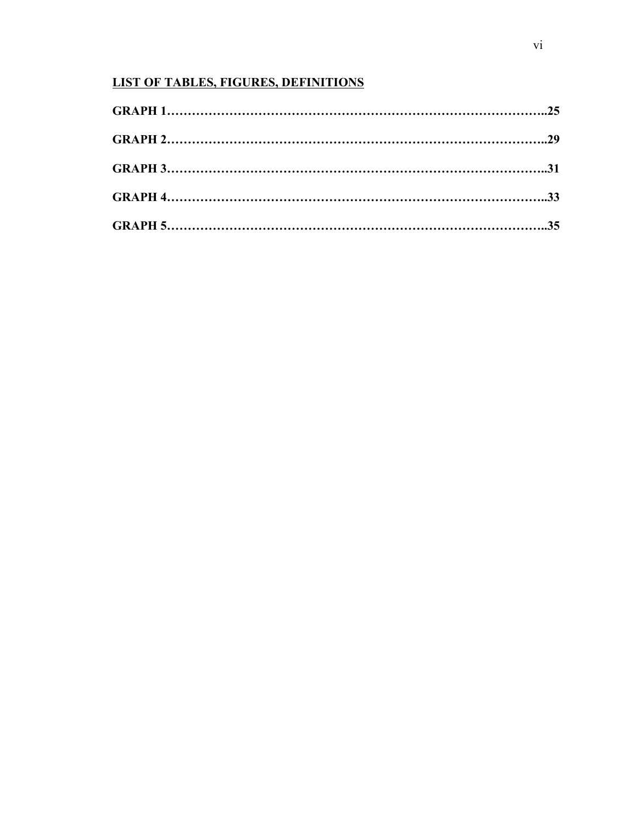# **LIST OF TABLES, FIGURES, DEFINITIONS**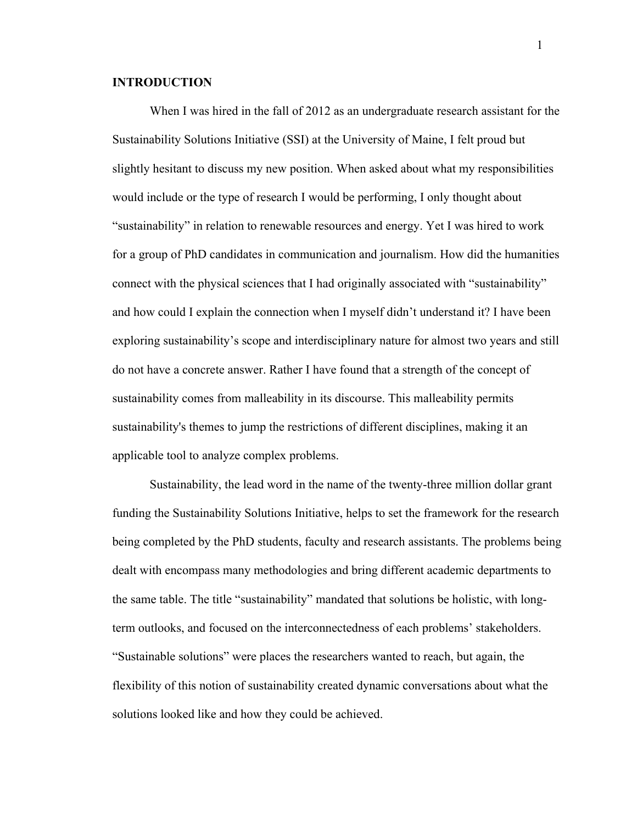#### **INTRODUCTION**

When I was hired in the fall of 2012 as an undergraduate research assistant for the Sustainability Solutions Initiative (SSI) at the University of Maine, I felt proud but slightly hesitant to discuss my new position. When asked about what my responsibilities would include or the type of research I would be performing, I only thought about "sustainability" in relation to renewable resources and energy. Yet I was hired to work for a group of PhD candidates in communication and journalism. How did the humanities connect with the physical sciences that I had originally associated with "sustainability" and how could I explain the connection when I myself didn't understand it? I have been exploring sustainability's scope and interdisciplinary nature for almost two years and still do not have a concrete answer. Rather I have found that a strength of the concept of sustainability comes from malleability in its discourse. This malleability permits sustainability's themes to jump the restrictions of different disciplines, making it an applicable tool to analyze complex problems.

Sustainability, the lead word in the name of the twenty-three million dollar grant funding the Sustainability Solutions Initiative, helps to set the framework for the research being completed by the PhD students, faculty and research assistants. The problems being dealt with encompass many methodologies and bring different academic departments to the same table. The title "sustainability" mandated that solutions be holistic, with longterm outlooks, and focused on the interconnectedness of each problems' stakeholders. "Sustainable solutions" were places the researchers wanted to reach, but again, the flexibility of this notion of sustainability created dynamic conversations about what the solutions looked like and how they could be achieved.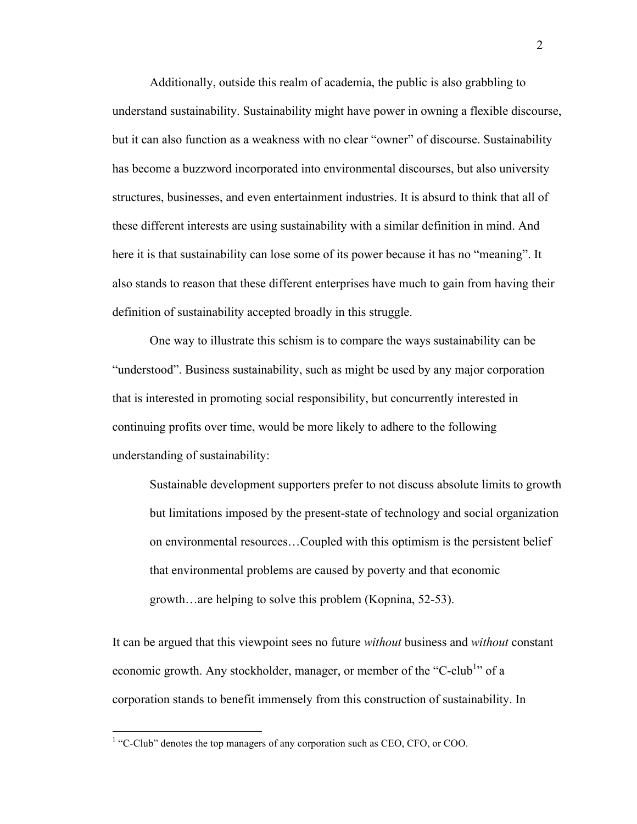Additionally, outside this realm of academia, the public is also grabbling to understand sustainability. Sustainability might have power in owning a flexible discourse, but it can also function as a weakness with no clear "owner" of discourse. Sustainability has become a buzzword incorporated into environmental discourses, but also university structures, businesses, and even entertainment industries. It is absurd to think that all of these different interests are using sustainability with a similar definition in mind. And here it is that sustainability can lose some of its power because it has no "meaning". It also stands to reason that these different enterprises have much to gain from having their definition of sustainability accepted broadly in this struggle.

One way to illustrate this schism is to compare the ways sustainability can be "understood". Business sustainability, such as might be used by any major corporation that is interested in promoting social responsibility, but concurrently interested in continuing profits over time, would be more likely to adhere to the following understanding of sustainability:

Sustainable development supporters prefer to not discuss absolute limits to growth but limitations imposed by the present-state of technology and social organization on environmental resources…Coupled with this optimism is the persistent belief that environmental problems are caused by poverty and that economic growth…are helping to solve this problem (Kopnina, 52-53).

It can be argued that this viewpoint sees no future *without* business and *without* constant economic growth. Any stockholder, manager, or member of the "C-club<sup>1</sup>" of a corporation stands to benefit immensely from this construction of sustainability. In

 $1$  "C-Club" denotes the top managers of any corporation such as CEO, CFO, or COO.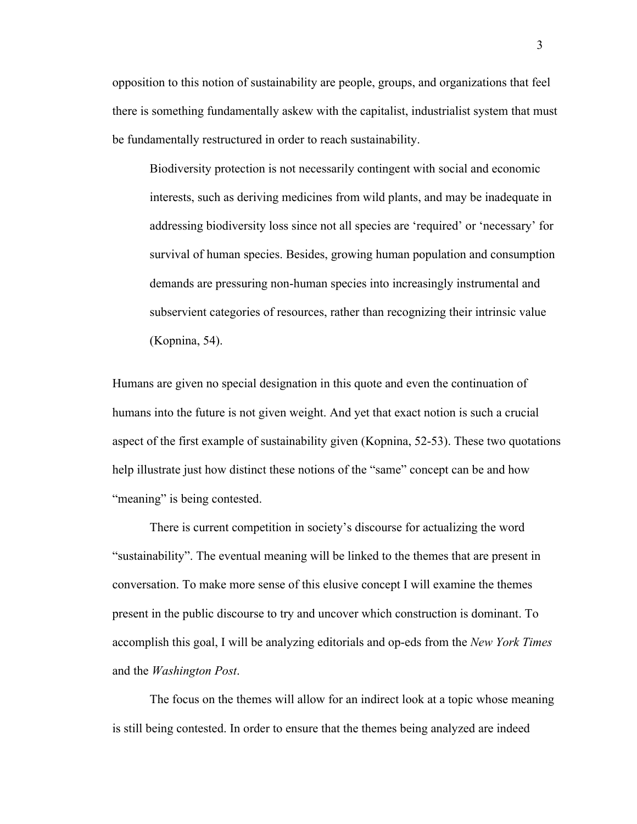opposition to this notion of sustainability are people, groups, and organizations that feel there is something fundamentally askew with the capitalist, industrialist system that must be fundamentally restructured in order to reach sustainability.

Biodiversity protection is not necessarily contingent with social and economic interests, such as deriving medicines from wild plants, and may be inadequate in addressing biodiversity loss since not all species are 'required' or 'necessary' for survival of human species. Besides, growing human population and consumption demands are pressuring non-human species into increasingly instrumental and subservient categories of resources, rather than recognizing their intrinsic value (Kopnina, 54).

Humans are given no special designation in this quote and even the continuation of humans into the future is not given weight. And yet that exact notion is such a crucial aspect of the first example of sustainability given (Kopnina, 52-53). These two quotations help illustrate just how distinct these notions of the "same" concept can be and how "meaning" is being contested.

There is current competition in society's discourse for actualizing the word "sustainability". The eventual meaning will be linked to the themes that are present in conversation. To make more sense of this elusive concept I will examine the themes present in the public discourse to try and uncover which construction is dominant. To accomplish this goal, I will be analyzing editorials and op-eds from the *New York Times* and the *Washington Post*.

The focus on the themes will allow for an indirect look at a topic whose meaning is still being contested. In order to ensure that the themes being analyzed are indeed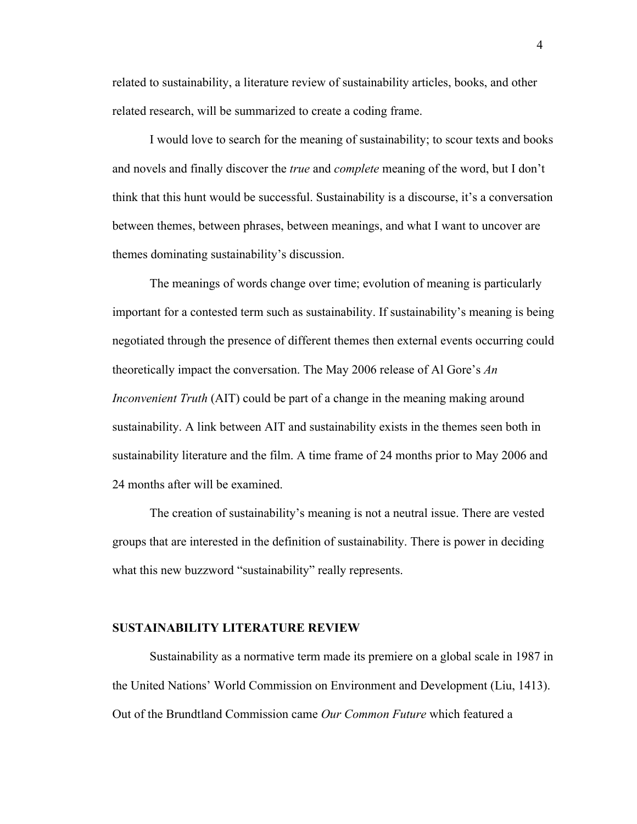related to sustainability, a literature review of sustainability articles, books, and other related research, will be summarized to create a coding frame.

I would love to search for the meaning of sustainability; to scour texts and books and novels and finally discover the *true* and *complete* meaning of the word, but I don't think that this hunt would be successful. Sustainability is a discourse, it's a conversation between themes, between phrases, between meanings, and what I want to uncover are themes dominating sustainability's discussion.

The meanings of words change over time; evolution of meaning is particularly important for a contested term such as sustainability. If sustainability's meaning is being negotiated through the presence of different themes then external events occurring could theoretically impact the conversation. The May 2006 release of Al Gore's *An Inconvenient Truth* (AIT) could be part of a change in the meaning making around sustainability. A link between AIT and sustainability exists in the themes seen both in sustainability literature and the film. A time frame of 24 months prior to May 2006 and 24 months after will be examined.

The creation of sustainability's meaning is not a neutral issue. There are vested groups that are interested in the definition of sustainability. There is power in deciding what this new buzzword "sustainability" really represents.

#### **SUSTAINABILITY LITERATURE REVIEW**

Sustainability as a normative term made its premiere on a global scale in 1987 in the United Nations' World Commission on Environment and Development (Liu, 1413). Out of the Brundtland Commission came *Our Common Future* which featured a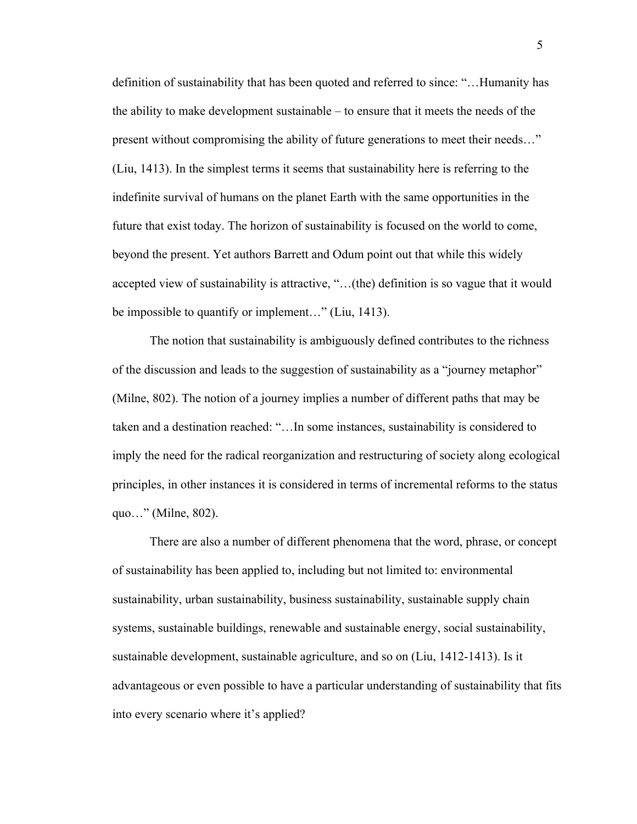definition of sustainability that has been quoted and referred to since: "…Humanity has the ability to make development sustainable – to ensure that it meets the needs of the present without compromising the ability of future generations to meet their needs…" (Liu, 1413). In the simplest terms it seems that sustainability here is referring to the indefinite survival of humans on the planet Earth with the same opportunities in the future that exist today. The horizon of sustainability is focused on the world to come, beyond the present. Yet authors Barrett and Odum point out that while this widely accepted view of sustainability is attractive, "…(the) definition is so vague that it would be impossible to quantify or implement…" (Liu, 1413).

The notion that sustainability is ambiguously defined contributes to the richness of the discussion and leads to the suggestion of sustainability as a "journey metaphor" (Milne, 802). The notion of a journey implies a number of different paths that may be taken and a destination reached: "…In some instances, sustainability is considered to imply the need for the radical reorganization and restructuring of society along ecological principles, in other instances it is considered in terms of incremental reforms to the status quo…" (Milne, 802).

There are also a number of different phenomena that the word, phrase, or concept of sustainability has been applied to, including but not limited to: environmental sustainability, urban sustainability, business sustainability, sustainable supply chain systems, sustainable buildings, renewable and sustainable energy, social sustainability, sustainable development, sustainable agriculture, and so on (Liu, 1412-1413). Is it advantageous or even possible to have a particular understanding of sustainability that fits into every scenario where it's applied?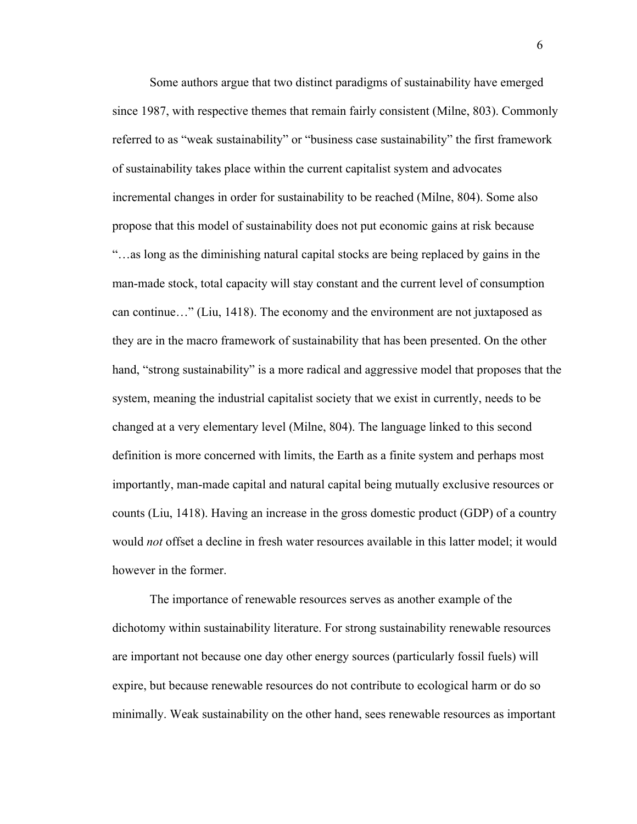Some authors argue that two distinct paradigms of sustainability have emerged since 1987, with respective themes that remain fairly consistent (Milne, 803). Commonly referred to as "weak sustainability" or "business case sustainability" the first framework of sustainability takes place within the current capitalist system and advocates incremental changes in order for sustainability to be reached (Milne, 804). Some also propose that this model of sustainability does not put economic gains at risk because "…as long as the diminishing natural capital stocks are being replaced by gains in the man-made stock, total capacity will stay constant and the current level of consumption can continue…" (Liu, 1418). The economy and the environment are not juxtaposed as they are in the macro framework of sustainability that has been presented. On the other hand, "strong sustainability" is a more radical and aggressive model that proposes that the system, meaning the industrial capitalist society that we exist in currently, needs to be changed at a very elementary level (Milne, 804). The language linked to this second definition is more concerned with limits, the Earth as a finite system and perhaps most importantly, man-made capital and natural capital being mutually exclusive resources or counts (Liu, 1418). Having an increase in the gross domestic product (GDP) of a country would *not* offset a decline in fresh water resources available in this latter model; it would however in the former.

The importance of renewable resources serves as another example of the dichotomy within sustainability literature. For strong sustainability renewable resources are important not because one day other energy sources (particularly fossil fuels) will expire, but because renewable resources do not contribute to ecological harm or do so minimally. Weak sustainability on the other hand, sees renewable resources as important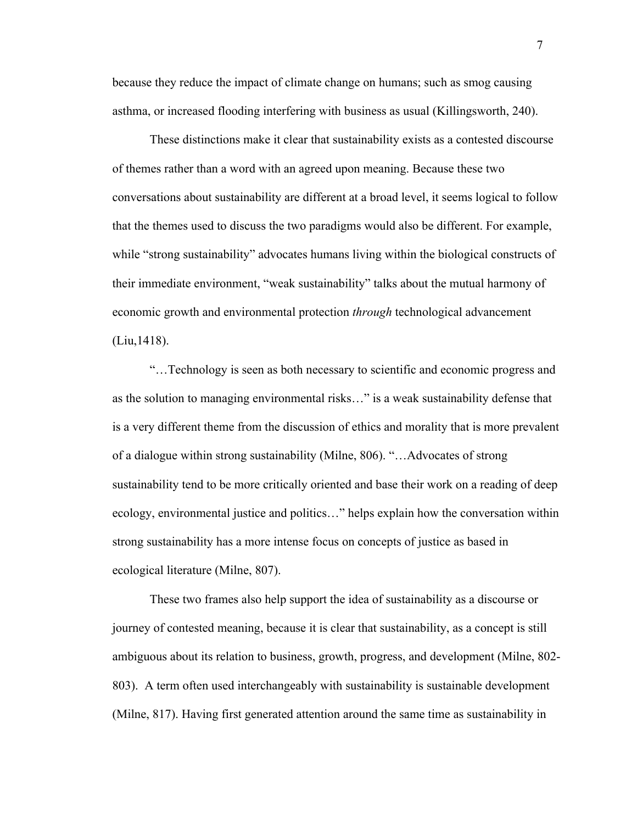because they reduce the impact of climate change on humans; such as smog causing asthma, or increased flooding interfering with business as usual (Killingsworth, 240).

These distinctions make it clear that sustainability exists as a contested discourse of themes rather than a word with an agreed upon meaning. Because these two conversations about sustainability are different at a broad level, it seems logical to follow that the themes used to discuss the two paradigms would also be different. For example, while "strong sustainability" advocates humans living within the biological constructs of their immediate environment, "weak sustainability" talks about the mutual harmony of economic growth and environmental protection *through* technological advancement (Liu,1418).

"…Technology is seen as both necessary to scientific and economic progress and as the solution to managing environmental risks…" is a weak sustainability defense that is a very different theme from the discussion of ethics and morality that is more prevalent of a dialogue within strong sustainability (Milne, 806). "…Advocates of strong sustainability tend to be more critically oriented and base their work on a reading of deep ecology, environmental justice and politics…" helps explain how the conversation within strong sustainability has a more intense focus on concepts of justice as based in ecological literature (Milne, 807).

These two frames also help support the idea of sustainability as a discourse or journey of contested meaning, because it is clear that sustainability, as a concept is still ambiguous about its relation to business, growth, progress, and development (Milne, 802- 803). A term often used interchangeably with sustainability is sustainable development (Milne, 817). Having first generated attention around the same time as sustainability in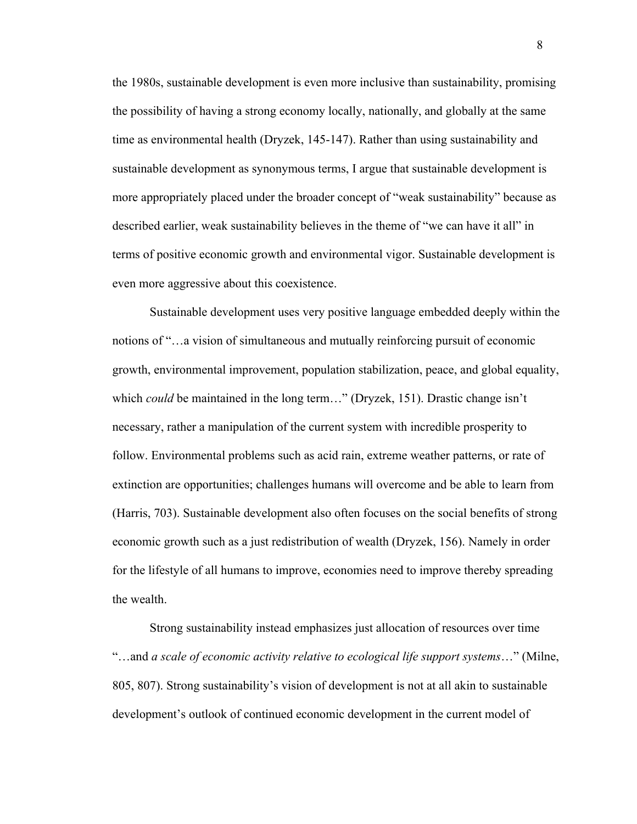the 1980s, sustainable development is even more inclusive than sustainability, promising the possibility of having a strong economy locally, nationally, and globally at the same time as environmental health (Dryzek, 145-147). Rather than using sustainability and sustainable development as synonymous terms, I argue that sustainable development is more appropriately placed under the broader concept of "weak sustainability" because as described earlier, weak sustainability believes in the theme of "we can have it all" in terms of positive economic growth and environmental vigor. Sustainable development is even more aggressive about this coexistence.

Sustainable development uses very positive language embedded deeply within the notions of "…a vision of simultaneous and mutually reinforcing pursuit of economic growth, environmental improvement, population stabilization, peace, and global equality, which *could* be maintained in the long term..." (Dryzek, 151). Drastic change isn't necessary, rather a manipulation of the current system with incredible prosperity to follow. Environmental problems such as acid rain, extreme weather patterns, or rate of extinction are opportunities; challenges humans will overcome and be able to learn from (Harris, 703). Sustainable development also often focuses on the social benefits of strong economic growth such as a just redistribution of wealth (Dryzek, 156). Namely in order for the lifestyle of all humans to improve, economies need to improve thereby spreading the wealth.

Strong sustainability instead emphasizes just allocation of resources over time "…and *a scale of economic activity relative to ecological life support systems*…" (Milne, 805, 807). Strong sustainability's vision of development is not at all akin to sustainable development's outlook of continued economic development in the current model of

8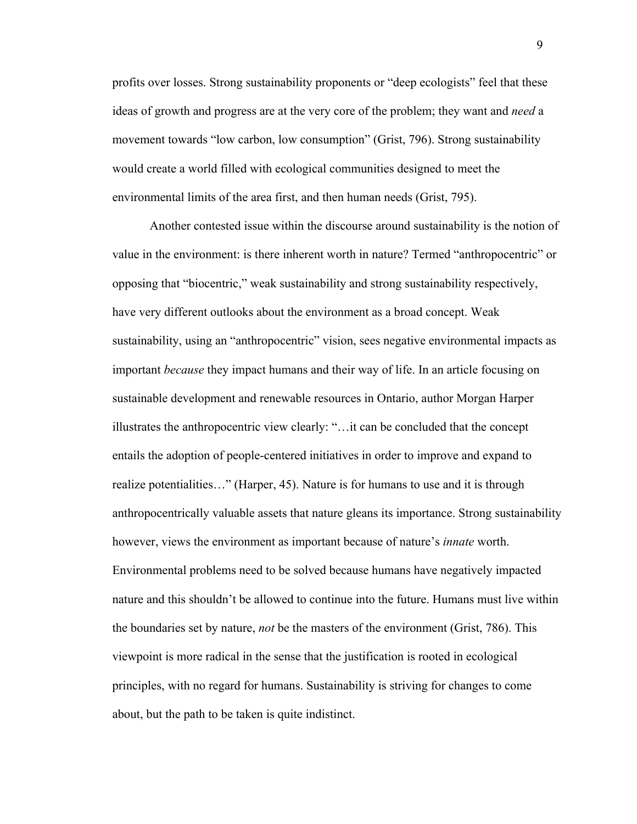profits over losses. Strong sustainability proponents or "deep ecologists" feel that these ideas of growth and progress are at the very core of the problem; they want and *need* a movement towards "low carbon, low consumption" (Grist, 796). Strong sustainability would create a world filled with ecological communities designed to meet the environmental limits of the area first, and then human needs (Grist, 795).

Another contested issue within the discourse around sustainability is the notion of value in the environment: is there inherent worth in nature? Termed "anthropocentric" or opposing that "biocentric," weak sustainability and strong sustainability respectively, have very different outlooks about the environment as a broad concept. Weak sustainability, using an "anthropocentric" vision, sees negative environmental impacts as important *because* they impact humans and their way of life. In an article focusing on sustainable development and renewable resources in Ontario, author Morgan Harper illustrates the anthropocentric view clearly: "…it can be concluded that the concept entails the adoption of people-centered initiatives in order to improve and expand to realize potentialities…" (Harper, 45). Nature is for humans to use and it is through anthropocentrically valuable assets that nature gleans its importance. Strong sustainability however, views the environment as important because of nature's *innate* worth. Environmental problems need to be solved because humans have negatively impacted nature and this shouldn't be allowed to continue into the future. Humans must live within the boundaries set by nature, *not* be the masters of the environment (Grist, 786). This viewpoint is more radical in the sense that the justification is rooted in ecological principles, with no regard for humans. Sustainability is striving for changes to come about, but the path to be taken is quite indistinct.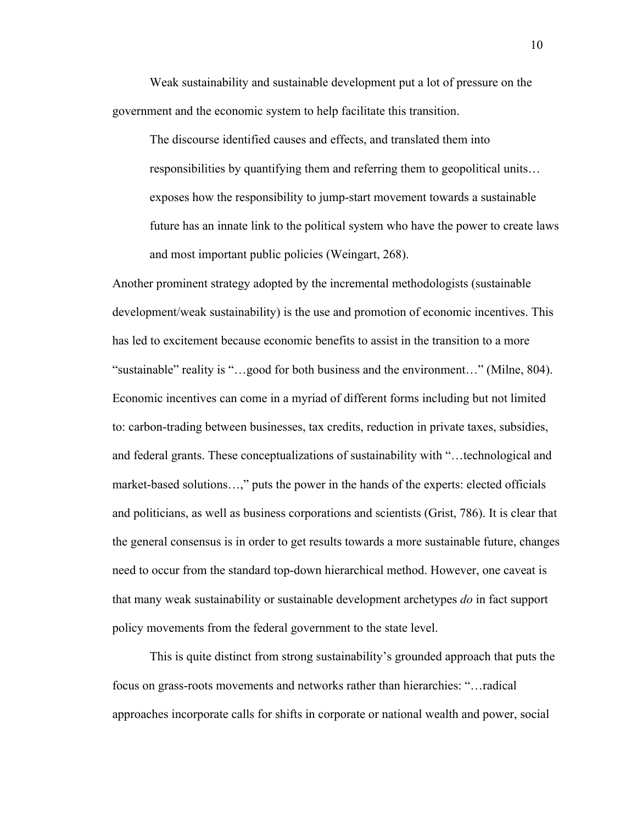Weak sustainability and sustainable development put a lot of pressure on the government and the economic system to help facilitate this transition.

The discourse identified causes and effects, and translated them into responsibilities by quantifying them and referring them to geopolitical units… exposes how the responsibility to jump-start movement towards a sustainable future has an innate link to the political system who have the power to create laws and most important public policies (Weingart, 268).

Another prominent strategy adopted by the incremental methodologists (sustainable development/weak sustainability) is the use and promotion of economic incentives. This has led to excitement because economic benefits to assist in the transition to a more "sustainable" reality is "…good for both business and the environment…" (Milne, 804). Economic incentives can come in a myriad of different forms including but not limited to: carbon-trading between businesses, tax credits, reduction in private taxes, subsidies, and federal grants. These conceptualizations of sustainability with "…technological and market-based solutions…," puts the power in the hands of the experts: elected officials and politicians, as well as business corporations and scientists (Grist, 786). It is clear that the general consensus is in order to get results towards a more sustainable future, changes need to occur from the standard top-down hierarchical method. However, one caveat is that many weak sustainability or sustainable development archetypes *do* in fact support policy movements from the federal government to the state level.

This is quite distinct from strong sustainability's grounded approach that puts the focus on grass-roots movements and networks rather than hierarchies: "…radical approaches incorporate calls for shifts in corporate or national wealth and power, social

10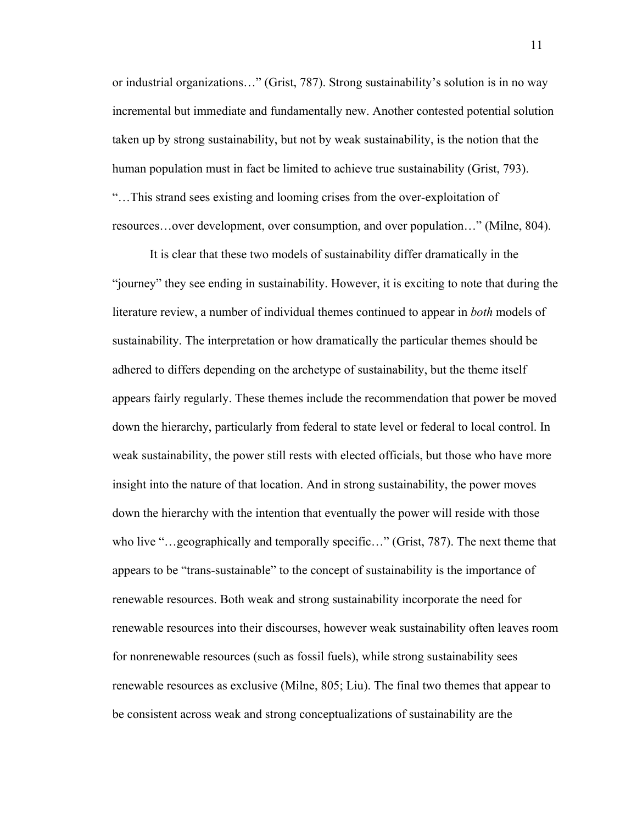or industrial organizations…" (Grist, 787). Strong sustainability's solution is in no way incremental but immediate and fundamentally new. Another contested potential solution taken up by strong sustainability, but not by weak sustainability, is the notion that the human population must in fact be limited to achieve true sustainability (Grist, 793). "…This strand sees existing and looming crises from the over-exploitation of resources…over development, over consumption, and over population…" (Milne, 804).

It is clear that these two models of sustainability differ dramatically in the "journey" they see ending in sustainability. However, it is exciting to note that during the literature review, a number of individual themes continued to appear in *both* models of sustainability. The interpretation or how dramatically the particular themes should be adhered to differs depending on the archetype of sustainability, but the theme itself appears fairly regularly. These themes include the recommendation that power be moved down the hierarchy, particularly from federal to state level or federal to local control. In weak sustainability, the power still rests with elected officials, but those who have more insight into the nature of that location. And in strong sustainability, the power moves down the hierarchy with the intention that eventually the power will reside with those who live "…geographically and temporally specific…" (Grist, 787). The next theme that appears to be "trans-sustainable" to the concept of sustainability is the importance of renewable resources. Both weak and strong sustainability incorporate the need for renewable resources into their discourses, however weak sustainability often leaves room for nonrenewable resources (such as fossil fuels), while strong sustainability sees renewable resources as exclusive (Milne, 805; Liu). The final two themes that appear to be consistent across weak and strong conceptualizations of sustainability are the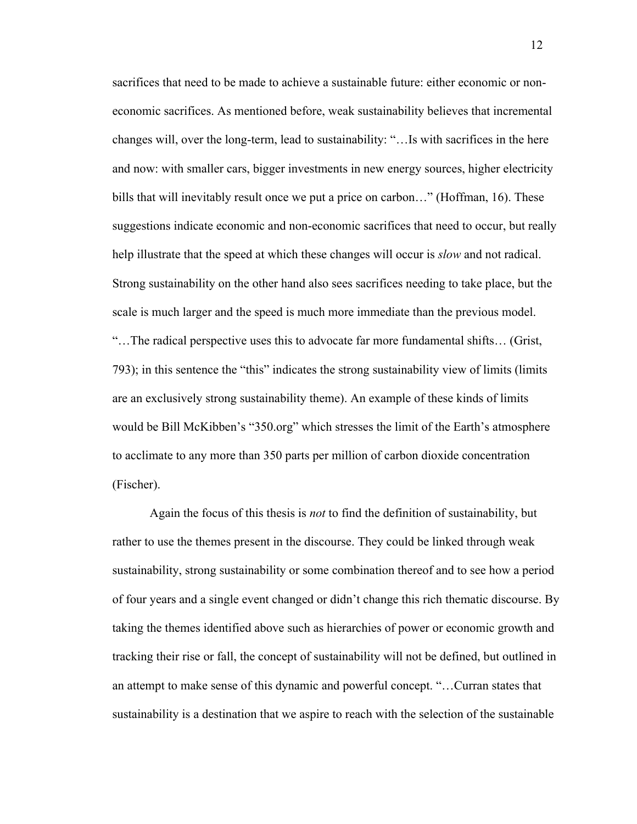sacrifices that need to be made to achieve a sustainable future: either economic or noneconomic sacrifices. As mentioned before, weak sustainability believes that incremental changes will, over the long-term, lead to sustainability: "…Is with sacrifices in the here and now: with smaller cars, bigger investments in new energy sources, higher electricity bills that will inevitably result once we put a price on carbon..." (Hoffman, 16). These suggestions indicate economic and non-economic sacrifices that need to occur, but really help illustrate that the speed at which these changes will occur is *slow* and not radical. Strong sustainability on the other hand also sees sacrifices needing to take place, but the scale is much larger and the speed is much more immediate than the previous model. "…The radical perspective uses this to advocate far more fundamental shifts… (Grist, 793); in this sentence the "this" indicates the strong sustainability view of limits (limits are an exclusively strong sustainability theme). An example of these kinds of limits would be Bill McKibben's "350.org" which stresses the limit of the Earth's atmosphere to acclimate to any more than 350 parts per million of carbon dioxide concentration (Fischer).

Again the focus of this thesis is *not* to find the definition of sustainability, but rather to use the themes present in the discourse. They could be linked through weak sustainability, strong sustainability or some combination thereof and to see how a period of four years and a single event changed or didn't change this rich thematic discourse. By taking the themes identified above such as hierarchies of power or economic growth and tracking their rise or fall, the concept of sustainability will not be defined, but outlined in an attempt to make sense of this dynamic and powerful concept. "…Curran states that sustainability is a destination that we aspire to reach with the selection of the sustainable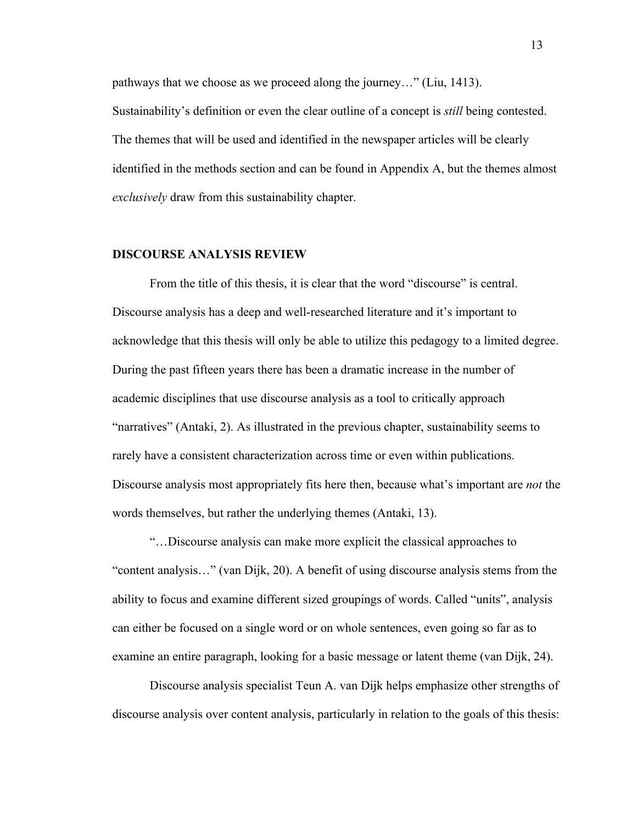pathways that we choose as we proceed along the journey…" (Liu, 1413). Sustainability's definition or even the clear outline of a concept is *still* being contested. The themes that will be used and identified in the newspaper articles will be clearly identified in the methods section and can be found in Appendix A, but the themes almost *exclusively* draw from this sustainability chapter.

#### **DISCOURSE ANALYSIS REVIEW**

From the title of this thesis, it is clear that the word "discourse" is central. Discourse analysis has a deep and well-researched literature and it's important to acknowledge that this thesis will only be able to utilize this pedagogy to a limited degree. During the past fifteen years there has been a dramatic increase in the number of academic disciplines that use discourse analysis as a tool to critically approach "narratives" (Antaki, 2). As illustrated in the previous chapter, sustainability seems to rarely have a consistent characterization across time or even within publications. Discourse analysis most appropriately fits here then, because what's important are *not* the words themselves, but rather the underlying themes (Antaki, 13).

"…Discourse analysis can make more explicit the classical approaches to "content analysis…" (van Dijk, 20). A benefit of using discourse analysis stems from the ability to focus and examine different sized groupings of words. Called "units", analysis can either be focused on a single word or on whole sentences, even going so far as to examine an entire paragraph, looking for a basic message or latent theme (van Dijk, 24).

Discourse analysis specialist Teun A. van Dijk helps emphasize other strengths of discourse analysis over content analysis, particularly in relation to the goals of this thesis: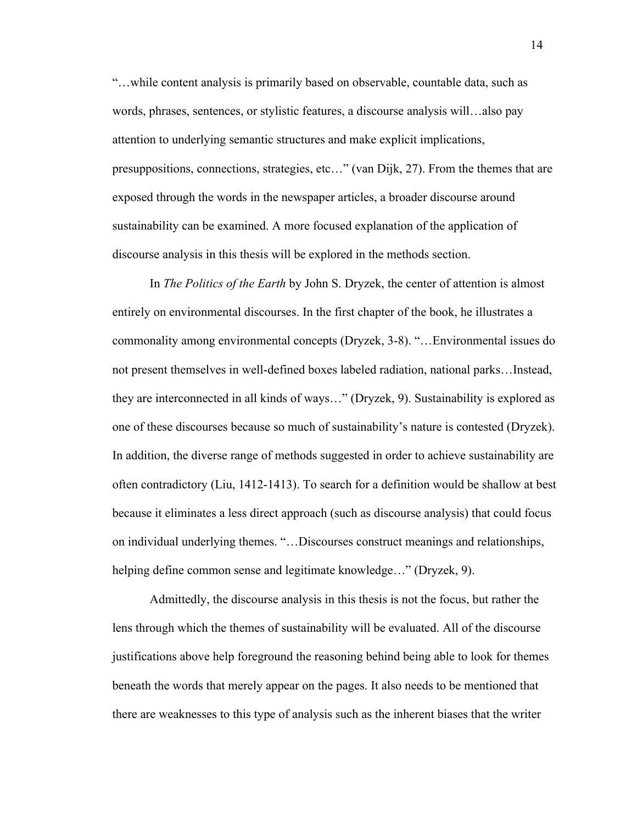"…while content analysis is primarily based on observable, countable data, such as words, phrases, sentences, or stylistic features, a discourse analysis will…also pay attention to underlying semantic structures and make explicit implications, presuppositions, connections, strategies, etc…" (van Dijk, 27). From the themes that are exposed through the words in the newspaper articles, a broader discourse around sustainability can be examined. A more focused explanation of the application of discourse analysis in this thesis will be explored in the methods section.

In *The Politics of the Earth* by John S. Dryzek, the center of attention is almost entirely on environmental discourses. In the first chapter of the book, he illustrates a commonality among environmental concepts (Dryzek, 3-8). "…Environmental issues do not present themselves in well-defined boxes labeled radiation, national parks…Instead, they are interconnected in all kinds of ways…" (Dryzek, 9). Sustainability is explored as one of these discourses because so much of sustainability's nature is contested (Dryzek). In addition, the diverse range of methods suggested in order to achieve sustainability are often contradictory (Liu, 1412-1413). To search for a definition would be shallow at best because it eliminates a less direct approach (such as discourse analysis) that could focus on individual underlying themes. "…Discourses construct meanings and relationships, helping define common sense and legitimate knowledge…" (Dryzek, 9).

Admittedly, the discourse analysis in this thesis is not the focus, but rather the lens through which the themes of sustainability will be evaluated. All of the discourse justifications above help foreground the reasoning behind being able to look for themes beneath the words that merely appear on the pages. It also needs to be mentioned that there are weaknesses to this type of analysis such as the inherent biases that the writer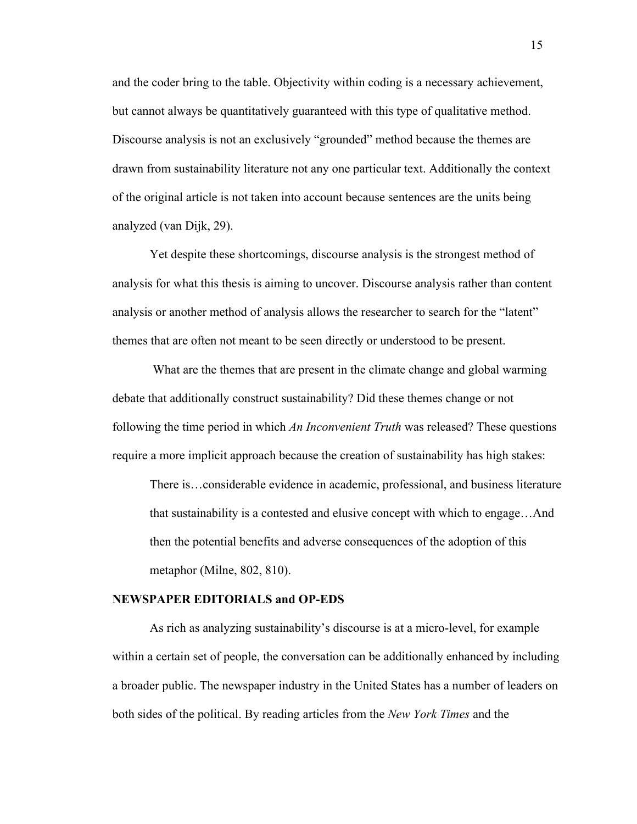and the coder bring to the table. Objectivity within coding is a necessary achievement, but cannot always be quantitatively guaranteed with this type of qualitative method. Discourse analysis is not an exclusively "grounded" method because the themes are drawn from sustainability literature not any one particular text. Additionally the context of the original article is not taken into account because sentences are the units being analyzed (van Dijk, 29).

Yet despite these shortcomings, discourse analysis is the strongest method of analysis for what this thesis is aiming to uncover. Discourse analysis rather than content analysis or another method of analysis allows the researcher to search for the "latent" themes that are often not meant to be seen directly or understood to be present.

What are the themes that are present in the climate change and global warming debate that additionally construct sustainability? Did these themes change or not following the time period in which *An Inconvenient Truth* was released? These questions require a more implicit approach because the creation of sustainability has high stakes:

There is…considerable evidence in academic, professional, and business literature that sustainability is a contested and elusive concept with which to engage…And then the potential benefits and adverse consequences of the adoption of this metaphor (Milne, 802, 810).

## **NEWSPAPER EDITORIALS and OP-EDS**

As rich as analyzing sustainability's discourse is at a micro-level, for example within a certain set of people, the conversation can be additionally enhanced by including a broader public. The newspaper industry in the United States has a number of leaders on both sides of the political. By reading articles from the *New York Times* and the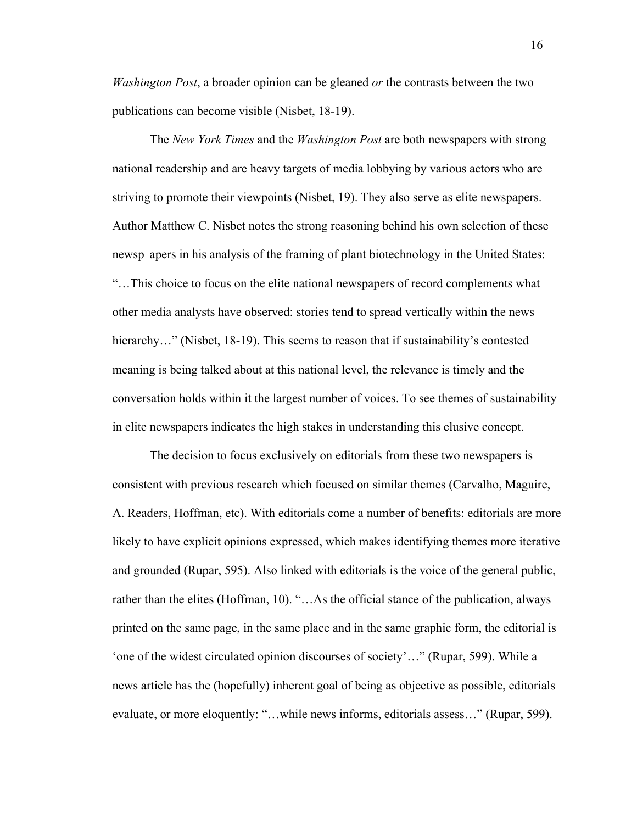*Washington Post*, a broader opinion can be gleaned *or* the contrasts between the two publications can become visible (Nisbet, 18-19).

The *New York Times* and the *Washington Post* are both newspapers with strong national readership and are heavy targets of media lobbying by various actors who are striving to promote their viewpoints (Nisbet, 19). They also serve as elite newspapers. Author Matthew C. Nisbet notes the strong reasoning behind his own selection of these newsp apers in his analysis of the framing of plant biotechnology in the United States: "…This choice to focus on the elite national newspapers of record complements what other media analysts have observed: stories tend to spread vertically within the news hierarchy..." (Nisbet, 18-19). This seems to reason that if sustainability's contested meaning is being talked about at this national level, the relevance is timely and the conversation holds within it the largest number of voices. To see themes of sustainability in elite newspapers indicates the high stakes in understanding this elusive concept.

The decision to focus exclusively on editorials from these two newspapers is consistent with previous research which focused on similar themes (Carvalho, Maguire, A. Readers, Hoffman, etc). With editorials come a number of benefits: editorials are more likely to have explicit opinions expressed, which makes identifying themes more iterative and grounded (Rupar, 595). Also linked with editorials is the voice of the general public, rather than the elites (Hoffman, 10). "…As the official stance of the publication, always printed on the same page, in the same place and in the same graphic form, the editorial is 'one of the widest circulated opinion discourses of society'…" (Rupar, 599). While a news article has the (hopefully) inherent goal of being as objective as possible, editorials evaluate, or more eloquently: "…while news informs, editorials assess…" (Rupar, 599).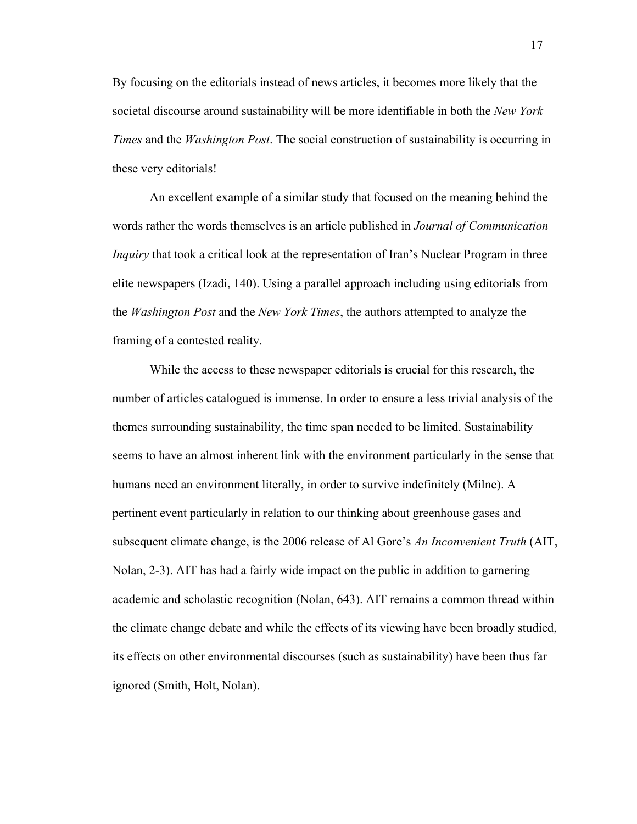By focusing on the editorials instead of news articles, it becomes more likely that the societal discourse around sustainability will be more identifiable in both the *New York Times* and the *Washington Post*. The social construction of sustainability is occurring in these very editorials!

An excellent example of a similar study that focused on the meaning behind the words rather the words themselves is an article published in *Journal of Communication Inquiry* that took a critical look at the representation of Iran's Nuclear Program in three elite newspapers (Izadi, 140). Using a parallel approach including using editorials from the *Washington Post* and the *New York Times*, the authors attempted to analyze the framing of a contested reality.

While the access to these newspaper editorials is crucial for this research, the number of articles catalogued is immense. In order to ensure a less trivial analysis of the themes surrounding sustainability, the time span needed to be limited. Sustainability seems to have an almost inherent link with the environment particularly in the sense that humans need an environment literally, in order to survive indefinitely (Milne). A pertinent event particularly in relation to our thinking about greenhouse gases and subsequent climate change, is the 2006 release of Al Gore's *An Inconvenient Truth* (AIT, Nolan, 2-3). AIT has had a fairly wide impact on the public in addition to garnering academic and scholastic recognition (Nolan, 643). AIT remains a common thread within the climate change debate and while the effects of its viewing have been broadly studied, its effects on other environmental discourses (such as sustainability) have been thus far ignored (Smith, Holt, Nolan).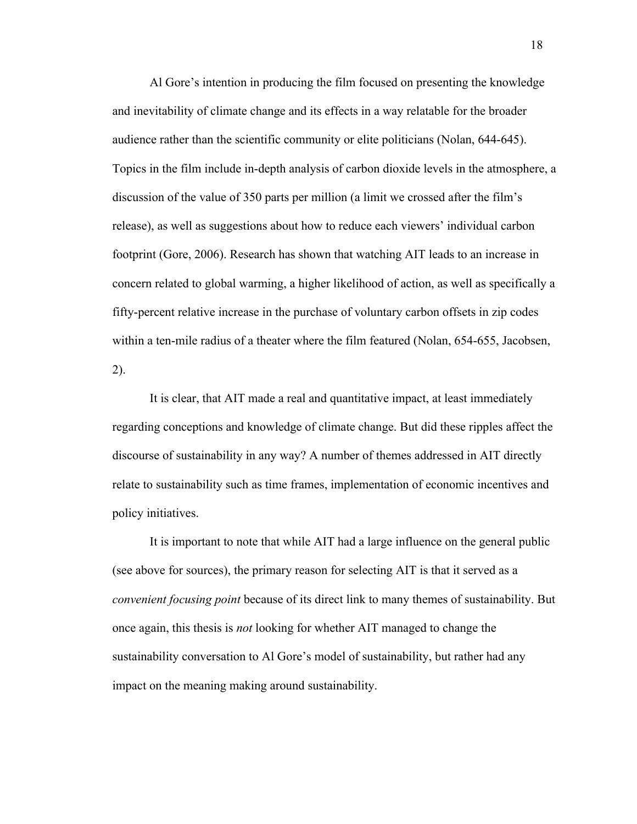Al Gore's intention in producing the film focused on presenting the knowledge and inevitability of climate change and its effects in a way relatable for the broader audience rather than the scientific community or elite politicians (Nolan, 644-645). Topics in the film include in-depth analysis of carbon dioxide levels in the atmosphere, a discussion of the value of 350 parts per million (a limit we crossed after the film's release), as well as suggestions about how to reduce each viewers' individual carbon footprint (Gore, 2006). Research has shown that watching AIT leads to an increase in concern related to global warming, a higher likelihood of action, as well as specifically a fifty-percent relative increase in the purchase of voluntary carbon offsets in zip codes within a ten-mile radius of a theater where the film featured (Nolan, 654-655, Jacobsen, 2).

It is clear, that AIT made a real and quantitative impact, at least immediately regarding conceptions and knowledge of climate change. But did these ripples affect the discourse of sustainability in any way? A number of themes addressed in AIT directly relate to sustainability such as time frames, implementation of economic incentives and policy initiatives.

It is important to note that while AIT had a large influence on the general public (see above for sources), the primary reason for selecting AIT is that it served as a *convenient focusing point* because of its direct link to many themes of sustainability. But once again, this thesis is *not* looking for whether AIT managed to change the sustainability conversation to Al Gore's model of sustainability, but rather had any impact on the meaning making around sustainability.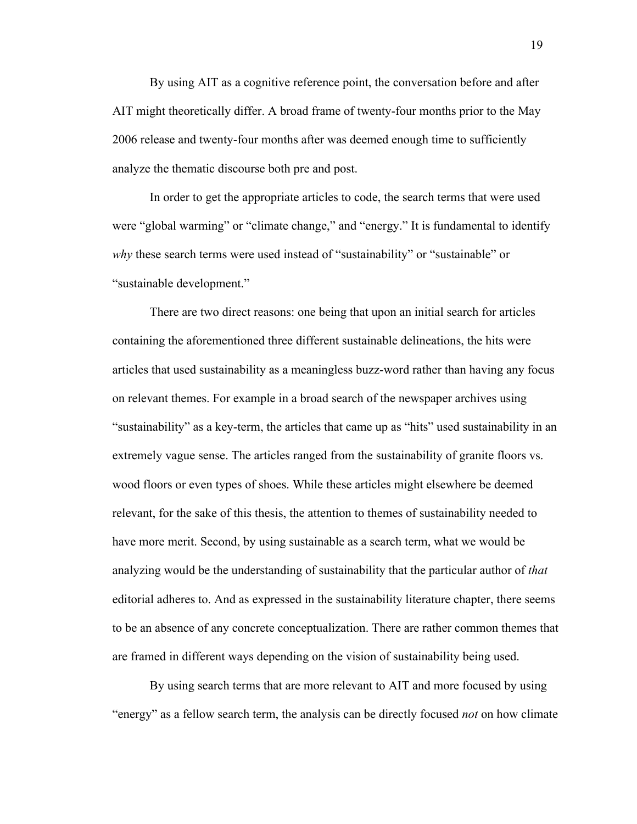By using AIT as a cognitive reference point, the conversation before and after AIT might theoretically differ. A broad frame of twenty-four months prior to the May 2006 release and twenty-four months after was deemed enough time to sufficiently analyze the thematic discourse both pre and post.

In order to get the appropriate articles to code, the search terms that were used were "global warming" or "climate change," and "energy." It is fundamental to identify *why* these search terms were used instead of "sustainability" or "sustainable" or "sustainable development."

There are two direct reasons: one being that upon an initial search for articles containing the aforementioned three different sustainable delineations, the hits were articles that used sustainability as a meaningless buzz-word rather than having any focus on relevant themes. For example in a broad search of the newspaper archives using "sustainability" as a key-term, the articles that came up as "hits" used sustainability in an extremely vague sense. The articles ranged from the sustainability of granite floors vs. wood floors or even types of shoes. While these articles might elsewhere be deemed relevant, for the sake of this thesis, the attention to themes of sustainability needed to have more merit. Second, by using sustainable as a search term, what we would be analyzing would be the understanding of sustainability that the particular author of *that* editorial adheres to. And as expressed in the sustainability literature chapter, there seems to be an absence of any concrete conceptualization. There are rather common themes that are framed in different ways depending on the vision of sustainability being used.

By using search terms that are more relevant to AIT and more focused by using "energy" as a fellow search term, the analysis can be directly focused *not* on how climate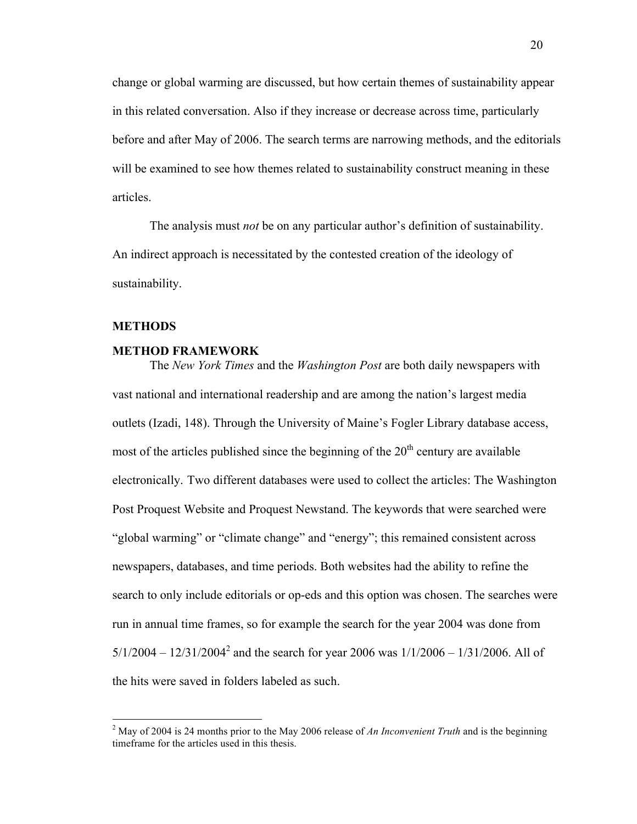change or global warming are discussed, but how certain themes of sustainability appear in this related conversation. Also if they increase or decrease across time, particularly before and after May of 2006. The search terms are narrowing methods, and the editorials will be examined to see how themes related to sustainability construct meaning in these articles.

The analysis must *not* be on any particular author's definition of sustainability. An indirect approach is necessitated by the contested creation of the ideology of sustainability.

## **METHODS**

#### **METHOD FRAMEWORK**

The *New York Times* and the *Washington Post* are both daily newspapers with vast national and international readership and are among the nation's largest media outlets (Izadi, 148). Through the University of Maine's Fogler Library database access, most of the articles published since the beginning of the  $20<sup>th</sup>$  century are available electronically. Two different databases were used to collect the articles: The Washington Post Proquest Website and Proquest Newstand. The keywords that were searched were "global warming" or "climate change" and "energy"; this remained consistent across newspapers, databases, and time periods. Both websites had the ability to refine the search to only include editorials or op-eds and this option was chosen. The searches were run in annual time frames, so for example the search for the year 2004 was done from  $5/1/2004 - 12/31/2004^2$  and the search for year 2006 was  $1/1/2006 - 1/31/2006$ . All of the hits were saved in folders labeled as such.

 <sup>2</sup> May of 2004 is 24 months prior to the May 2006 release of *An Inconvenient Truth* and is the beginning timeframe for the articles used in this thesis.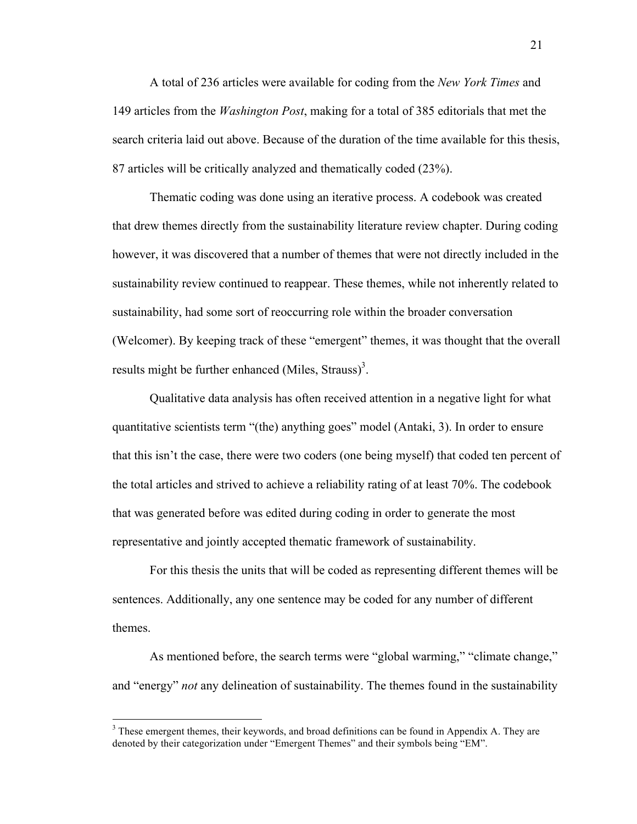A total of 236 articles were available for coding from the *New York Times* and 149 articles from the *Washington Post*, making for a total of 385 editorials that met the search criteria laid out above. Because of the duration of the time available for this thesis, 87 articles will be critically analyzed and thematically coded (23%).

Thematic coding was done using an iterative process. A codebook was created that drew themes directly from the sustainability literature review chapter. During coding however, it was discovered that a number of themes that were not directly included in the sustainability review continued to reappear. These themes, while not inherently related to sustainability, had some sort of reoccurring role within the broader conversation (Welcomer). By keeping track of these "emergent" themes, it was thought that the overall results might be further enhanced (Miles, Strauss)<sup>3</sup>.

Qualitative data analysis has often received attention in a negative light for what quantitative scientists term "(the) anything goes" model (Antaki, 3). In order to ensure that this isn't the case, there were two coders (one being myself) that coded ten percent of the total articles and strived to achieve a reliability rating of at least 70%. The codebook that was generated before was edited during coding in order to generate the most representative and jointly accepted thematic framework of sustainability.

For this thesis the units that will be coded as representing different themes will be sentences. Additionally, any one sentence may be coded for any number of different themes.

As mentioned before, the search terms were "global warming," "climate change," and "energy" *not* any delineation of sustainability. The themes found in the sustainability

 $3$  These emergent themes, their keywords, and broad definitions can be found in Appendix A. They are denoted by their categorization under "Emergent Themes" and their symbols being "EM".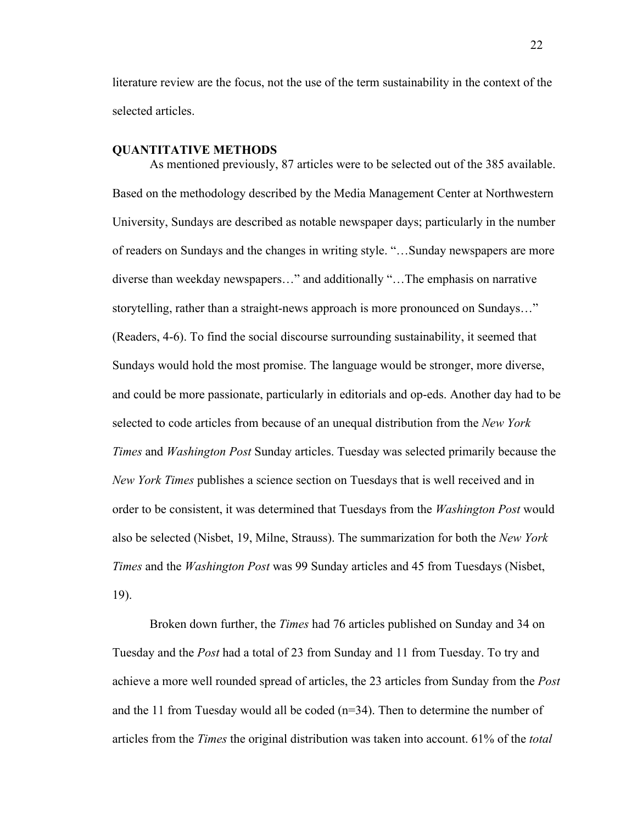literature review are the focus, not the use of the term sustainability in the context of the selected articles.

# **QUANTITATIVE METHODS**

As mentioned previously, 87 articles were to be selected out of the 385 available. Based on the methodology described by the Media Management Center at Northwestern University, Sundays are described as notable newspaper days; particularly in the number of readers on Sundays and the changes in writing style. "…Sunday newspapers are more diverse than weekday newspapers…" and additionally "…The emphasis on narrative storytelling, rather than a straight-news approach is more pronounced on Sundays…" (Readers, 4-6). To find the social discourse surrounding sustainability, it seemed that Sundays would hold the most promise. The language would be stronger, more diverse, and could be more passionate, particularly in editorials and op-eds. Another day had to be selected to code articles from because of an unequal distribution from the *New York Times* and *Washington Post* Sunday articles. Tuesday was selected primarily because the *New York Times* publishes a science section on Tuesdays that is well received and in order to be consistent, it was determined that Tuesdays from the *Washington Post* would also be selected (Nisbet, 19, Milne, Strauss). The summarization for both the *New York Times* and the *Washington Post* was 99 Sunday articles and 45 from Tuesdays (Nisbet, 19).

Broken down further, the *Times* had 76 articles published on Sunday and 34 on Tuesday and the *Post* had a total of 23 from Sunday and 11 from Tuesday. To try and achieve a more well rounded spread of articles, the 23 articles from Sunday from the *Post* and the 11 from Tuesday would all be coded (n=34). Then to determine the number of articles from the *Times* the original distribution was taken into account. 61% of the *total*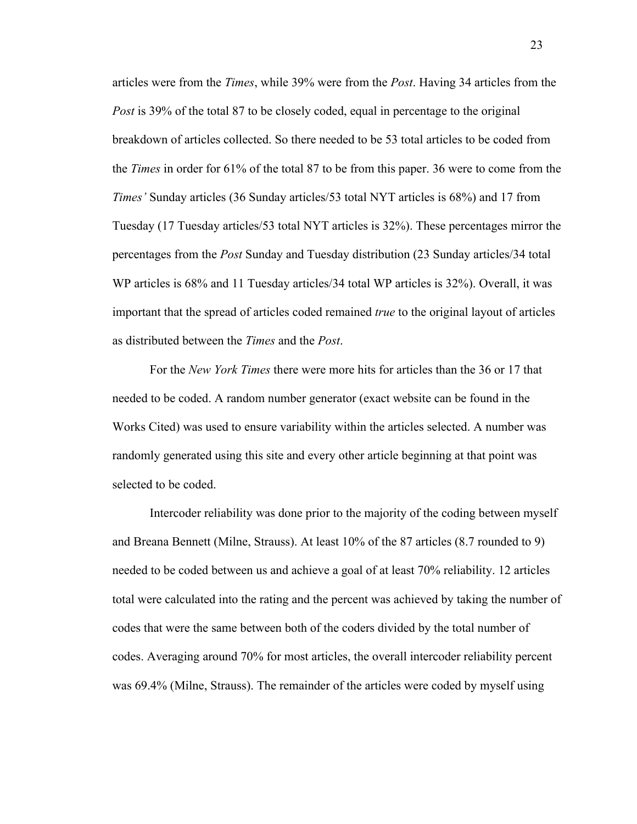articles were from the *Times*, while 39% were from the *Post*. Having 34 articles from the *Post* is 39% of the total 87 to be closely coded, equal in percentage to the original breakdown of articles collected. So there needed to be 53 total articles to be coded from the *Times* in order for 61% of the total 87 to be from this paper. 36 were to come from the *Times'* Sunday articles (36 Sunday articles/53 total NYT articles is 68%) and 17 from Tuesday (17 Tuesday articles/53 total NYT articles is 32%). These percentages mirror the percentages from the *Post* Sunday and Tuesday distribution (23 Sunday articles/34 total WP articles is 68% and 11 Tuesday articles/34 total WP articles is 32%). Overall, it was important that the spread of articles coded remained *true* to the original layout of articles as distributed between the *Times* and the *Post*.

For the *New York Times* there were more hits for articles than the 36 or 17 that needed to be coded. A random number generator (exact website can be found in the Works Cited) was used to ensure variability within the articles selected. A number was randomly generated using this site and every other article beginning at that point was selected to be coded.

Intercoder reliability was done prior to the majority of the coding between myself and Breana Bennett (Milne, Strauss). At least 10% of the 87 articles (8.7 rounded to 9) needed to be coded between us and achieve a goal of at least 70% reliability. 12 articles total were calculated into the rating and the percent was achieved by taking the number of codes that were the same between both of the coders divided by the total number of codes. Averaging around 70% for most articles, the overall intercoder reliability percent was 69.4% (Milne, Strauss). The remainder of the articles were coded by myself using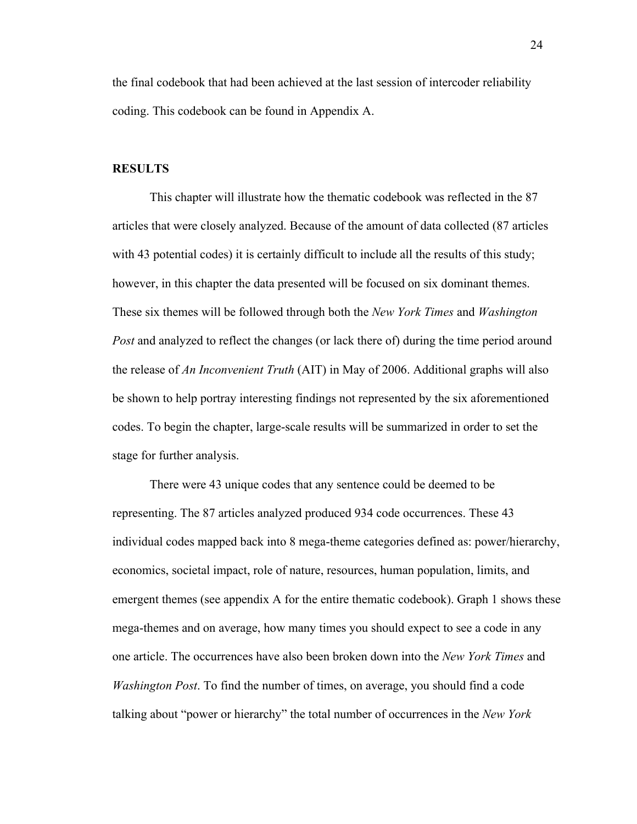the final codebook that had been achieved at the last session of intercoder reliability coding. This codebook can be found in Appendix A.

#### **RESULTS**

This chapter will illustrate how the thematic codebook was reflected in the 87 articles that were closely analyzed. Because of the amount of data collected (87 articles with 43 potential codes) it is certainly difficult to include all the results of this study; however, in this chapter the data presented will be focused on six dominant themes. These six themes will be followed through both the *New York Times* and *Washington Post* and analyzed to reflect the changes (or lack there of) during the time period around the release of *An Inconvenient Truth* (AIT) in May of 2006. Additional graphs will also be shown to help portray interesting findings not represented by the six aforementioned codes. To begin the chapter, large-scale results will be summarized in order to set the stage for further analysis.

There were 43 unique codes that any sentence could be deemed to be representing. The 87 articles analyzed produced 934 code occurrences. These 43 individual codes mapped back into 8 mega-theme categories defined as: power/hierarchy, economics, societal impact, role of nature, resources, human population, limits, and emergent themes (see appendix A for the entire thematic codebook). Graph 1 shows these mega-themes and on average, how many times you should expect to see a code in any one article. The occurrences have also been broken down into the *New York Times* and *Washington Post*. To find the number of times, on average, you should find a code talking about "power or hierarchy" the total number of occurrences in the *New York*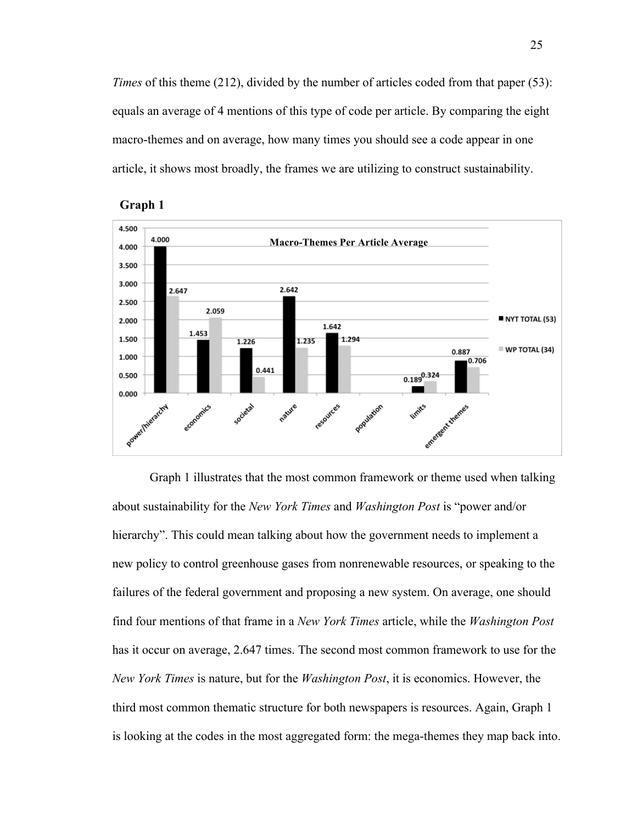*Times* of this theme (212), divided by the number of articles coded from that paper (53): equals an average of 4 mentions of this type of code per article. By comparing the eight macro-themes and on average, how many times you should see a code appear in one article, it shows most broadly, the frames we are utilizing to construct sustainability.





Graph 1 illustrates that the most common framework or theme used when talking about sustainability for the *New York Times* and *Washington Post* is "power and/or hierarchy". This could mean talking about how the government needs to implement a new policy to control greenhouse gases from nonrenewable resources, or speaking to the failures of the federal government and proposing a new system. On average, one should find four mentions of that frame in a *New York Times* article, while the *Washington Post* has it occur on average, 2.647 times. The second most common framework to use for the *New York Times* is nature, but for the *Washington Post*, it is economics. However, the third most common thematic structure for both newspapers is resources. Again, Graph 1 is looking at the codes in the most aggregated form: the mega-themes they map back into.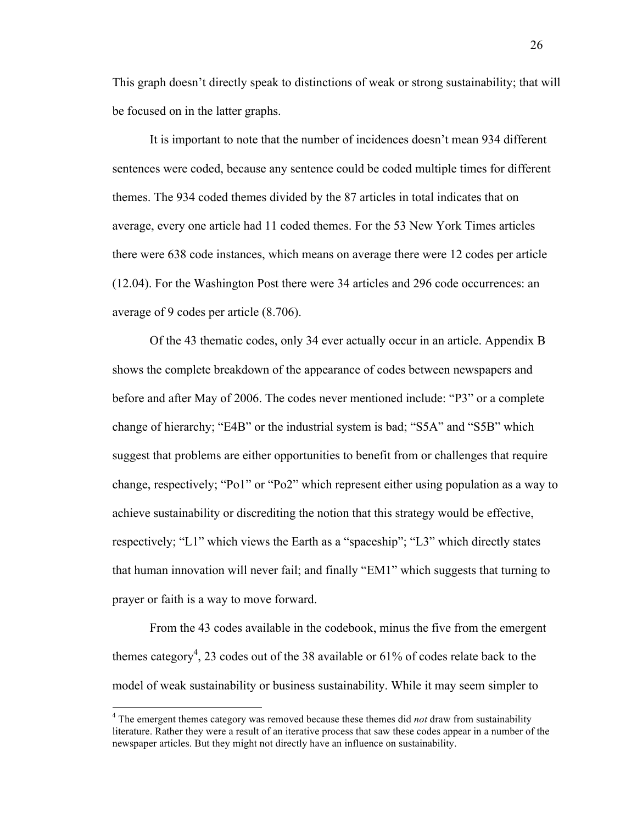This graph doesn't directly speak to distinctions of weak or strong sustainability; that will be focused on in the latter graphs.

It is important to note that the number of incidences doesn't mean 934 different sentences were coded, because any sentence could be coded multiple times for different themes. The 934 coded themes divided by the 87 articles in total indicates that on average, every one article had 11 coded themes. For the 53 New York Times articles there were 638 code instances, which means on average there were 12 codes per article (12.04). For the Washington Post there were 34 articles and 296 code occurrences: an average of 9 codes per article (8.706).

Of the 43 thematic codes, only 34 ever actually occur in an article. Appendix B shows the complete breakdown of the appearance of codes between newspapers and before and after May of 2006. The codes never mentioned include: "P3" or a complete change of hierarchy; "E4B" or the industrial system is bad; "S5A" and "S5B" which suggest that problems are either opportunities to benefit from or challenges that require change, respectively; "Po1" or "Po2" which represent either using population as a way to achieve sustainability or discrediting the notion that this strategy would be effective, respectively; "L1" which views the Earth as a "spaceship"; "L3" which directly states that human innovation will never fail; and finally "EM1" which suggests that turning to prayer or faith is a way to move forward.

From the 43 codes available in the codebook, minus the five from the emergent themes category<sup>4</sup>, 23 codes out of the 38 available or 61% of codes relate back to the model of weak sustainability or business sustainability. While it may seem simpler to

<sup>&</sup>lt;sup>4</sup> The emergent themes category was removed because these themes did *not* draw from sustainability literature. Rather they were a result of an iterative process that saw these codes appear in a number of the newspaper articles. But they might not directly have an influence on sustainability.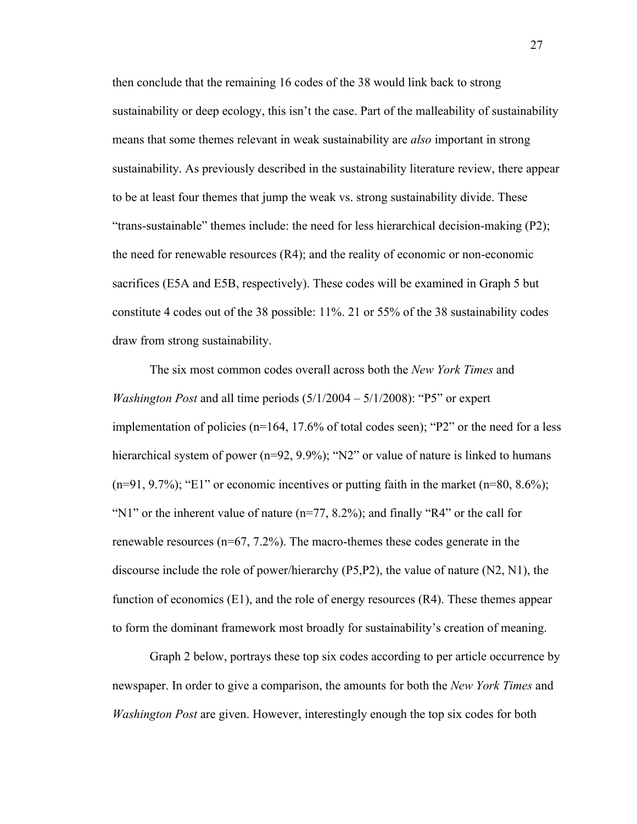then conclude that the remaining 16 codes of the 38 would link back to strong sustainability or deep ecology, this isn't the case. Part of the malleability of sustainability means that some themes relevant in weak sustainability are *also* important in strong sustainability. As previously described in the sustainability literature review, there appear to be at least four themes that jump the weak vs. strong sustainability divide. These "trans-sustainable" themes include: the need for less hierarchical decision-making (P2); the need for renewable resources (R4); and the reality of economic or non-economic sacrifices (E5A and E5B, respectively). These codes will be examined in Graph 5 but constitute 4 codes out of the 38 possible: 11%. 21 or 55% of the 38 sustainability codes draw from strong sustainability.

The six most common codes overall across both the *New York Times* and *Washington Post* and all time periods (5/1/2004 – 5/1/2008): "P5" or expert implementation of policies (n=164, 17.6% of total codes seen); "P2" or the need for a less hierarchical system of power (n=92, 9.9%); "N2" or value of nature is linked to humans  $(n=91, 9.7\%)$ ; "E1" or economic incentives or putting faith in the market  $(n=80, 8.6\%)$ ; "N1" or the inherent value of nature  $(n=77, 8.2\%)$ ; and finally "R4" or the call for renewable resources ( $n=67, 7.2\%$ ). The macro-themes these codes generate in the discourse include the role of power/hierarchy (P5,P2), the value of nature (N2, N1), the function of economics  $(E1)$ , and the role of energy resources  $(R4)$ . These themes appear to form the dominant framework most broadly for sustainability's creation of meaning.

Graph 2 below, portrays these top six codes according to per article occurrence by newspaper. In order to give a comparison, the amounts for both the *New York Times* and *Washington Post* are given. However, interestingly enough the top six codes for both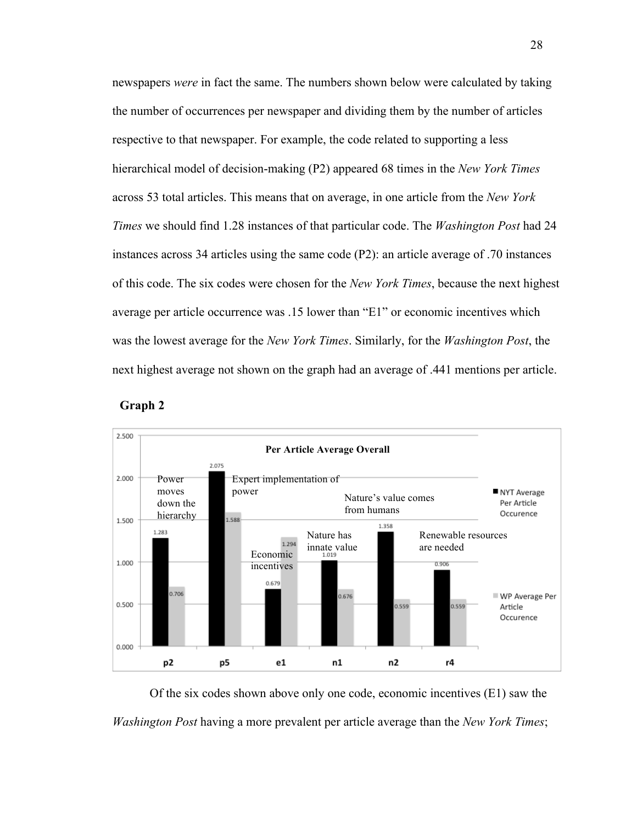newspapers *were* in fact the same. The numbers shown below were calculated by taking the number of occurrences per newspaper and dividing them by the number of articles respective to that newspaper. For example, the code related to supporting a less hierarchical model of decision-making (P2) appeared 68 times in the *New York Times*  across 53 total articles. This means that on average, in one article from the *New York Times* we should find 1.28 instances of that particular code. The *Washington Post* had 24 instances across 34 articles using the same code (P2): an article average of .70 instances of this code. The six codes were chosen for the *New York Times*, because the next highest average per article occurrence was .15 lower than "E1" or economic incentives which was the lowest average for the *New York Times*. Similarly, for the *Washington Post*, the next highest average not shown on the graph had an average of .441 mentions per article.





Of the six codes shown above only one code, economic incentives (E1) saw the *Washington Post* having a more prevalent per article average than the *New York Times*;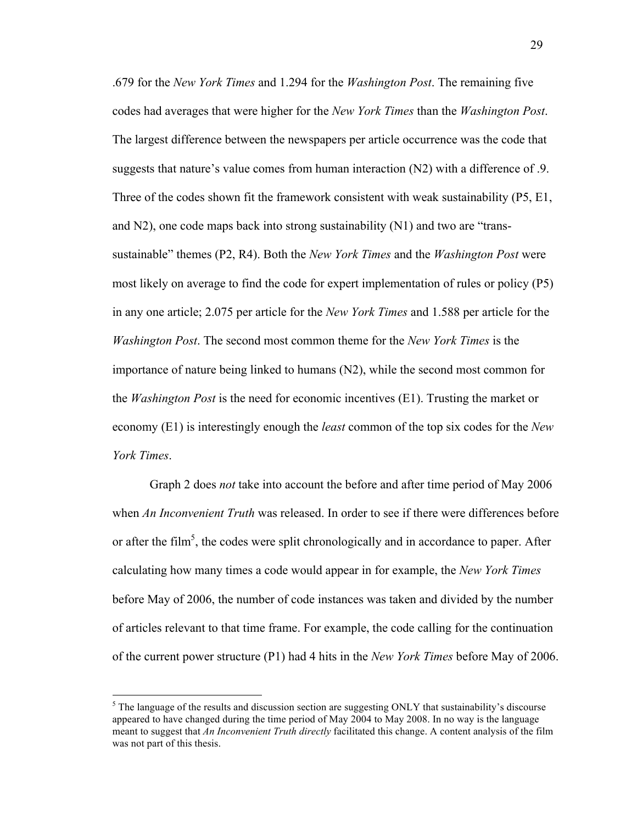.679 for the *New York Times* and 1.294 for the *Washington Post*. The remaining five codes had averages that were higher for the *New York Times* than the *Washington Post*. The largest difference between the newspapers per article occurrence was the code that suggests that nature's value comes from human interaction (N2) with a difference of .9. Three of the codes shown fit the framework consistent with weak sustainability (P5, E1, and N2), one code maps back into strong sustainability (N1) and two are "transsustainable" themes (P2, R4). Both the *New York Times* and the *Washington Post* were most likely on average to find the code for expert implementation of rules or policy (P5) in any one article; 2.075 per article for the *New York Times* and 1.588 per article for the *Washington Post*. The second most common theme for the *New York Times* is the importance of nature being linked to humans (N2), while the second most common for the *Washington Post* is the need for economic incentives (E1). Trusting the market or economy (E1) is interestingly enough the *least* common of the top six codes for the *New York Times*.

Graph 2 does *not* take into account the before and after time period of May 2006 when *An Inconvenient Truth* was released. In order to see if there were differences before or after the film<sup>5</sup>, the codes were split chronologically and in accordance to paper. After calculating how many times a code would appear in for example, the *New York Times* before May of 2006, the number of code instances was taken and divided by the number of articles relevant to that time frame. For example, the code calling for the continuation of the current power structure (P1) had 4 hits in the *New York Times* before May of 2006.

 $<sup>5</sup>$  The language of the results and discussion section are suggesting ONLY that sustainability's discourse</sup> appeared to have changed during the time period of May 2004 to May 2008. In no way is the language meant to suggest that *An Inconvenient Truth directly* facilitated this change. A content analysis of the film was not part of this thesis.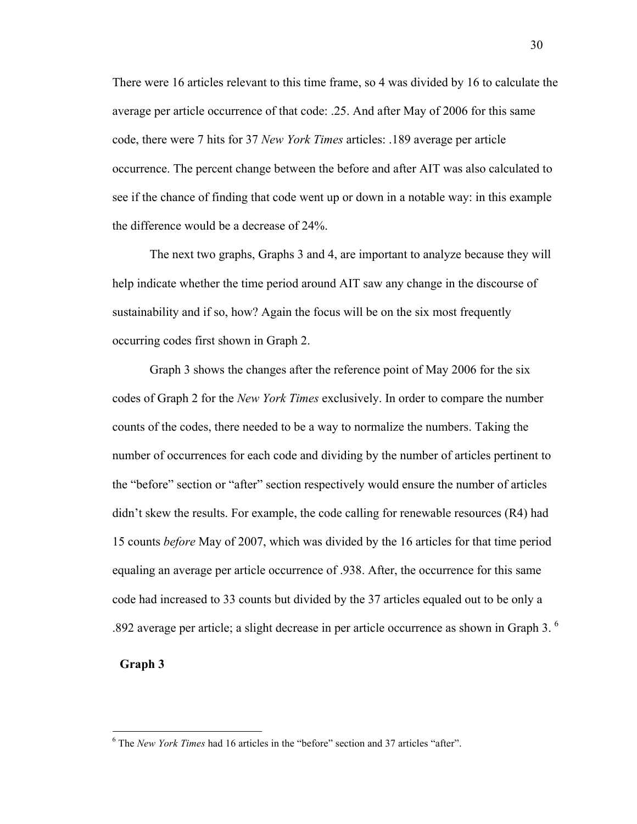There were 16 articles relevant to this time frame, so 4 was divided by 16 to calculate the average per article occurrence of that code: .25. And after May of 2006 for this same code, there were 7 hits for 37 *New York Times* articles: .189 average per article occurrence. The percent change between the before and after AIT was also calculated to see if the chance of finding that code went up or down in a notable way: in this example the difference would be a decrease of 24%.

The next two graphs, Graphs 3 and 4, are important to analyze because they will help indicate whether the time period around AIT saw any change in the discourse of sustainability and if so, how? Again the focus will be on the six most frequently occurring codes first shown in Graph 2.

Graph 3 shows the changes after the reference point of May 2006 for the six codes of Graph 2 for the *New York Times* exclusively. In order to compare the number counts of the codes, there needed to be a way to normalize the numbers. Taking the number of occurrences for each code and dividing by the number of articles pertinent to the "before" section or "after" section respectively would ensure the number of articles didn't skew the results. For example, the code calling for renewable resources (R4) had 15 counts *before* May of 2007, which was divided by the 16 articles for that time period equaling an average per article occurrence of .938. After, the occurrence for this same code had increased to 33 counts but divided by the 37 articles equaled out to be only a .892 average per article; a slight decrease in per article occurrence as shown in Graph 3. $<sup>6</sup>$ </sup>

# **Graph 3**

 <sup>6</sup> The *New York Times* had 16 articles in the "before" section and 37 articles "after".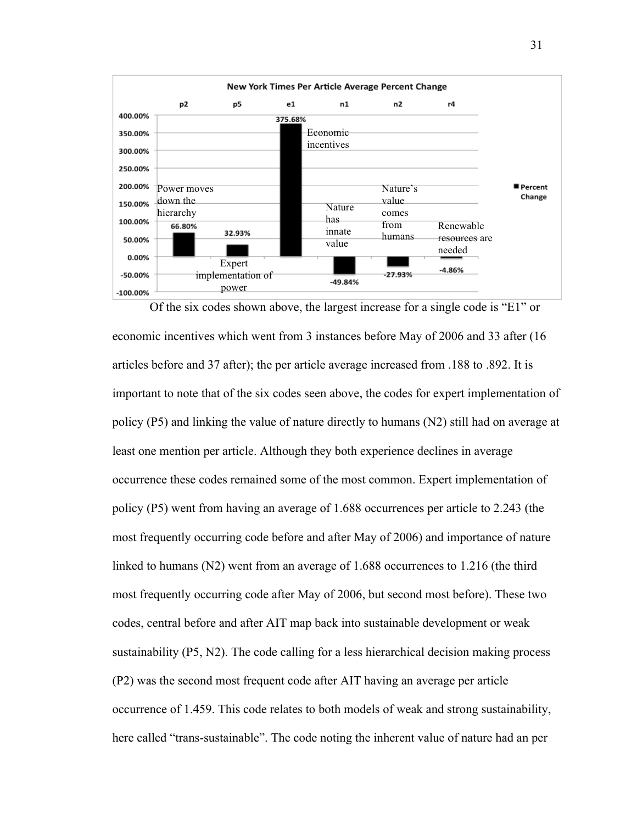

economic incentives which went from 3 instances before May of 2006 and 33 after (16 articles before and 37 after); the per article average increased from .188 to .892. It is important to note that of the six codes seen above, the codes for expert implementation of policy (P5) and linking the value of nature directly to humans (N2) still had on average at least one mention per article. Although they both experience declines in average occurrence these codes remained some of the most common. Expert implementation of policy (P5) went from having an average of 1.688 occurrences per article to 2.243 (the most frequently occurring code before and after May of 2006) and importance of nature linked to humans (N2) went from an average of 1.688 occurrences to 1.216 (the third most frequently occurring code after May of 2006, but second most before). These two codes, central before and after AIT map back into sustainable development or weak sustainability (P5, N2). The code calling for a less hierarchical decision making process (P2) was the second most frequent code after AIT having an average per article occurrence of 1.459. This code relates to both models of weak and strong sustainability, here called "trans-sustainable". The code noting the inherent value of nature had an per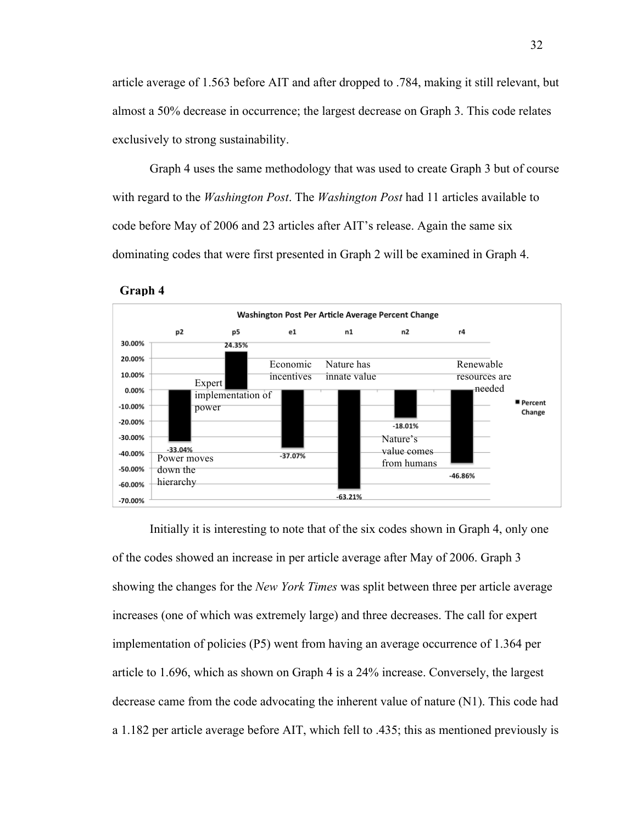article average of 1.563 before AIT and after dropped to .784, making it still relevant, but almost a 50% decrease in occurrence; the largest decrease on Graph 3. This code relates exclusively to strong sustainability.

Graph 4 uses the same methodology that was used to create Graph 3 but of course with regard to the *Washington Post*. The *Washington Post* had 11 articles available to code before May of 2006 and 23 articles after AIT's release. Again the same six dominating codes that were first presented in Graph 2 will be examined in Graph 4.





Initially it is interesting to note that of the six codes shown in Graph 4, only one of the codes showed an increase in per article average after May of 2006. Graph 3 showing the changes for the *New York Times* was split between three per article average increases (one of which was extremely large) and three decreases. The call for expert implementation of policies (P5) went from having an average occurrence of 1.364 per article to 1.696, which as shown on Graph 4 is a 24% increase. Conversely, the largest decrease came from the code advocating the inherent value of nature (N1). This code had a 1.182 per article average before AIT, which fell to .435; this as mentioned previously is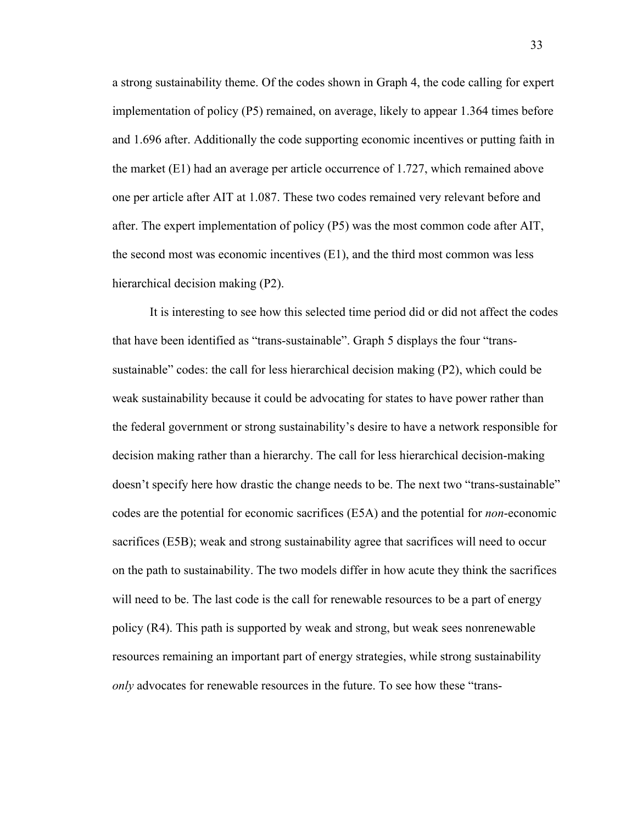a strong sustainability theme. Of the codes shown in Graph 4, the code calling for expert implementation of policy (P5) remained, on average, likely to appear 1.364 times before and 1.696 after. Additionally the code supporting economic incentives or putting faith in the market (E1) had an average per article occurrence of 1.727, which remained above one per article after AIT at 1.087. These two codes remained very relevant before and after. The expert implementation of policy (P5) was the most common code after AIT, the second most was economic incentives (E1), and the third most common was less hierarchical decision making (P2).

It is interesting to see how this selected time period did or did not affect the codes that have been identified as "trans-sustainable". Graph 5 displays the four "transsustainable" codes: the call for less hierarchical decision making (P2), which could be weak sustainability because it could be advocating for states to have power rather than the federal government or strong sustainability's desire to have a network responsible for decision making rather than a hierarchy. The call for less hierarchical decision-making doesn't specify here how drastic the change needs to be. The next two "trans-sustainable" codes are the potential for economic sacrifices (E5A) and the potential for *non*-economic sacrifices (E5B); weak and strong sustainability agree that sacrifices will need to occur on the path to sustainability. The two models differ in how acute they think the sacrifices will need to be. The last code is the call for renewable resources to be a part of energy policy (R4). This path is supported by weak and strong, but weak sees nonrenewable resources remaining an important part of energy strategies, while strong sustainability *only* advocates for renewable resources in the future. To see how these "trans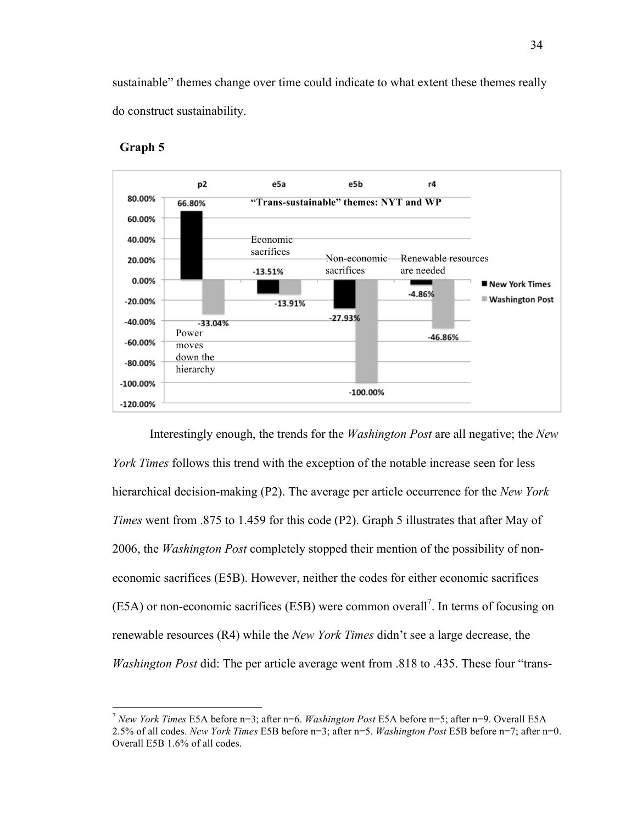sustainable" themes change over time could indicate to what extent these themes really do construct sustainability.



# **Graph 5**

Interestingly enough, the trends for the *Washington Post* are all negative; the *New York Times* follows this trend with the exception of the notable increase seen for less hierarchical decision-making (P2). The average per article occurrence for the *New York Times* went from .875 to 1.459 for this code (P2). Graph 5 illustrates that after May of 2006, the *Washington Post* completely stopped their mention of the possibility of noneconomic sacrifices (E5B). However, neither the codes for either economic sacrifices  $(E5A)$  or non-economic sacrifices  $(E5B)$  were common overall<sup>7</sup>. In terms of focusing on renewable resources (R4) while the *New York Times* didn't see a large decrease, the *Washington Post* did: The per article average went from .818 to .435. These four "trans-

 <sup>7</sup> *New York Times* E5A before n=3; after n=6. *Washington Post* E5A before n=5; after n=9. Overall E5A 2.5% of all codes. *New York Times* E5B before n=3; after n=5. *Washington Post* E5B before n=7; after n=0. Overall E5B 1.6% of all codes.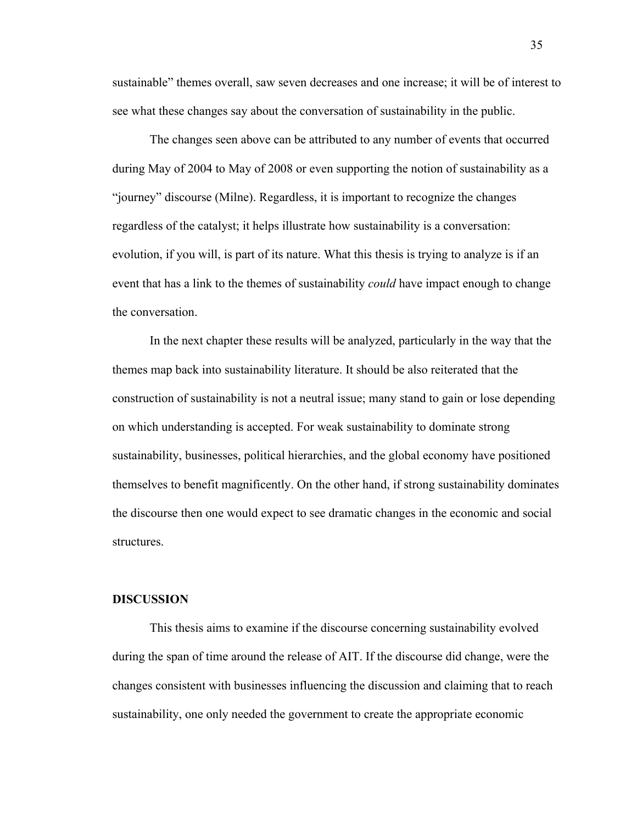sustainable" themes overall, saw seven decreases and one increase; it will be of interest to see what these changes say about the conversation of sustainability in the public.

The changes seen above can be attributed to any number of events that occurred during May of 2004 to May of 2008 or even supporting the notion of sustainability as a "journey" discourse (Milne). Regardless, it is important to recognize the changes regardless of the catalyst; it helps illustrate how sustainability is a conversation: evolution, if you will, is part of its nature. What this thesis is trying to analyze is if an event that has a link to the themes of sustainability *could* have impact enough to change the conversation.

In the next chapter these results will be analyzed, particularly in the way that the themes map back into sustainability literature. It should be also reiterated that the construction of sustainability is not a neutral issue; many stand to gain or lose depending on which understanding is accepted. For weak sustainability to dominate strong sustainability, businesses, political hierarchies, and the global economy have positioned themselves to benefit magnificently. On the other hand, if strong sustainability dominates the discourse then one would expect to see dramatic changes in the economic and social structures.

## **DISCUSSION**

This thesis aims to examine if the discourse concerning sustainability evolved during the span of time around the release of AIT. If the discourse did change, were the changes consistent with businesses influencing the discussion and claiming that to reach sustainability, one only needed the government to create the appropriate economic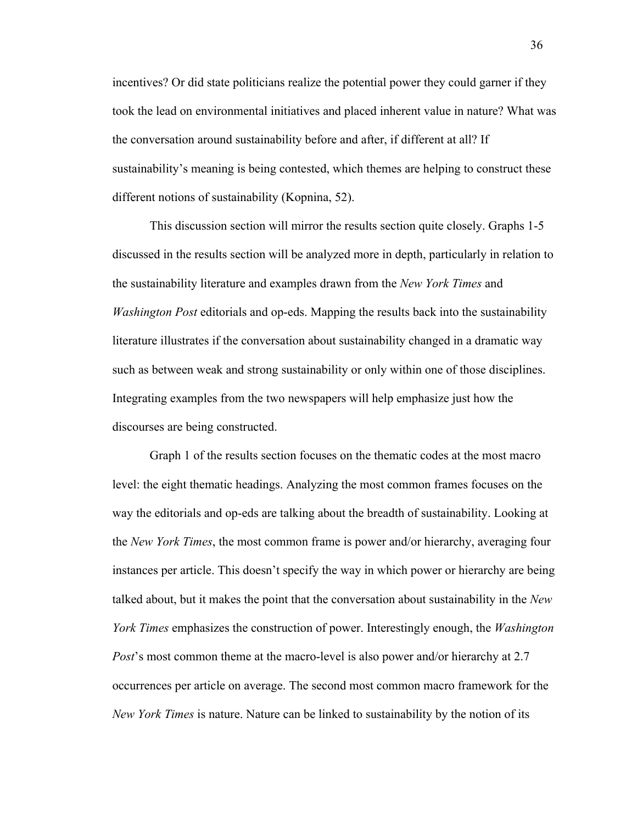incentives? Or did state politicians realize the potential power they could garner if they took the lead on environmental initiatives and placed inherent value in nature? What was the conversation around sustainability before and after, if different at all? If sustainability's meaning is being contested, which themes are helping to construct these different notions of sustainability (Kopnina, 52).

This discussion section will mirror the results section quite closely. Graphs 1-5 discussed in the results section will be analyzed more in depth, particularly in relation to the sustainability literature and examples drawn from the *New York Times* and *Washington Post* editorials and op-eds. Mapping the results back into the sustainability literature illustrates if the conversation about sustainability changed in a dramatic way such as between weak and strong sustainability or only within one of those disciplines. Integrating examples from the two newspapers will help emphasize just how the discourses are being constructed.

Graph 1 of the results section focuses on the thematic codes at the most macro level: the eight thematic headings. Analyzing the most common frames focuses on the way the editorials and op-eds are talking about the breadth of sustainability. Looking at the *New York Times*, the most common frame is power and/or hierarchy, averaging four instances per article. This doesn't specify the way in which power or hierarchy are being talked about, but it makes the point that the conversation about sustainability in the *New York Times* emphasizes the construction of power. Interestingly enough, the *Washington Post*'s most common theme at the macro-level is also power and/or hierarchy at 2.7 occurrences per article on average. The second most common macro framework for the *New York Times* is nature. Nature can be linked to sustainability by the notion of its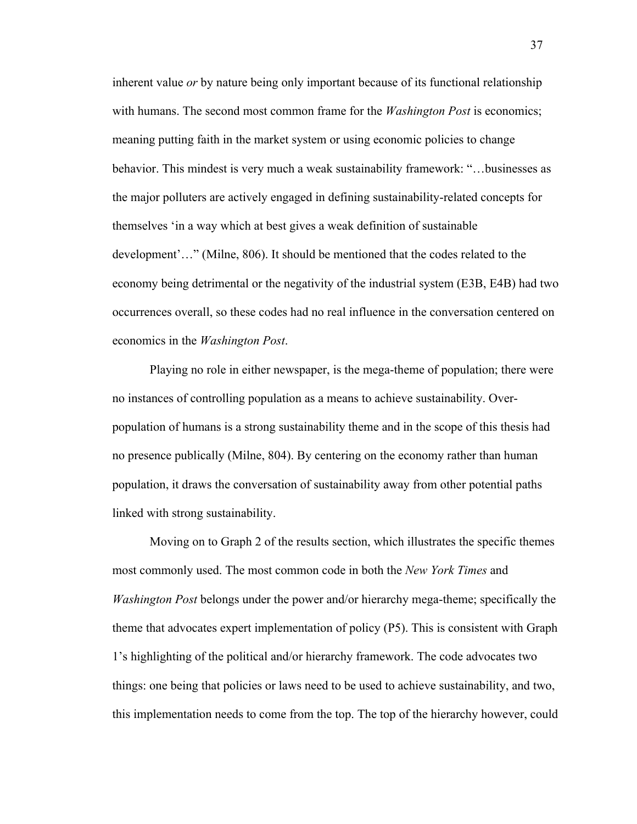inherent value *or* by nature being only important because of its functional relationship with humans. The second most common frame for the *Washington Post* is economics; meaning putting faith in the market system or using economic policies to change behavior. This mindest is very much a weak sustainability framework: "…businesses as the major polluters are actively engaged in defining sustainability-related concepts for themselves 'in a way which at best gives a weak definition of sustainable development'…" (Milne, 806). It should be mentioned that the codes related to the economy being detrimental or the negativity of the industrial system (E3B, E4B) had two occurrences overall, so these codes had no real influence in the conversation centered on economics in the *Washington Post*.

Playing no role in either newspaper, is the mega-theme of population; there were no instances of controlling population as a means to achieve sustainability. Overpopulation of humans is a strong sustainability theme and in the scope of this thesis had no presence publically (Milne, 804). By centering on the economy rather than human population, it draws the conversation of sustainability away from other potential paths linked with strong sustainability.

Moving on to Graph 2 of the results section, which illustrates the specific themes most commonly used. The most common code in both the *New York Times* and *Washington Post* belongs under the power and/or hierarchy mega-theme; specifically the theme that advocates expert implementation of policy (P5). This is consistent with Graph 1's highlighting of the political and/or hierarchy framework. The code advocates two things: one being that policies or laws need to be used to achieve sustainability, and two, this implementation needs to come from the top. The top of the hierarchy however, could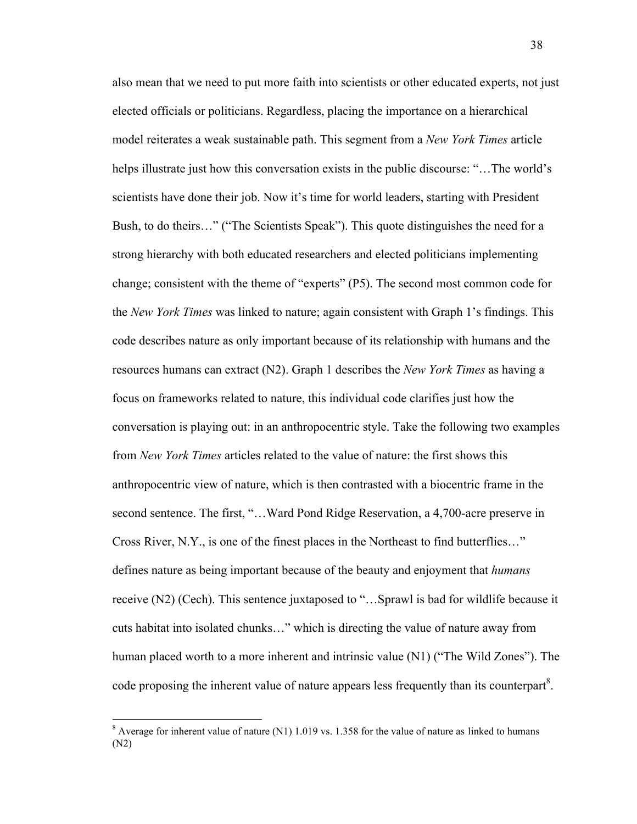also mean that we need to put more faith into scientists or other educated experts, not just elected officials or politicians. Regardless, placing the importance on a hierarchical model reiterates a weak sustainable path. This segment from a *New York Times* article helps illustrate just how this conversation exists in the public discourse: "…The world's scientists have done their job. Now it's time for world leaders, starting with President Bush, to do theirs…" ("The Scientists Speak"). This quote distinguishes the need for a strong hierarchy with both educated researchers and elected politicians implementing change; consistent with the theme of "experts" (P5). The second most common code for the *New York Times* was linked to nature; again consistent with Graph 1's findings. This code describes nature as only important because of its relationship with humans and the resources humans can extract (N2). Graph 1 describes the *New York Times* as having a focus on frameworks related to nature, this individual code clarifies just how the conversation is playing out: in an anthropocentric style. Take the following two examples from *New York Times* articles related to the value of nature: the first shows this anthropocentric view of nature, which is then contrasted with a biocentric frame in the second sentence. The first, "…Ward Pond Ridge Reservation, a 4,700-acre preserve in Cross River, N.Y., is one of the finest places in the Northeast to find butterflies…" defines nature as being important because of the beauty and enjoyment that *humans* receive (N2) (Cech). This sentence juxtaposed to "…Sprawl is bad for wildlife because it cuts habitat into isolated chunks…" which is directing the value of nature away from human placed worth to a more inherent and intrinsic value (N1) ("The Wild Zones"). The code proposing the inherent value of nature appears less frequently than its counterpart<sup>8</sup>.

 <sup>8</sup> Average for inherent value of nature (N1) 1.019 vs. 1.358 for the value of nature as linked to humans (N2)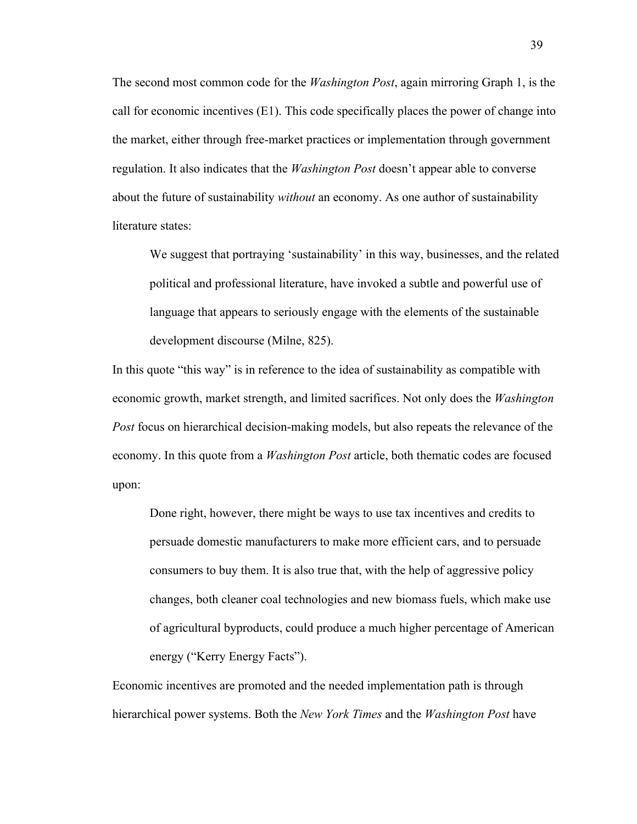The second most common code for the *Washington Post*, again mirroring Graph 1, is the call for economic incentives  $(E1)$ . This code specifically places the power of change into the market, either through free-market practices or implementation through government regulation. It also indicates that the *Washington Post* doesn't appear able to converse about the future of sustainability *without* an economy. As one author of sustainability literature states:

We suggest that portraying 'sustainability' in this way, businesses, and the related political and professional literature, have invoked a subtle and powerful use of language that appears to seriously engage with the elements of the sustainable development discourse (Milne, 825).

In this quote "this way" is in reference to the idea of sustainability as compatible with economic growth, market strength, and limited sacrifices. Not only does the *Washington Post* focus on hierarchical decision-making models, but also repeats the relevance of the economy. In this quote from a *Washington Post* article, both thematic codes are focused upon:

Done right, however, there might be ways to use tax incentives and credits to persuade domestic manufacturers to make more efficient cars, and to persuade consumers to buy them. It is also true that, with the help of aggressive policy changes, both cleaner coal technologies and new biomass fuels, which make use of agricultural byproducts, could produce a much higher percentage of American energy ("Kerry Energy Facts").

Economic incentives are promoted and the needed implementation path is through hierarchical power systems. Both the *New York Times* and the *Washington Post* have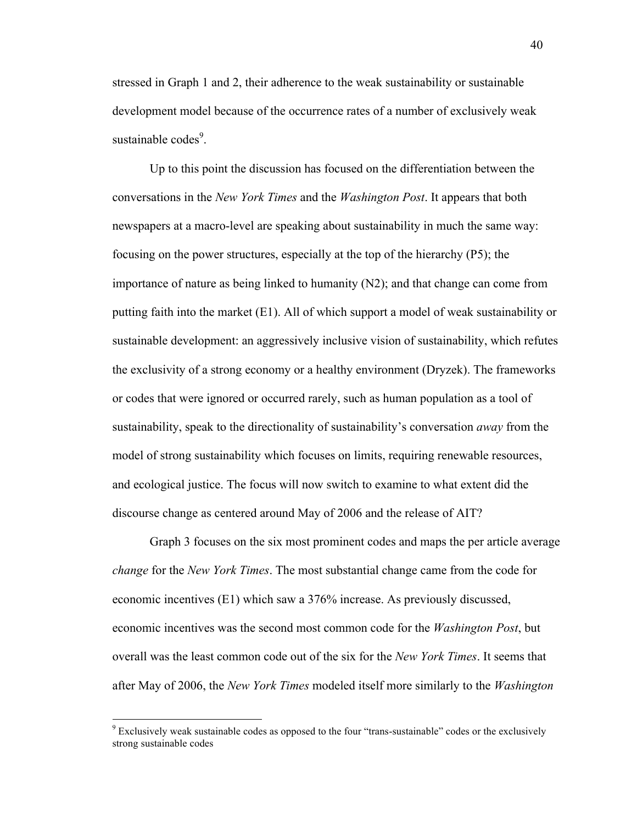stressed in Graph 1 and 2, their adherence to the weak sustainability or sustainable development model because of the occurrence rates of a number of exclusively weak sustainable codes<sup>9</sup>.

Up to this point the discussion has focused on the differentiation between the conversations in the *New York Times* and the *Washington Post*. It appears that both newspapers at a macro-level are speaking about sustainability in much the same way: focusing on the power structures, especially at the top of the hierarchy (P5); the importance of nature as being linked to humanity  $(N2)$ ; and that change can come from putting faith into the market (E1). All of which support a model of weak sustainability or sustainable development: an aggressively inclusive vision of sustainability, which refutes the exclusivity of a strong economy or a healthy environment (Dryzek). The frameworks or codes that were ignored or occurred rarely, such as human population as a tool of sustainability, speak to the directionality of sustainability's conversation *away* from the model of strong sustainability which focuses on limits, requiring renewable resources, and ecological justice. The focus will now switch to examine to what extent did the discourse change as centered around May of 2006 and the release of AIT?

Graph 3 focuses on the six most prominent codes and maps the per article average *change* for the *New York Times*. The most substantial change came from the code for economic incentives (E1) which saw a 376% increase. As previously discussed, economic incentives was the second most common code for the *Washington Post*, but overall was the least common code out of the six for the *New York Times*. It seems that after May of 2006, the *New York Times* modeled itself more similarly to the *Washington* 

 $9$  Exclusively weak sustainable codes as opposed to the four "trans-sustainable" codes or the exclusively strong sustainable codes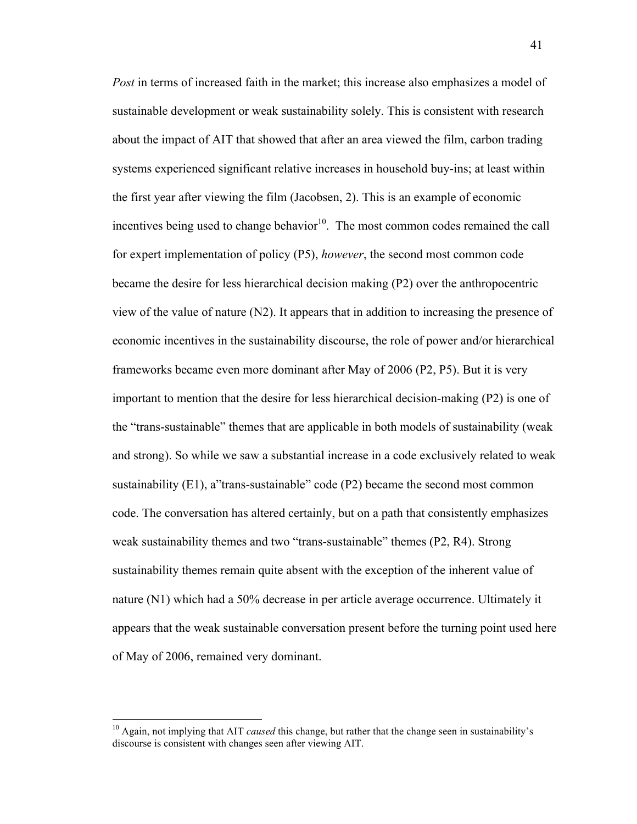*Post* in terms of increased faith in the market; this increase also emphasizes a model of sustainable development or weak sustainability solely. This is consistent with research about the impact of AIT that showed that after an area viewed the film, carbon trading systems experienced significant relative increases in household buy-ins; at least within the first year after viewing the film (Jacobsen, 2). This is an example of economic incentives being used to change behavior $10$ . The most common codes remained the call for expert implementation of policy (P5), *however*, the second most common code became the desire for less hierarchical decision making (P2) over the anthropocentric view of the value of nature (N2). It appears that in addition to increasing the presence of economic incentives in the sustainability discourse, the role of power and/or hierarchical frameworks became even more dominant after May of 2006 (P2, P5). But it is very important to mention that the desire for less hierarchical decision-making (P2) is one of the "trans-sustainable" themes that are applicable in both models of sustainability (weak and strong). So while we saw a substantial increase in a code exclusively related to weak sustainability (E1), a"trans-sustainable" code (P2) became the second most common code. The conversation has altered certainly, but on a path that consistently emphasizes weak sustainability themes and two "trans-sustainable" themes (P2, R4). Strong sustainability themes remain quite absent with the exception of the inherent value of nature (N1) which had a 50% decrease in per article average occurrence. Ultimately it appears that the weak sustainable conversation present before the turning point used here of May of 2006, remained very dominant.

<sup>&</sup>lt;sup>10</sup> Again, not implying that AIT *caused* this change, but rather that the change seen in sustainability's discourse is consistent with changes seen after viewing AIT.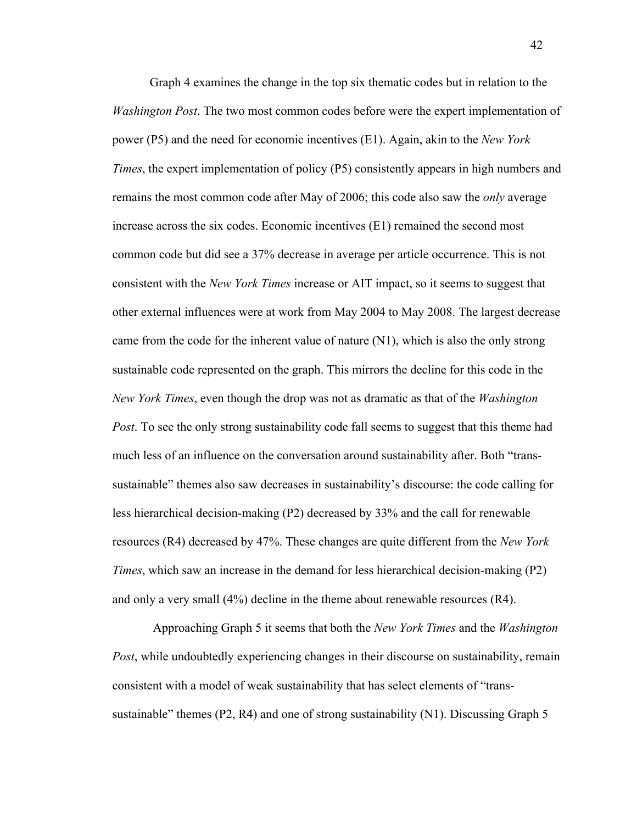Graph 4 examines the change in the top six thematic codes but in relation to the *Washington Post*. The two most common codes before were the expert implementation of power (P5) and the need for economic incentives (E1). Again, akin to the *New York Times*, the expert implementation of policy (P5) consistently appears in high numbers and remains the most common code after May of 2006; this code also saw the *only* average increase across the six codes. Economic incentives (E1) remained the second most common code but did see a 37% decrease in average per article occurrence. This is not consistent with the *New York Times* increase or AIT impact, so it seems to suggest that other external influences were at work from May 2004 to May 2008. The largest decrease came from the code for the inherent value of nature (N1), which is also the only strong sustainable code represented on the graph. This mirrors the decline for this code in the *New York Times*, even though the drop was not as dramatic as that of the *Washington Post*. To see the only strong sustainability code fall seems to suggest that this theme had much less of an influence on the conversation around sustainability after. Both "transsustainable" themes also saw decreases in sustainability's discourse: the code calling for less hierarchical decision-making (P2) decreased by 33% and the call for renewable resources (R4) decreased by 47%. These changes are quite different from the *New York Times*, which saw an increase in the demand for less hierarchical decision-making (P2) and only a very small (4%) decline in the theme about renewable resources (R4).

Approaching Graph 5 it seems that both the *New York Times* and the *Washington Post*, while undoubtedly experiencing changes in their discourse on sustainability, remain consistent with a model of weak sustainability that has select elements of "transsustainable" themes (P2, R4) and one of strong sustainability (N1). Discussing Graph 5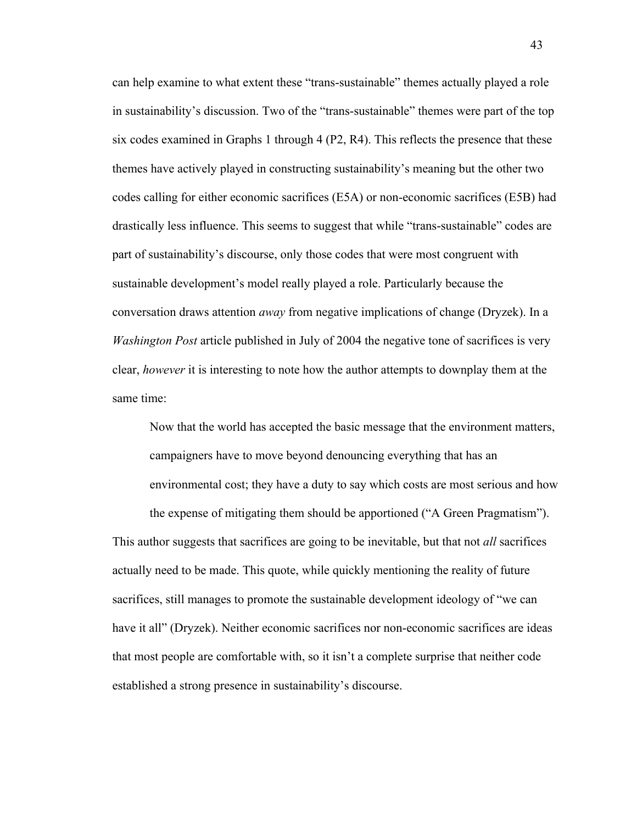can help examine to what extent these "trans-sustainable" themes actually played a role in sustainability's discussion. Two of the "trans-sustainable" themes were part of the top six codes examined in Graphs 1 through 4 (P2, R4). This reflects the presence that these themes have actively played in constructing sustainability's meaning but the other two codes calling for either economic sacrifices (E5A) or non-economic sacrifices (E5B) had drastically less influence. This seems to suggest that while "trans-sustainable" codes are part of sustainability's discourse, only those codes that were most congruent with sustainable development's model really played a role. Particularly because the conversation draws attention *away* from negative implications of change (Dryzek). In a *Washington Post* article published in July of 2004 the negative tone of sacrifices is very clear, *however* it is interesting to note how the author attempts to downplay them at the same time:

Now that the world has accepted the basic message that the environment matters, campaigners have to move beyond denouncing everything that has an environmental cost; they have a duty to say which costs are most serious and how the expense of mitigating them should be apportioned ("A Green Pragmatism").

This author suggests that sacrifices are going to be inevitable, but that not *all* sacrifices actually need to be made. This quote, while quickly mentioning the reality of future sacrifices, still manages to promote the sustainable development ideology of "we can have it all" (Dryzek). Neither economic sacrifices nor non-economic sacrifices are ideas that most people are comfortable with, so it isn't a complete surprise that neither code established a strong presence in sustainability's discourse.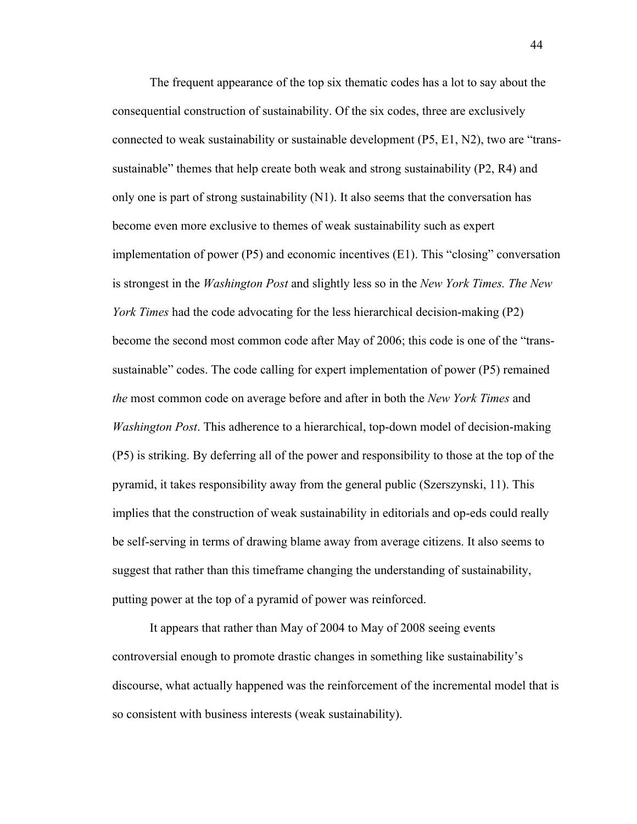The frequent appearance of the top six thematic codes has a lot to say about the consequential construction of sustainability. Of the six codes, three are exclusively connected to weak sustainability or sustainable development (P5, E1, N2), two are "transsustainable" themes that help create both weak and strong sustainability (P2, R4) and only one is part of strong sustainability  $(N1)$ . It also seems that the conversation has become even more exclusive to themes of weak sustainability such as expert implementation of power (P5) and economic incentives (E1). This "closing" conversation is strongest in the *Washington Post* and slightly less so in the *New York Times. The New York Times* had the code advocating for the less hierarchical decision-making (P2) become the second most common code after May of 2006; this code is one of the "transsustainable" codes. The code calling for expert implementation of power (P5) remained *the* most common code on average before and after in both the *New York Times* and *Washington Post*. This adherence to a hierarchical, top-down model of decision-making (P5) is striking. By deferring all of the power and responsibility to those at the top of the pyramid, it takes responsibility away from the general public (Szerszynski, 11). This implies that the construction of weak sustainability in editorials and op-eds could really be self-serving in terms of drawing blame away from average citizens. It also seems to suggest that rather than this timeframe changing the understanding of sustainability, putting power at the top of a pyramid of power was reinforced.

It appears that rather than May of 2004 to May of 2008 seeing events controversial enough to promote drastic changes in something like sustainability's discourse, what actually happened was the reinforcement of the incremental model that is so consistent with business interests (weak sustainability).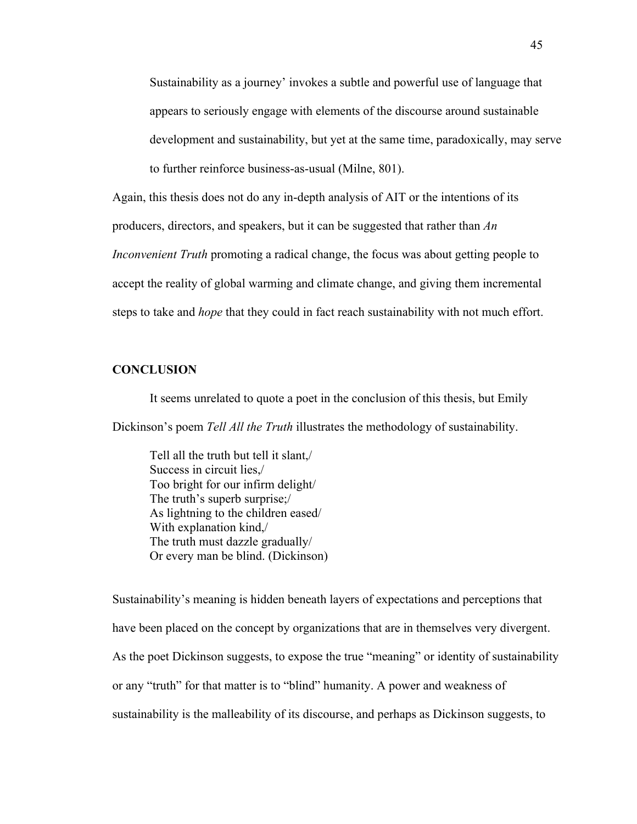Sustainability as a journey' invokes a subtle and powerful use of language that appears to seriously engage with elements of the discourse around sustainable development and sustainability, but yet at the same time, paradoxically, may serve

to further reinforce business-as-usual (Milne, 801).

Again, this thesis does not do any in-depth analysis of AIT or the intentions of its

producers, directors, and speakers, but it can be suggested that rather than *An* 

*Inconvenient Truth* promoting a radical change, the focus was about getting people to accept the reality of global warming and climate change, and giving them incremental steps to take and *hope* that they could in fact reach sustainability with not much effort.

# **CONCLUSION**

It seems unrelated to quote a poet in the conclusion of this thesis, but Emily Dickinson's poem *Tell All the Truth* illustrates the methodology of sustainability.

Tell all the truth but tell it slant,/ Success in circuit lies,/ Too bright for our infirm delight/ The truth's superb surprise;/ As lightning to the children eased/ With explanation kind,/ The truth must dazzle gradually/ Or every man be blind. (Dickinson)

Sustainability's meaning is hidden beneath layers of expectations and perceptions that have been placed on the concept by organizations that are in themselves very divergent. As the poet Dickinson suggests, to expose the true "meaning" or identity of sustainability or any "truth" for that matter is to "blind" humanity. A power and weakness of sustainability is the malleability of its discourse, and perhaps as Dickinson suggests, to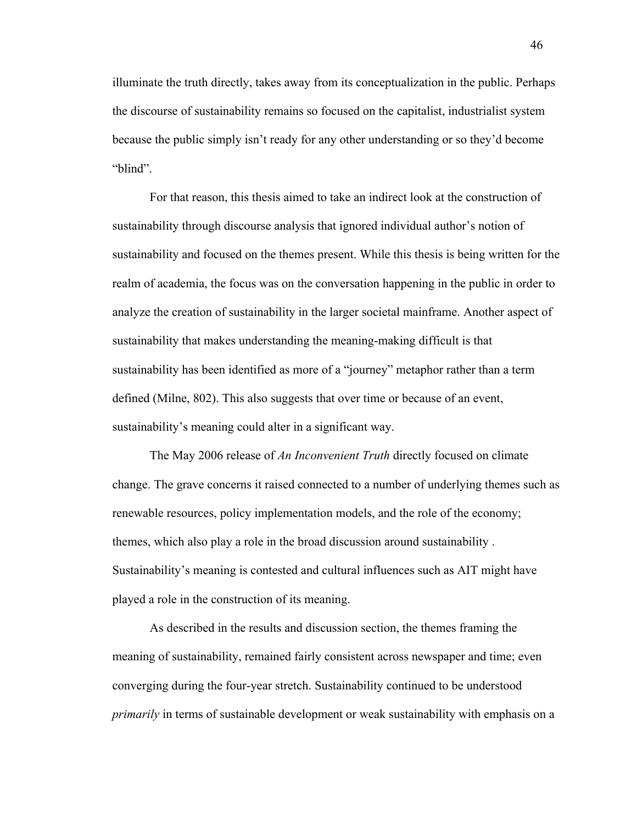illuminate the truth directly, takes away from its conceptualization in the public. Perhaps the discourse of sustainability remains so focused on the capitalist, industrialist system because the public simply isn't ready for any other understanding or so they'd become "blind".

For that reason, this thesis aimed to take an indirect look at the construction of sustainability through discourse analysis that ignored individual author's notion of sustainability and focused on the themes present. While this thesis is being written for the realm of academia, the focus was on the conversation happening in the public in order to analyze the creation of sustainability in the larger societal mainframe. Another aspect of sustainability that makes understanding the meaning-making difficult is that sustainability has been identified as more of a "journey" metaphor rather than a term defined (Milne, 802). This also suggests that over time or because of an event, sustainability's meaning could alter in a significant way.

The May 2006 release of *An Inconvenient Truth* directly focused on climate change. The grave concerns it raised connected to a number of underlying themes such as renewable resources, policy implementation models, and the role of the economy; themes, which also play a role in the broad discussion around sustainability . Sustainability's meaning is contested and cultural influences such as AIT might have played a role in the construction of its meaning.

As described in the results and discussion section, the themes framing the meaning of sustainability, remained fairly consistent across newspaper and time; even converging during the four-year stretch. Sustainability continued to be understood *primarily* in terms of sustainable development or weak sustainability with emphasis on a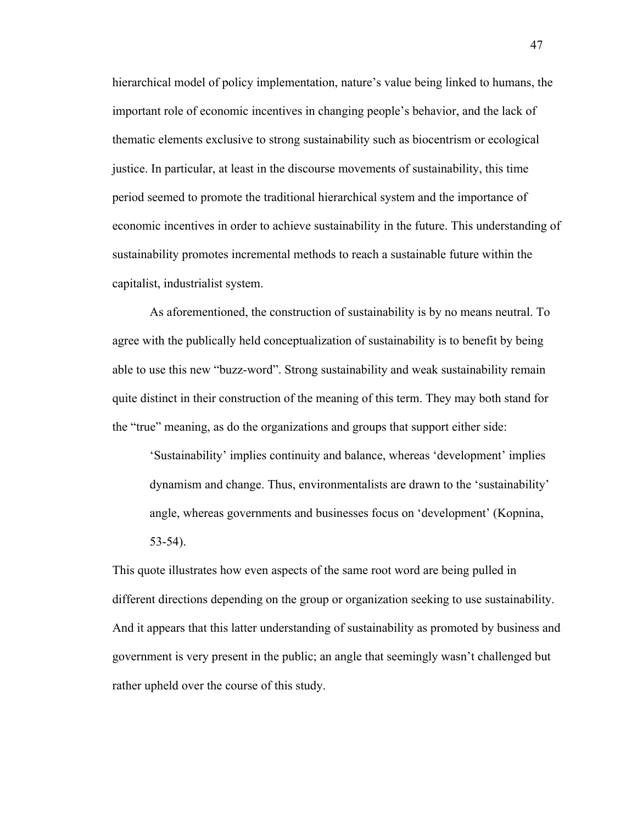hierarchical model of policy implementation, nature's value being linked to humans, the important role of economic incentives in changing people's behavior, and the lack of thematic elements exclusive to strong sustainability such as biocentrism or ecological justice. In particular, at least in the discourse movements of sustainability, this time period seemed to promote the traditional hierarchical system and the importance of economic incentives in order to achieve sustainability in the future. This understanding of sustainability promotes incremental methods to reach a sustainable future within the capitalist, industrialist system.

As aforementioned, the construction of sustainability is by no means neutral. To agree with the publically held conceptualization of sustainability is to benefit by being able to use this new "buzz-word". Strong sustainability and weak sustainability remain quite distinct in their construction of the meaning of this term. They may both stand for the "true" meaning, as do the organizations and groups that support either side:

'Sustainability' implies continuity and balance, whereas 'development' implies dynamism and change. Thus, environmentalists are drawn to the 'sustainability' angle, whereas governments and businesses focus on 'development' (Kopnina, 53-54).

This quote illustrates how even aspects of the same root word are being pulled in different directions depending on the group or organization seeking to use sustainability. And it appears that this latter understanding of sustainability as promoted by business and government is very present in the public; an angle that seemingly wasn't challenged but rather upheld over the course of this study.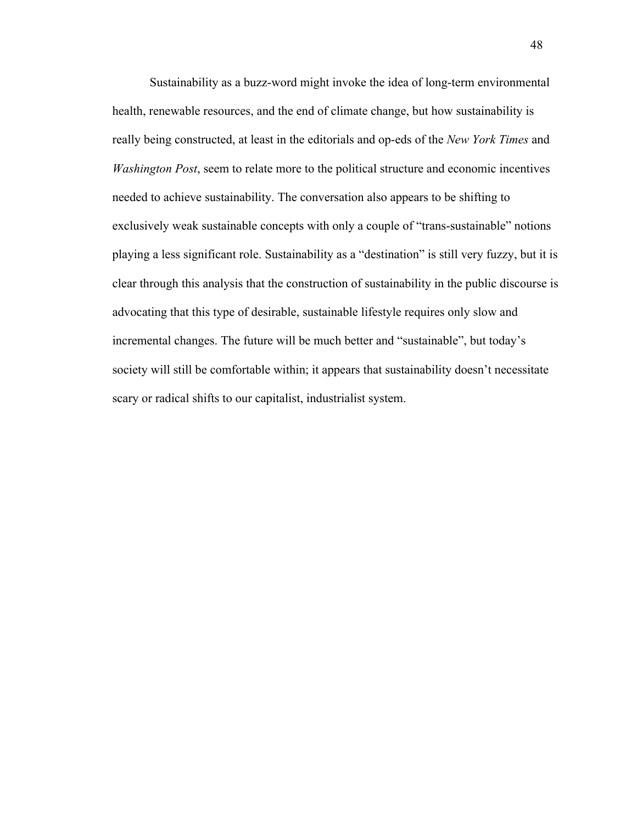Sustainability as a buzz-word might invoke the idea of long-term environmental health, renewable resources, and the end of climate change, but how sustainability is really being constructed, at least in the editorials and op-eds of the *New York Times* and *Washington Post*, seem to relate more to the political structure and economic incentives needed to achieve sustainability. The conversation also appears to be shifting to exclusively weak sustainable concepts with only a couple of "trans-sustainable" notions playing a less significant role. Sustainability as a "destination" is still very fuzzy, but it is clear through this analysis that the construction of sustainability in the public discourse is advocating that this type of desirable, sustainable lifestyle requires only slow and incremental changes. The future will be much better and "sustainable", but today's society will still be comfortable within; it appears that sustainability doesn't necessitate scary or radical shifts to our capitalist, industrialist system.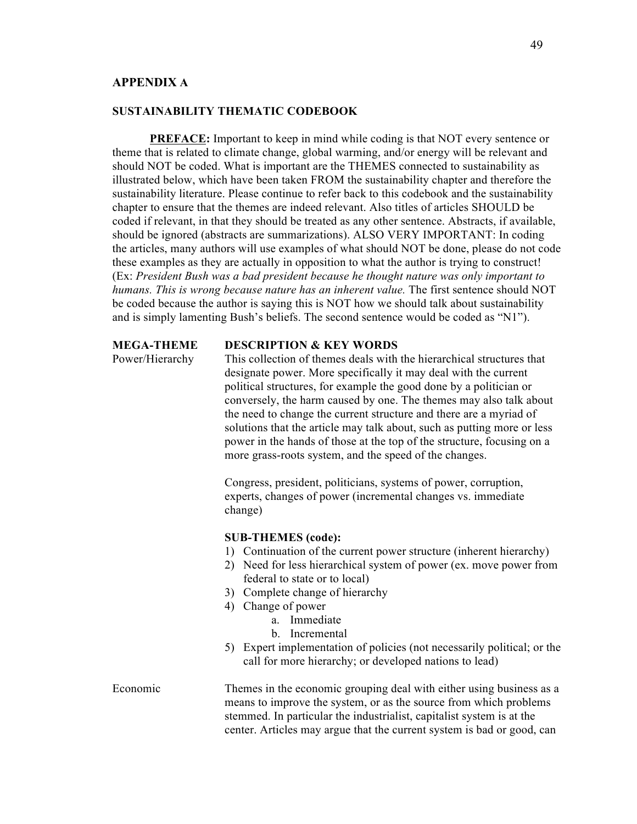# **APPENDIX A**

## **SUSTAINABILITY THEMATIC CODEBOOK**

**PREFACE:** Important to keep in mind while coding is that NOT every sentence or theme that is related to climate change, global warming, and/or energy will be relevant and should NOT be coded. What is important are the THEMES connected to sustainability as illustrated below, which have been taken FROM the sustainability chapter and therefore the sustainability literature. Please continue to refer back to this codebook and the sustainability chapter to ensure that the themes are indeed relevant. Also titles of articles SHOULD be coded if relevant, in that they should be treated as any other sentence. Abstracts, if available, should be ignored (abstracts are summarizations). ALSO VERY IMPORTANT: In coding the articles, many authors will use examples of what should NOT be done, please do not code these examples as they are actually in opposition to what the author is trying to construct! (Ex: *President Bush was a bad president because he thought nature was only important to humans. This is wrong because nature has an inherent value.* The first sentence should NOT be coded because the author is saying this is NOT how we should talk about sustainability and is simply lamenting Bush's beliefs. The second sentence would be coded as "N1").

### **MEGA-THEME DESCRIPTION & KEY WORDS**

Power/Hierarchy This collection of themes deals with the hierarchical structures that designate power. More specifically it may deal with the current political structures, for example the good done by a politician or conversely, the harm caused by one. The themes may also talk about the need to change the current structure and there are a myriad of solutions that the article may talk about, such as putting more or less power in the hands of those at the top of the structure, focusing on a more grass-roots system, and the speed of the changes.

> Congress, president, politicians, systems of power, corruption, experts, changes of power (incremental changes vs. immediate change)

## **SUB-THEMES (code):**

- 1) Continuation of the current power structure (inherent hierarchy)
- 2) Need for less hierarchical system of power (ex. move power from federal to state or to local)
- 3) Complete change of hierarchy
- 4) Change of power
	- a. Immediate
	- b. Incremental
- 5) Expert implementation of policies (not necessarily political; or the call for more hierarchy; or developed nations to lead)

Economic Themes in the economic grouping deal with either using business as a means to improve the system, or as the source from which problems stemmed. In particular the industrialist, capitalist system is at the center. Articles may argue that the current system is bad or good, can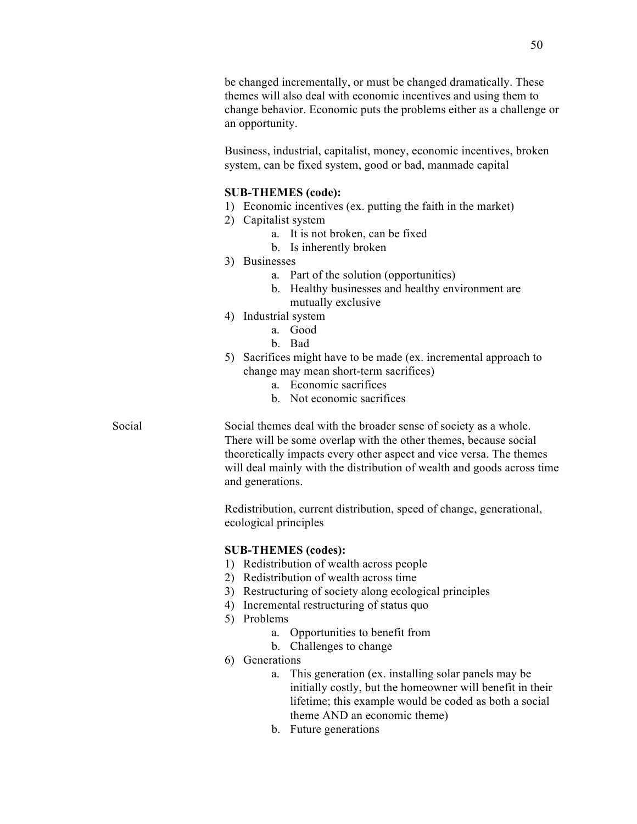be changed incrementally, or must be changed dramatically. These themes will also deal with economic incentives and using them to change behavior. Economic puts the problems either as a challenge or an opportunity.

Business, industrial, capitalist, money, economic incentives, broken system, can be fixed system, good or bad, manmade capital

#### **SUB-THEMES (code):**

- 1) Economic incentives (ex. putting the faith in the market)
- 2) Capitalist system
	- a. It is not broken, can be fixed
	- b. Is inherently broken
- 3) Businesses
	- a. Part of the solution (opportunities)
	- b. Healthy businesses and healthy environment are mutually exclusive
- 4) Industrial system
	- a. Good
	- b. Bad
- 5) Sacrifices might have to be made (ex. incremental approach to change may mean short-term sacrifices)
	- a. Economic sacrifices
	- b. Not economic sacrifices

Social Social themes deal with the broader sense of society as a whole. There will be some overlap with the other themes, because social theoretically impacts every other aspect and vice versa. The themes will deal mainly with the distribution of wealth and goods across time and generations.

> Redistribution, current distribution, speed of change, generational, ecological principles

## **SUB-THEMES (codes):**

- 1) Redistribution of wealth across people
- 2) Redistribution of wealth across time
- 3) Restructuring of society along ecological principles
- 4) Incremental restructuring of status quo
- 5) Problems
	- a. Opportunities to benefit from
	- b. Challenges to change
- 6) Generations
	- a. This generation (ex. installing solar panels may be initially costly, but the homeowner will benefit in their lifetime; this example would be coded as both a social theme AND an economic theme)
	- b. Future generations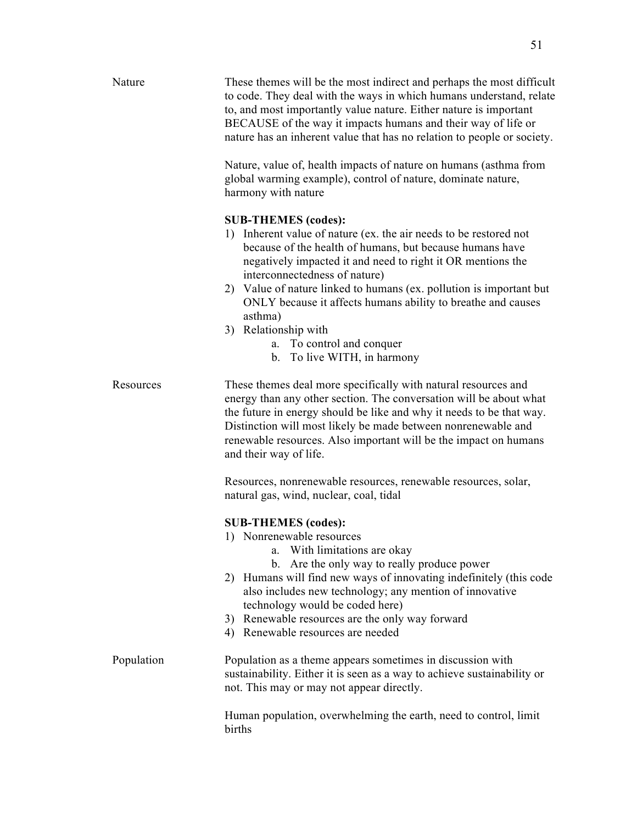| Nature     | These themes will be the most indirect and perhaps the most difficult<br>to code. They deal with the ways in which humans understand, relate<br>to, and most importantly value nature. Either nature is important<br>BECAUSE of the way it impacts humans and their way of life or<br>nature has an inherent value that has no relation to people or society.                                                                                                                                        |
|------------|------------------------------------------------------------------------------------------------------------------------------------------------------------------------------------------------------------------------------------------------------------------------------------------------------------------------------------------------------------------------------------------------------------------------------------------------------------------------------------------------------|
|            | Nature, value of, health impacts of nature on humans (asthma from<br>global warming example), control of nature, dominate nature,<br>harmony with nature                                                                                                                                                                                                                                                                                                                                             |
|            | <b>SUB-THEMES</b> (codes):<br>1) Inherent value of nature (ex. the air needs to be restored not<br>because of the health of humans, but because humans have<br>negatively impacted it and need to right it OR mentions the<br>interconnectedness of nature)<br>2) Value of nature linked to humans (ex. pollution is important but<br>ONLY because it affects humans ability to breathe and causes<br>asthma)<br>3) Relationship with<br>a. To control and conquer<br>To live WITH, in harmony<br>b. |
| Resources  | These themes deal more specifically with natural resources and<br>energy than any other section. The conversation will be about what<br>the future in energy should be like and why it needs to be that way.<br>Distinction will most likely be made between nonrenewable and<br>renewable resources. Also important will be the impact on humans<br>and their way of life.                                                                                                                          |
|            | Resources, nonrenewable resources, renewable resources, solar,<br>natural gas, wind, nuclear, coal, tidal                                                                                                                                                                                                                                                                                                                                                                                            |
|            | <b>SUB-THEMES</b> (codes):<br>1) Nonrenewable resources<br>a. With limitations are okay<br>b. Are the only way to really produce power<br>2) Humans will find new ways of innovating indefinitely (this code<br>also includes new technology; any mention of innovative<br>technology would be coded here)<br>3) Renewable resources are the only way forward<br>4) Renewable resources are needed                                                                                                   |
| Population | Population as a theme appears sometimes in discussion with<br>sustainability. Either it is seen as a way to achieve sustainability or<br>not. This may or may not appear directly.                                                                                                                                                                                                                                                                                                                   |
|            | Human population, overwhelming the earth, need to control, limit<br>births                                                                                                                                                                                                                                                                                                                                                                                                                           |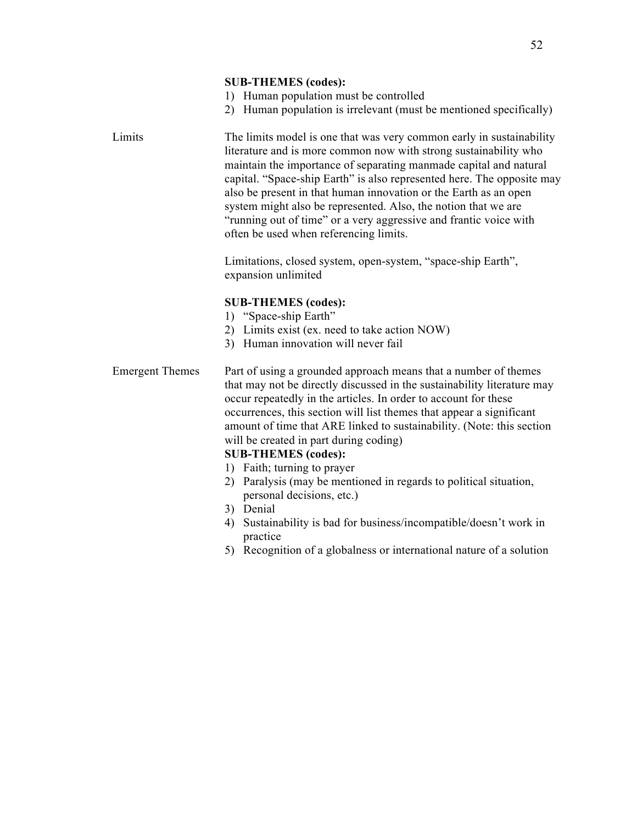#### **SUB-THEMES (codes):**

- 1) Human population must be controlled
- 2) Human population is irrelevant (must be mentioned specifically)

| Limits | The limits model is one that was very common early in sustainability   |
|--------|------------------------------------------------------------------------|
|        | literature and is more common now with strong sustainability who       |
|        | maintain the importance of separating manmade capital and natural      |
|        | capital. "Space-ship Earth" is also represented here. The opposite may |
|        | also be present in that human innovation or the Earth as an open       |
|        | system might also be represented. Also, the notion that we are         |
|        | "running out of time" or a very aggressive and frantic voice with      |
|        | often be used when referencing limits.                                 |

Limitations, closed system, open-system, "space-ship Earth", expansion unlimited

# **SUB-THEMES (codes):**

- 1) "Space-ship Earth"
- 2) Limits exist (ex. need to take action NOW)
- 3) Human innovation will never fail

# Emergent Themes Part of using a grounded approach means that a number of themes that may not be directly discussed in the sustainability literature may occur repeatedly in the articles. In order to account for these occurrences, this section will list themes that appear a significant amount of time that ARE linked to sustainability. (Note: this section will be created in part during coding)

# **SUB-THEMES (codes):**

- 1) Faith; turning to prayer
- 2) Paralysis (may be mentioned in regards to political situation, personal decisions, etc.)
- 3) Denial
- 4) Sustainability is bad for business/incompatible/doesn't work in practice
- 5) Recognition of a globalness or international nature of a solution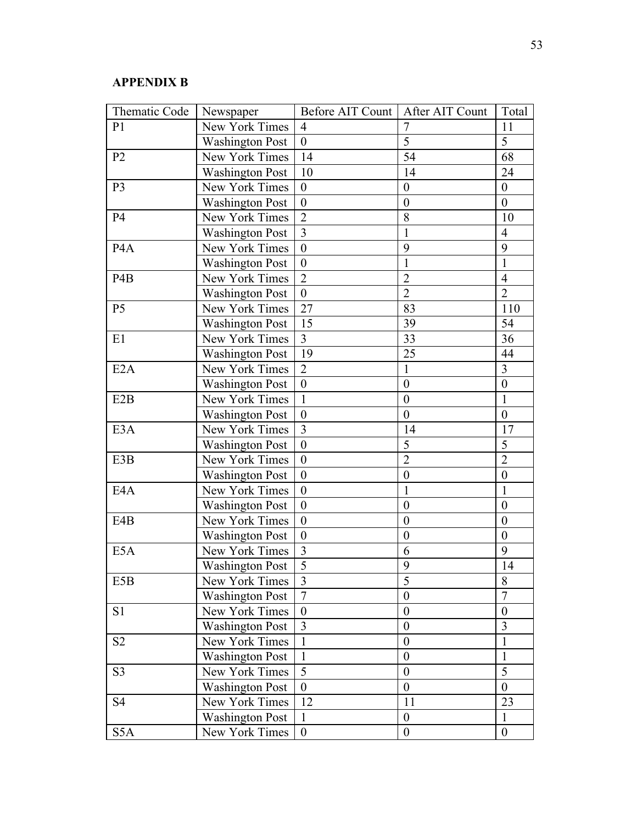# **APPENDIX B**

| Thematic Code    | Newspaper              | Before AIT Count | After AIT Count  | Total            |
|------------------|------------------------|------------------|------------------|------------------|
| P <sub>1</sub>   | New York Times         | $\overline{4}$   | $\overline{7}$   | 11               |
|                  | <b>Washington Post</b> | $\mathbf{0}$     | 5                | 5                |
| P <sub>2</sub>   | New York Times         | 14               | 54               | 68               |
|                  | <b>Washington Post</b> | 10               | 14               | 24               |
| P <sub>3</sub>   | New York Times         | $\boldsymbol{0}$ | $\boldsymbol{0}$ | $\boldsymbol{0}$ |
|                  | <b>Washington Post</b> | $\boldsymbol{0}$ | $\boldsymbol{0}$ | $\mathbf{0}$     |
| <b>P4</b>        | New York Times         | $\overline{2}$   | 8                | 10               |
|                  | <b>Washington Post</b> | $\overline{3}$   | $\mathbf{1}$     | $\overline{4}$   |
| P <sub>4</sub> A | New York Times         | $\mathbf{0}$     | 9                | 9                |
|                  | <b>Washington Post</b> | $\boldsymbol{0}$ | 1                | 1                |
| P <sub>4</sub> B | New York Times         | $\overline{2}$   | $\overline{2}$   | $\overline{4}$   |
|                  | <b>Washington Post</b> | $\boldsymbol{0}$ | $\overline{2}$   | $\overline{2}$   |
| P <sub>5</sub>   | New York Times         | 27               | 83               | 110              |
|                  | <b>Washington Post</b> | 15               | 39               | 54               |
| E1               | New York Times         | $\overline{3}$   | 33               | 36               |
|                  | <b>Washington Post</b> | 19               | 25               | 44               |
| E2A              | New York Times         | $\overline{2}$   | $\mathbf{1}$     | 3                |
|                  | <b>Washington Post</b> | $\overline{0}$   | $\mathbf{0}$     | $\boldsymbol{0}$ |
| E2B              | New York Times         | $\mathbf{1}$     | $\boldsymbol{0}$ | $\mathbf{1}$     |
|                  | <b>Washington Post</b> | $\boldsymbol{0}$ | $\boldsymbol{0}$ | $\boldsymbol{0}$ |
| E <sub>3</sub> A | New York Times         | $\overline{3}$   | 14               | 17               |
|                  | <b>Washington Post</b> | $\boldsymbol{0}$ | 5                | 5                |
| E3B              | New York Times         | $\boldsymbol{0}$ | $\overline{2}$   | $\overline{2}$   |
|                  | <b>Washington Post</b> | $\boldsymbol{0}$ | $\boldsymbol{0}$ | $\boldsymbol{0}$ |
| E4A              | New York Times         | $\boldsymbol{0}$ | $\mathbf{1}$     | 1                |
|                  | <b>Washington Post</b> | $\boldsymbol{0}$ | $\boldsymbol{0}$ | $\boldsymbol{0}$ |
| E4B              | New York Times         | $\boldsymbol{0}$ | $\boldsymbol{0}$ | $\boldsymbol{0}$ |
|                  | <b>Washington Post</b> | $\boldsymbol{0}$ | $\boldsymbol{0}$ | $\boldsymbol{0}$ |
| E5A              | New York Times         | 3                | 6                | 9                |
|                  | Washington Post        | $\overline{5}$   | 9                | 14               |
| E5B              | New York Times         | 3                | 5                | 8                |
|                  | <b>Washington Post</b> | $\overline{7}$   | $\boldsymbol{0}$ | 7                |
| S1               | New York Times         | $\boldsymbol{0}$ | $\boldsymbol{0}$ | $\boldsymbol{0}$ |
|                  | <b>Washington Post</b> | 3                | $\boldsymbol{0}$ | 3                |
| S <sub>2</sub>   | New York Times         | $\mathbf{1}$     | $\boldsymbol{0}$ | $\mathbf{1}$     |
|                  | <b>Washington Post</b> | 1                | $\boldsymbol{0}$ | 1                |
| S <sub>3</sub>   | New York Times         | 5                | $\boldsymbol{0}$ | 5                |
|                  | <b>Washington Post</b> | $\boldsymbol{0}$ | $\boldsymbol{0}$ | $\boldsymbol{0}$ |
| S4               | New York Times         | 12               | 11               | 23               |
|                  | <b>Washington Post</b> | 1                | $\boldsymbol{0}$ | $\mathbf{1}$     |
| S5A              | New York Times         | $\boldsymbol{0}$ | $\boldsymbol{0}$ | $\boldsymbol{0}$ |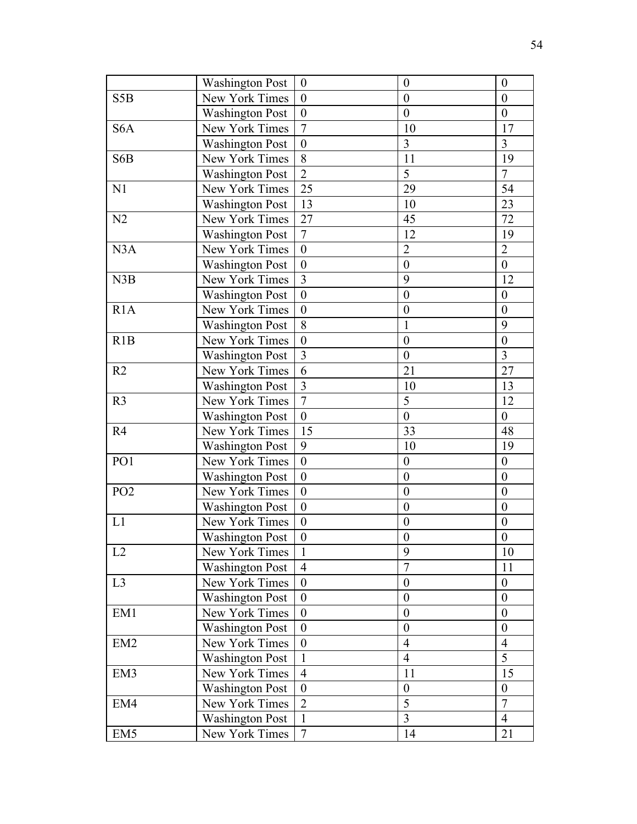|                  | <b>Washington Post</b> | $\boldsymbol{0}$ | $\boldsymbol{0}$ | $\boldsymbol{0}$ |
|------------------|------------------------|------------------|------------------|------------------|
| S <sub>5</sub> B | New York Times         | $\boldsymbol{0}$ | $\boldsymbol{0}$ | $\overline{0}$   |
|                  | <b>Washington Post</b> | $\boldsymbol{0}$ | $\boldsymbol{0}$ | $\boldsymbol{0}$ |
| S <sub>6</sub> A | New York Times         | $\overline{7}$   | 10               | 17               |
|                  | <b>Washington Post</b> | $\boldsymbol{0}$ | 3                | 3                |
| S6B              | New York Times         | 8                | 11               | 19               |
|                  | <b>Washington Post</b> | $\overline{2}$   | 5                | $\overline{7}$   |
| N <sub>1</sub>   | New York Times         | 25               | 29               | 54               |
|                  | <b>Washington Post</b> | 13               | 10               | 23               |
| N2               | New York Times         | 27               | 45               | 72               |
|                  | <b>Washington Post</b> | $\overline{7}$   | 12               | 19               |
| N3A              | New York Times         | $\boldsymbol{0}$ | $\overline{2}$   | $\overline{c}$   |
|                  | <b>Washington Post</b> | $\boldsymbol{0}$ | $\boldsymbol{0}$ | $\boldsymbol{0}$ |
| N3B              | New York Times         | $\overline{3}$   | 9                | 12               |
|                  | <b>Washington Post</b> | $\boldsymbol{0}$ | $\boldsymbol{0}$ | $\boldsymbol{0}$ |
| R1A              | New York Times         | $\boldsymbol{0}$ | $\boldsymbol{0}$ | $\boldsymbol{0}$ |
|                  | <b>Washington Post</b> | 8                | $\mathbf{1}$     | 9                |
| R1B              | New York Times         | $\boldsymbol{0}$ | $\boldsymbol{0}$ | $\boldsymbol{0}$ |
|                  | <b>Washington Post</b> | $\overline{3}$   | $\mathbf{0}$     | 3                |
| R <sub>2</sub>   | New York Times         | 6                | 21               | 27               |
|                  | <b>Washington Post</b> | $\overline{3}$   | 10               | 13               |
| R <sub>3</sub>   | New York Times         | $\overline{7}$   | 5                | 12               |
|                  | <b>Washington Post</b> | $\boldsymbol{0}$ | $\boldsymbol{0}$ | $\boldsymbol{0}$ |
| R4               | New York Times         | 15               | 33               | 48               |
|                  | <b>Washington Post</b> | 9                | 10               | 19               |
| PO1              | New York Times         | $\mathbf{0}$     | $\boldsymbol{0}$ | $\boldsymbol{0}$ |
|                  | <b>Washington Post</b> | $\boldsymbol{0}$ | $\boldsymbol{0}$ | $\boldsymbol{0}$ |
| PO <sub>2</sub>  | New York Times         | $\boldsymbol{0}$ | $\mathbf{0}$     | $\boldsymbol{0}$ |
|                  | <b>Washington Post</b> | $\boldsymbol{0}$ | $\boldsymbol{0}$ | $\boldsymbol{0}$ |
| L1               | New York Times         | $\boldsymbol{0}$ | $\boldsymbol{0}$ | $\boldsymbol{0}$ |
|                  | <b>Washington Post</b> | $\boldsymbol{0}$ | $\boldsymbol{0}$ | $\boldsymbol{0}$ |
| L2               | New York Times         | $\mathbf{1}$     | 9                | 10               |
|                  | <b>Washington Post</b> | $\overline{4}$   | $\overline{7}$   | 11               |
| L <sub>3</sub>   | New York Times         | $\boldsymbol{0}$ | $\boldsymbol{0}$ | $\boldsymbol{0}$ |
|                  | <b>Washington Post</b> | $\boldsymbol{0}$ | $\overline{0}$   | $\overline{0}$   |
| EM1              | New York Times         | $\boldsymbol{0}$ | $\boldsymbol{0}$ | $\boldsymbol{0}$ |
|                  | <b>Washington Post</b> | $\boldsymbol{0}$ | $\boldsymbol{0}$ | $\boldsymbol{0}$ |
| EM <sub>2</sub>  | New York Times         | $\boldsymbol{0}$ | $\overline{4}$   | $\overline{4}$   |
|                  | <b>Washington Post</b> | $\mathbf{1}$     | $\overline{4}$   | 5                |
| EM3              | New York Times         | $\overline{4}$   | 11               | 15               |
|                  | <b>Washington Post</b> | $\boldsymbol{0}$ | $\boldsymbol{0}$ | $\boldsymbol{0}$ |
| EM4              | New York Times         | $\overline{2}$   | 5                | $\overline{7}$   |
|                  | <b>Washington Post</b> | $\mathbf{1}$     | 3                | $\overline{4}$   |
| EM <sub>5</sub>  | New York Times         | $\overline{7}$   | 14               | 21               |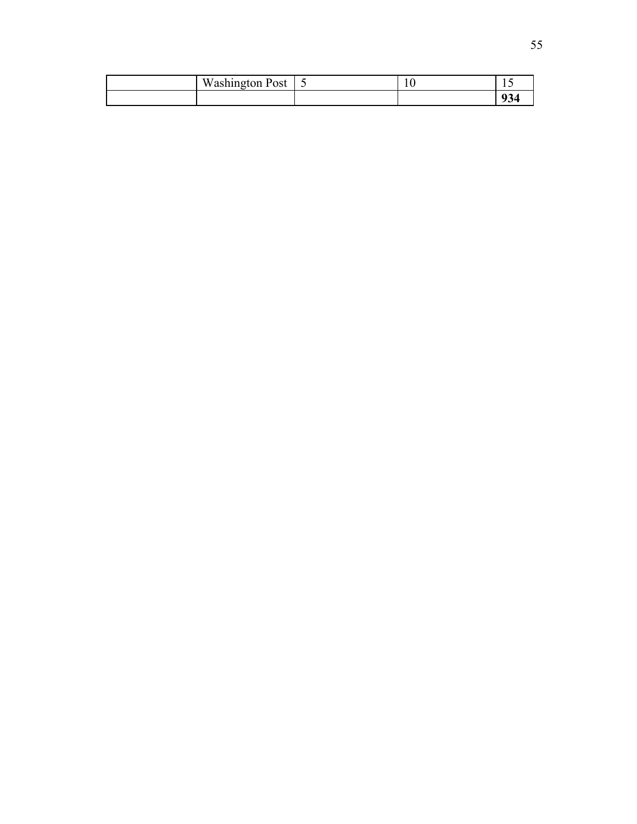| Washington Post | ັ | 1 Ο | . .                 |
|-----------------|---|-----|---------------------|
|                 |   |     | $\mathbf{A}$<br>דט∕ |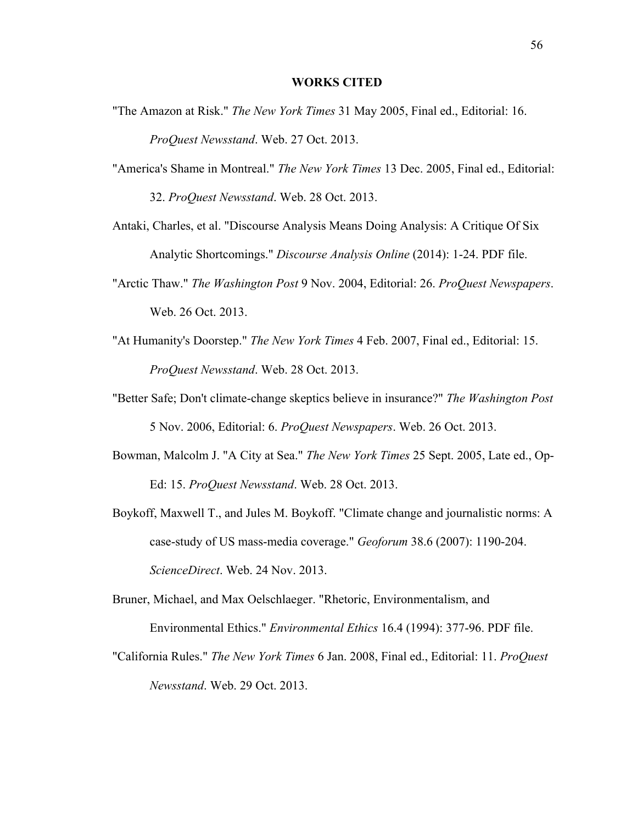#### **WORKS CITED**

- "The Amazon at Risk." *The New York Times* 31 May 2005, Final ed., Editorial: 16. *ProQuest Newsstand*. Web. 27 Oct. 2013.
- "America's Shame in Montreal." *The New York Times* 13 Dec. 2005, Final ed., Editorial: 32. *ProQuest Newsstand*. Web. 28 Oct. 2013.
- Antaki, Charles, et al. "Discourse Analysis Means Doing Analysis: A Critique Of Six Analytic Shortcomings." *Discourse Analysis Online* (2014): 1-24. PDF file.
- "Arctic Thaw." *The Washington Post* 9 Nov. 2004, Editorial: 26. *ProQuest Newspapers*. Web. 26 Oct. 2013.
- "At Humanity's Doorstep." *The New York Times* 4 Feb. 2007, Final ed., Editorial: 15. *ProQuest Newsstand*. Web. 28 Oct. 2013.
- "Better Safe; Don't climate-change skeptics believe in insurance?" *The Washington Post* 5 Nov. 2006, Editorial: 6. *ProQuest Newspapers*. Web. 26 Oct. 2013.
- Bowman, Malcolm J. "A City at Sea." *The New York Times* 25 Sept. 2005, Late ed., Op-Ed: 15. *ProQuest Newsstand*. Web. 28 Oct. 2013.
- Boykoff, Maxwell T., and Jules M. Boykoff. "Climate change and journalistic norms: A case-study of US mass-media coverage." *Geoforum* 38.6 (2007): 1190-204. *ScienceDirect*. Web. 24 Nov. 2013.
- Bruner, Michael, and Max Oelschlaeger. "Rhetoric, Environmentalism, and Environmental Ethics." *Environmental Ethics* 16.4 (1994): 377-96. PDF file.
- "California Rules." *The New York Times* 6 Jan. 2008, Final ed., Editorial: 11. *ProQuest Newsstand*. Web. 29 Oct. 2013.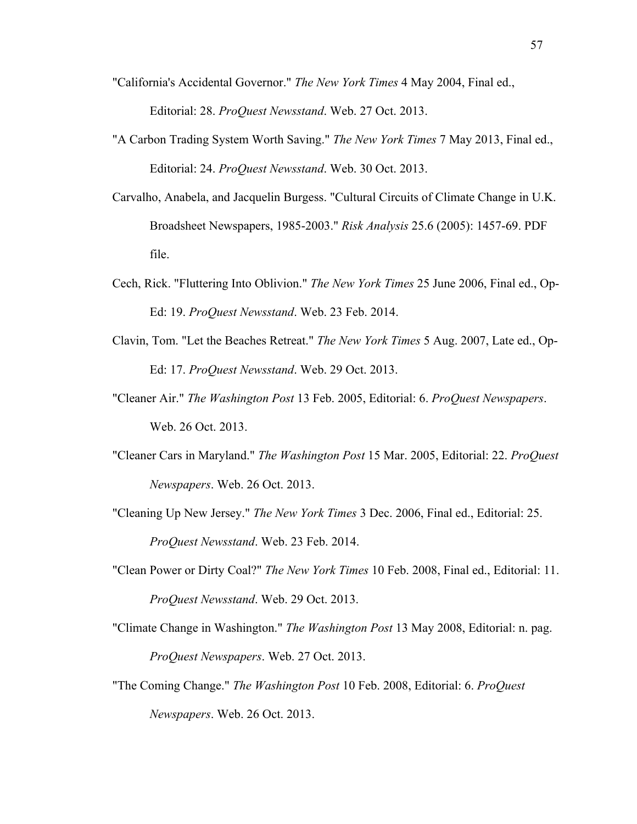- "California's Accidental Governor." *The New York Times* 4 May 2004, Final ed., Editorial: 28. *ProQuest Newsstand*. Web. 27 Oct. 2013.
- "A Carbon Trading System Worth Saving." *The New York Times* 7 May 2013, Final ed., Editorial: 24. *ProQuest Newsstand*. Web. 30 Oct. 2013.
- Carvalho, Anabela, and Jacquelin Burgess. "Cultural Circuits of Climate Change in U.K. Broadsheet Newspapers, 1985-2003." *Risk Analysis* 25.6 (2005): 1457-69. PDF file.
- Cech, Rick. "Fluttering Into Oblivion." *The New York Times* 25 June 2006, Final ed., Op-Ed: 19. *ProQuest Newsstand*. Web. 23 Feb. 2014.
- Clavin, Tom. "Let the Beaches Retreat." *The New York Times* 5 Aug. 2007, Late ed., Op-Ed: 17. *ProQuest Newsstand*. Web. 29 Oct. 2013.
- "Cleaner Air." *The Washington Post* 13 Feb. 2005, Editorial: 6. *ProQuest Newspapers*. Web. 26 Oct. 2013.
- "Cleaner Cars in Maryland." *The Washington Post* 15 Mar. 2005, Editorial: 22. *ProQuest Newspapers*. Web. 26 Oct. 2013.
- "Cleaning Up New Jersey." *The New York Times* 3 Dec. 2006, Final ed., Editorial: 25. *ProQuest Newsstand*. Web. 23 Feb. 2014.
- "Clean Power or Dirty Coal?" *The New York Times* 10 Feb. 2008, Final ed., Editorial: 11. *ProQuest Newsstand*. Web. 29 Oct. 2013.
- "Climate Change in Washington." *The Washington Post* 13 May 2008, Editorial: n. pag. *ProQuest Newspapers*. Web. 27 Oct. 2013.
- "The Coming Change." *The Washington Post* 10 Feb. 2008, Editorial: 6. *ProQuest Newspapers*. Web. 26 Oct. 2013.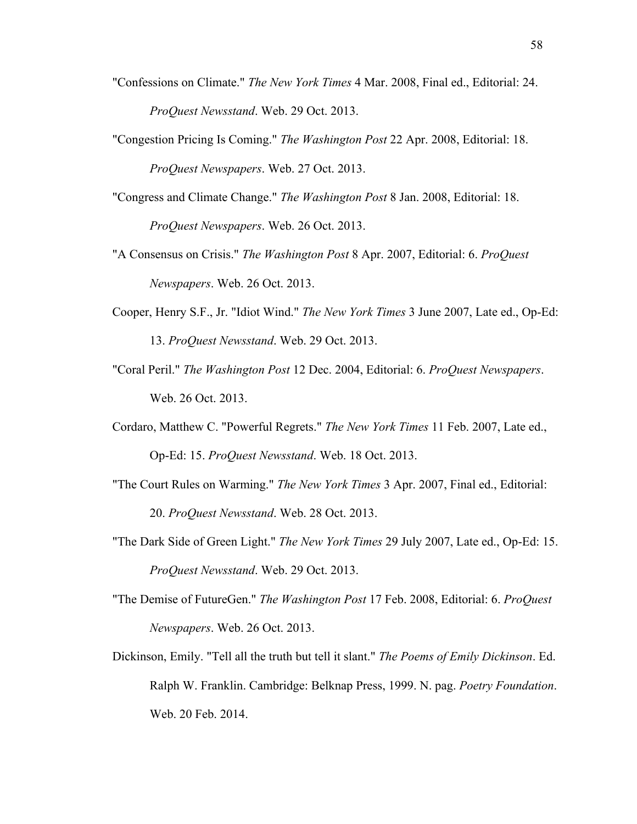- "Confessions on Climate." *The New York Times* 4 Mar. 2008, Final ed., Editorial: 24. *ProQuest Newsstand*. Web. 29 Oct. 2013.
- "Congestion Pricing Is Coming." *The Washington Post* 22 Apr. 2008, Editorial: 18. *ProQuest Newspapers*. Web. 27 Oct. 2013.
- "Congress and Climate Change." *The Washington Post* 8 Jan. 2008, Editorial: 18. *ProQuest Newspapers*. Web. 26 Oct. 2013.
- "A Consensus on Crisis." *The Washington Post* 8 Apr. 2007, Editorial: 6. *ProQuest Newspapers*. Web. 26 Oct. 2013.
- Cooper, Henry S.F., Jr. "Idiot Wind." *The New York Times* 3 June 2007, Late ed., Op-Ed: 13. *ProQuest Newsstand*. Web. 29 Oct. 2013.
- "Coral Peril." *The Washington Post* 12 Dec. 2004, Editorial: 6. *ProQuest Newspapers*. Web. 26 Oct. 2013.
- Cordaro, Matthew C. "Powerful Regrets." *The New York Times* 11 Feb. 2007, Late ed., Op-Ed: 15. *ProQuest Newsstand*. Web. 18 Oct. 2013.
- "The Court Rules on Warming." *The New York Times* 3 Apr. 2007, Final ed., Editorial: 20. *ProQuest Newsstand*. Web. 28 Oct. 2013.
- "The Dark Side of Green Light." *The New York Times* 29 July 2007, Late ed., Op-Ed: 15. *ProQuest Newsstand*. Web. 29 Oct. 2013.
- "The Demise of FutureGen." *The Washington Post* 17 Feb. 2008, Editorial: 6. *ProQuest Newspapers*. Web. 26 Oct. 2013.
- Dickinson, Emily. "Tell all the truth but tell it slant." *The Poems of Emily Dickinson*. Ed. Ralph W. Franklin. Cambridge: Belknap Press, 1999. N. pag. *Poetry Foundation*. Web. 20 Feb. 2014.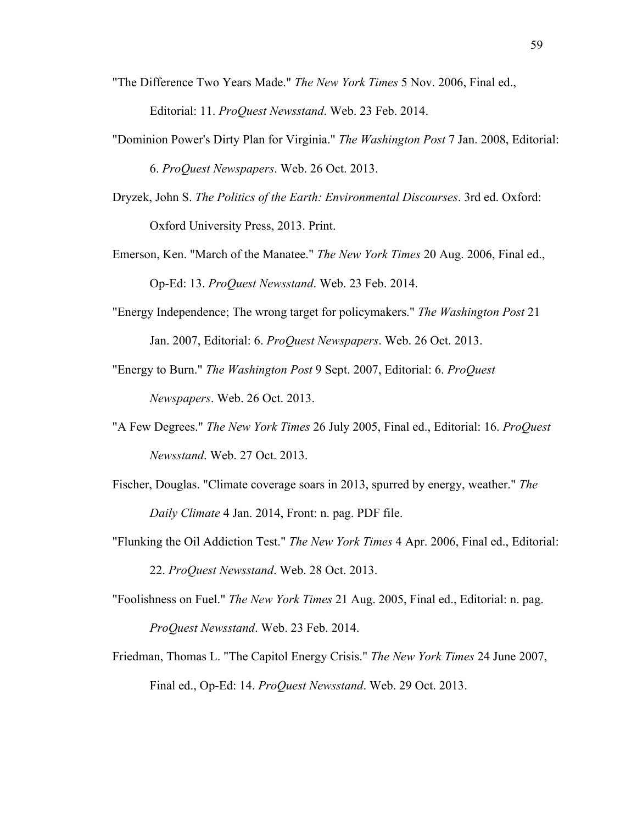- "The Difference Two Years Made." *The New York Times* 5 Nov. 2006, Final ed., Editorial: 11. *ProQuest Newsstand*. Web. 23 Feb. 2014.
- "Dominion Power's Dirty Plan for Virginia." *The Washington Post* 7 Jan. 2008, Editorial: 6. *ProQuest Newspapers*. Web. 26 Oct. 2013.
- Dryzek, John S. *The Politics of the Earth: Environmental Discourses*. 3rd ed. Oxford: Oxford University Press, 2013. Print.
- Emerson, Ken. "March of the Manatee." *The New York Times* 20 Aug. 2006, Final ed., Op-Ed: 13. *ProQuest Newsstand*. Web. 23 Feb. 2014.
- "Energy Independence; The wrong target for policymakers." *The Washington Post* 21 Jan. 2007, Editorial: 6. *ProQuest Newspapers*. Web. 26 Oct. 2013.
- "Energy to Burn." *The Washington Post* 9 Sept. 2007, Editorial: 6. *ProQuest Newspapers*. Web. 26 Oct. 2013.
- "A Few Degrees." *The New York Times* 26 July 2005, Final ed., Editorial: 16. *ProQuest Newsstand*. Web. 27 Oct. 2013.
- Fischer, Douglas. "Climate coverage soars in 2013, spurred by energy, weather." *The Daily Climate* 4 Jan. 2014, Front: n. pag. PDF file.
- "Flunking the Oil Addiction Test." *The New York Times* 4 Apr. 2006, Final ed., Editorial: 22. *ProQuest Newsstand*. Web. 28 Oct. 2013.
- "Foolishness on Fuel." *The New York Times* 21 Aug. 2005, Final ed., Editorial: n. pag. *ProQuest Newsstand*. Web. 23 Feb. 2014.
- Friedman, Thomas L. "The Capitol Energy Crisis." *The New York Times* 24 June 2007, Final ed., Op-Ed: 14. *ProQuest Newsstand*. Web. 29 Oct. 2013.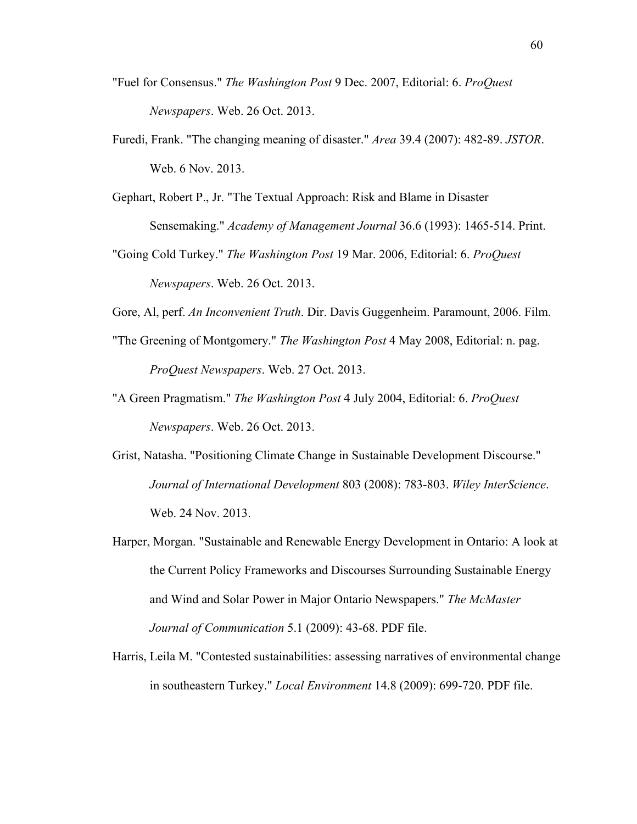- "Fuel for Consensus." *The Washington Post* 9 Dec. 2007, Editorial: 6. *ProQuest Newspapers*. Web. 26 Oct. 2013.
- Furedi, Frank. "The changing meaning of disaster." *Area* 39.4 (2007): 482-89. *JSTOR*. Web. 6 Nov. 2013.
- Gephart, Robert P., Jr. "The Textual Approach: Risk and Blame in Disaster Sensemaking." *Academy of Management Journal* 36.6 (1993): 1465-514. Print.
- "Going Cold Turkey." *The Washington Post* 19 Mar. 2006, Editorial: 6. *ProQuest Newspapers*. Web. 26 Oct. 2013.
- Gore, Al, perf. *An Inconvenient Truth*. Dir. Davis Guggenheim. Paramount, 2006. Film.
- "The Greening of Montgomery." *The Washington Post* 4 May 2008, Editorial: n. pag. *ProQuest Newspapers*. Web. 27 Oct. 2013.
- "A Green Pragmatism." *The Washington Post* 4 July 2004, Editorial: 6. *ProQuest Newspapers*. Web. 26 Oct. 2013.
- Grist, Natasha. "Positioning Climate Change in Sustainable Development Discourse." *Journal of International Development* 803 (2008): 783-803. *Wiley InterScience*. Web. 24 Nov. 2013.
- Harper, Morgan. "Sustainable and Renewable Energy Development in Ontario: A look at the Current Policy Frameworks and Discourses Surrounding Sustainable Energy and Wind and Solar Power in Major Ontario Newspapers." *The McMaster Journal of Communication* 5.1 (2009): 43-68. PDF file.
- Harris, Leila M. "Contested sustainabilities: assessing narratives of environmental change in southeastern Turkey." *Local Environment* 14.8 (2009): 699-720. PDF file.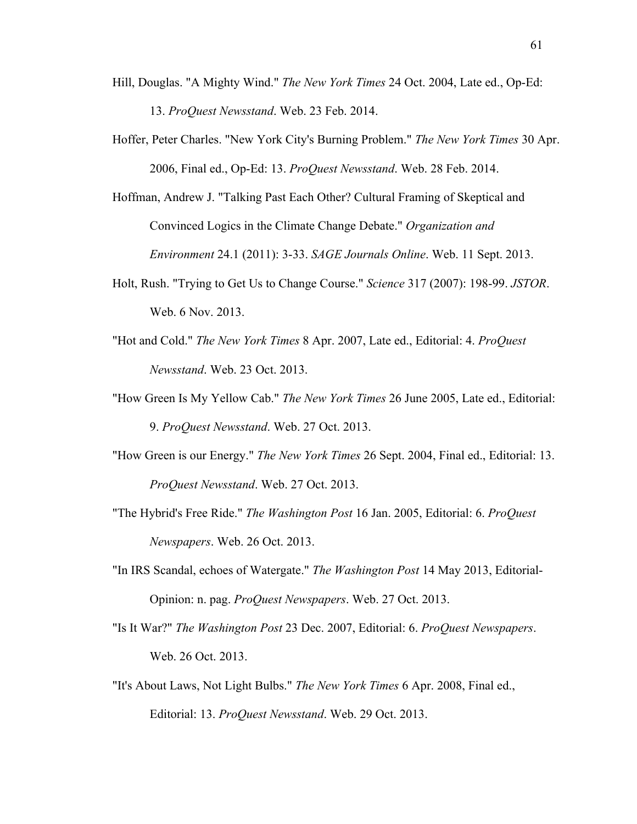- Hill, Douglas. "A Mighty Wind." *The New York Times* 24 Oct. 2004, Late ed., Op-Ed: 13. *ProQuest Newsstand*. Web. 23 Feb. 2014.
- Hoffer, Peter Charles. "New York City's Burning Problem." *The New York Times* 30 Apr. 2006, Final ed., Op-Ed: 13. *ProQuest Newsstand*. Web. 28 Feb. 2014.
- Hoffman, Andrew J. "Talking Past Each Other? Cultural Framing of Skeptical and Convinced Logics in the Climate Change Debate." *Organization and Environment* 24.1 (2011): 3-33. *SAGE Journals Online*. Web. 11 Sept. 2013.
- Holt, Rush. "Trying to Get Us to Change Course." *Science* 317 (2007): 198-99. *JSTOR*. Web. 6 Nov. 2013.
- "Hot and Cold." *The New York Times* 8 Apr. 2007, Late ed., Editorial: 4. *ProQuest Newsstand*. Web. 23 Oct. 2013.
- "How Green Is My Yellow Cab." *The New York Times* 26 June 2005, Late ed., Editorial: 9. *ProQuest Newsstand*. Web. 27 Oct. 2013.
- "How Green is our Energy." *The New York Times* 26 Sept. 2004, Final ed., Editorial: 13. *ProQuest Newsstand*. Web. 27 Oct. 2013.
- "The Hybrid's Free Ride." *The Washington Post* 16 Jan. 2005, Editorial: 6. *ProQuest Newspapers*. Web. 26 Oct. 2013.
- "In IRS Scandal, echoes of Watergate." *The Washington Post* 14 May 2013, Editorial-Opinion: n. pag. *ProQuest Newspapers*. Web. 27 Oct. 2013.
- "Is It War?" *The Washington Post* 23 Dec. 2007, Editorial: 6. *ProQuest Newspapers*. Web. 26 Oct. 2013.
- "It's About Laws, Not Light Bulbs." *The New York Times* 6 Apr. 2008, Final ed., Editorial: 13. *ProQuest Newsstand*. Web. 29 Oct. 2013.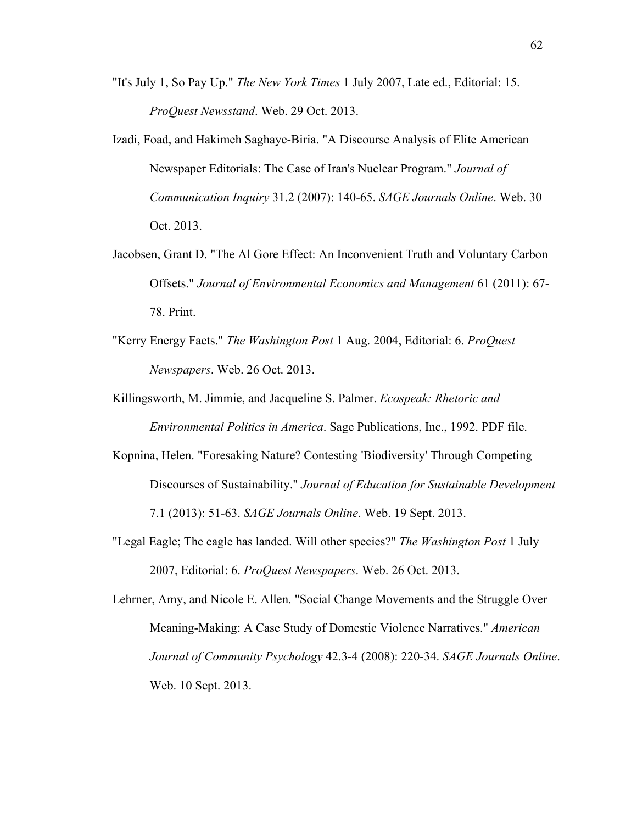- "It's July 1, So Pay Up." *The New York Times* 1 July 2007, Late ed., Editorial: 15. *ProQuest Newsstand*. Web. 29 Oct. 2013.
- Izadi, Foad, and Hakimeh Saghaye-Biria. "A Discourse Analysis of Elite American Newspaper Editorials: The Case of Iran's Nuclear Program." *Journal of Communication Inquiry* 31.2 (2007): 140-65. *SAGE Journals Online*. Web. 30 Oct. 2013.
- Jacobsen, Grant D. "The Al Gore Effect: An Inconvenient Truth and Voluntary Carbon Offsets." *Journal of Environmental Economics and Management* 61 (2011): 67- 78. Print.
- "Kerry Energy Facts." *The Washington Post* 1 Aug. 2004, Editorial: 6. *ProQuest Newspapers*. Web. 26 Oct. 2013.
- Killingsworth, M. Jimmie, and Jacqueline S. Palmer. *Ecospeak: Rhetoric and Environmental Politics in America*. Sage Publications, Inc., 1992. PDF file.
- Kopnina, Helen. "Foresaking Nature? Contesting 'Biodiversity' Through Competing Discourses of Sustainability." *Journal of Education for Sustainable Development* 7.1 (2013): 51-63. *SAGE Journals Online*. Web. 19 Sept. 2013.
- "Legal Eagle; The eagle has landed. Will other species?" *The Washington Post* 1 July 2007, Editorial: 6. *ProQuest Newspapers*. Web. 26 Oct. 2013.

Lehrner, Amy, and Nicole E. Allen. "Social Change Movements and the Struggle Over Meaning-Making: A Case Study of Domestic Violence Narratives." *American Journal of Community Psychology* 42.3-4 (2008): 220-34. *SAGE Journals Online*. Web. 10 Sept. 2013.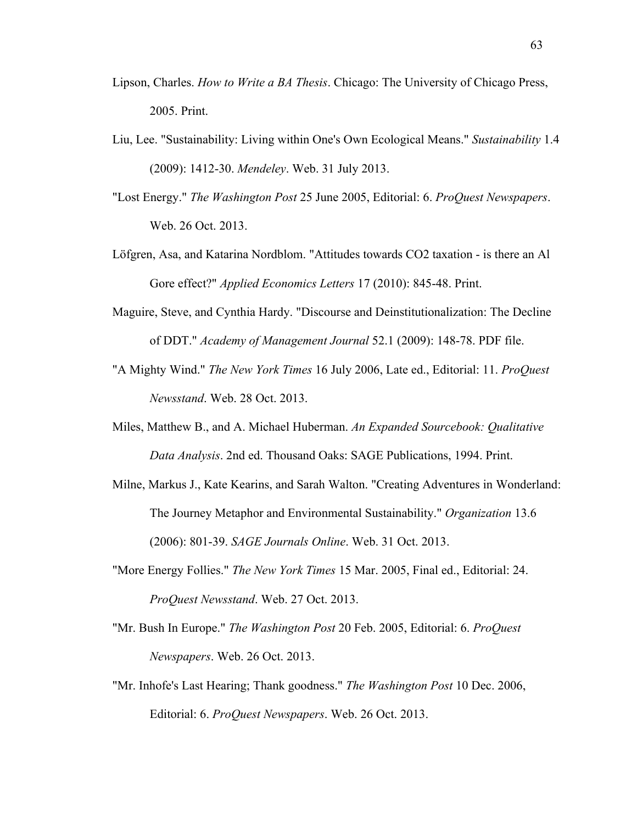- Lipson, Charles. *How to Write a BA Thesis*. Chicago: The University of Chicago Press, 2005. Print.
- Liu, Lee. "Sustainability: Living within One's Own Ecological Means." *Sustainability* 1.4 (2009): 1412-30. *Mendeley*. Web. 31 July 2013.
- "Lost Energy." *The Washington Post* 25 June 2005, Editorial: 6. *ProQuest Newspapers*. Web. 26 Oct. 2013.
- Löfgren, Asa, and Katarina Nordblom. "Attitudes towards CO2 taxation is there an Al Gore effect?" *Applied Economics Letters* 17 (2010): 845-48. Print.
- Maguire, Steve, and Cynthia Hardy. "Discourse and Deinstitutionalization: The Decline of DDT." *Academy of Management Journal* 52.1 (2009): 148-78. PDF file.
- "A Mighty Wind." *The New York Times* 16 July 2006, Late ed., Editorial: 11. *ProQuest Newsstand*. Web. 28 Oct. 2013.
- Miles, Matthew B., and A. Michael Huberman. *An Expanded Sourcebook: Qualitative Data Analysis*. 2nd ed. Thousand Oaks: SAGE Publications, 1994. Print.
- Milne, Markus J., Kate Kearins, and Sarah Walton. "Creating Adventures in Wonderland: The Journey Metaphor and Environmental Sustainability." *Organization* 13.6 (2006): 801-39. *SAGE Journals Online*. Web. 31 Oct. 2013.
- "More Energy Follies." *The New York Times* 15 Mar. 2005, Final ed., Editorial: 24. *ProQuest Newsstand*. Web. 27 Oct. 2013.
- "Mr. Bush In Europe." *The Washington Post* 20 Feb. 2005, Editorial: 6. *ProQuest Newspapers*. Web. 26 Oct. 2013.
- "Mr. Inhofe's Last Hearing; Thank goodness." *The Washington Post* 10 Dec. 2006, Editorial: 6. *ProQuest Newspapers*. Web. 26 Oct. 2013.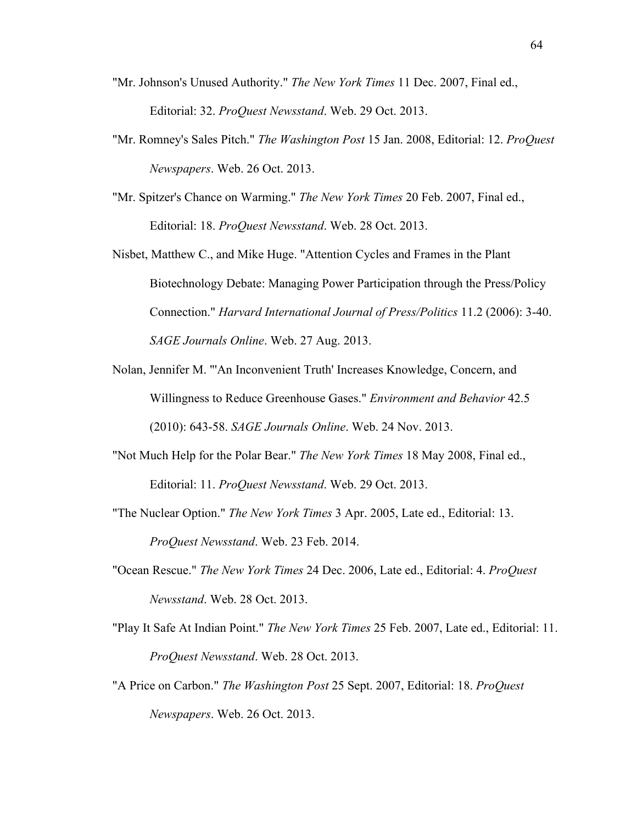- "Mr. Johnson's Unused Authority." *The New York Times* 11 Dec. 2007, Final ed., Editorial: 32. *ProQuest Newsstand*. Web. 29 Oct. 2013.
- "Mr. Romney's Sales Pitch." *The Washington Post* 15 Jan. 2008, Editorial: 12. *ProQuest Newspapers*. Web. 26 Oct. 2013.
- "Mr. Spitzer's Chance on Warming." *The New York Times* 20 Feb. 2007, Final ed., Editorial: 18. *ProQuest Newsstand*. Web. 28 Oct. 2013.

Nisbet, Matthew C., and Mike Huge. "Attention Cycles and Frames in the Plant Biotechnology Debate: Managing Power Participation through the Press/Policy Connection." *Harvard International Journal of Press/Politics* 11.2 (2006): 3-40. *SAGE Journals Online*. Web. 27 Aug. 2013.

- Nolan, Jennifer M. "'An Inconvenient Truth' Increases Knowledge, Concern, and Willingness to Reduce Greenhouse Gases." *Environment and Behavior* 42.5 (2010): 643-58. *SAGE Journals Online*. Web. 24 Nov. 2013.
- "Not Much Help for the Polar Bear." *The New York Times* 18 May 2008, Final ed., Editorial: 11. *ProQuest Newsstand*. Web. 29 Oct. 2013.
- "The Nuclear Option." *The New York Times* 3 Apr. 2005, Late ed., Editorial: 13. *ProQuest Newsstand*. Web. 23 Feb. 2014.
- "Ocean Rescue." *The New York Times* 24 Dec. 2006, Late ed., Editorial: 4. *ProQuest Newsstand*. Web. 28 Oct. 2013.
- "Play It Safe At Indian Point." *The New York Times* 25 Feb. 2007, Late ed., Editorial: 11. *ProQuest Newsstand*. Web. 28 Oct. 2013.
- "A Price on Carbon." *The Washington Post* 25 Sept. 2007, Editorial: 18. *ProQuest Newspapers*. Web. 26 Oct. 2013.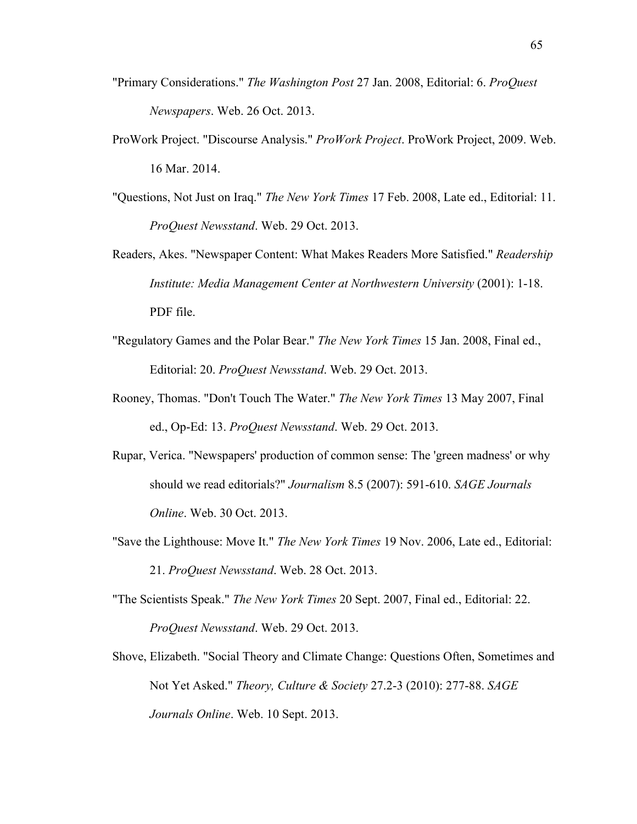- "Primary Considerations." *The Washington Post* 27 Jan. 2008, Editorial: 6. *ProQuest Newspapers*. Web. 26 Oct. 2013.
- ProWork Project. "Discourse Analysis." *ProWork Project*. ProWork Project, 2009. Web. 16 Mar. 2014.
- "Questions, Not Just on Iraq." *The New York Times* 17 Feb. 2008, Late ed., Editorial: 11. *ProQuest Newsstand*. Web. 29 Oct. 2013.
- Readers, Akes. "Newspaper Content: What Makes Readers More Satisfied." *Readership Institute: Media Management Center at Northwestern University* (2001): 1-18. PDF file.
- "Regulatory Games and the Polar Bear." *The New York Times* 15 Jan. 2008, Final ed., Editorial: 20. *ProQuest Newsstand*. Web. 29 Oct. 2013.
- Rooney, Thomas. "Don't Touch The Water." *The New York Times* 13 May 2007, Final ed., Op-Ed: 13. *ProQuest Newsstand*. Web. 29 Oct. 2013.
- Rupar, Verica. "Newspapers' production of common sense: The 'green madness' or why should we read editorials?" *Journalism* 8.5 (2007): 591-610. *SAGE Journals Online*. Web. 30 Oct. 2013.
- "Save the Lighthouse: Move It." *The New York Times* 19 Nov. 2006, Late ed., Editorial: 21. *ProQuest Newsstand*. Web. 28 Oct. 2013.
- "The Scientists Speak." *The New York Times* 20 Sept. 2007, Final ed., Editorial: 22. *ProQuest Newsstand*. Web. 29 Oct. 2013.
- Shove, Elizabeth. "Social Theory and Climate Change: Questions Often, Sometimes and Not Yet Asked." *Theory, Culture & Society* 27.2-3 (2010): 277-88. *SAGE Journals Online*. Web. 10 Sept. 2013.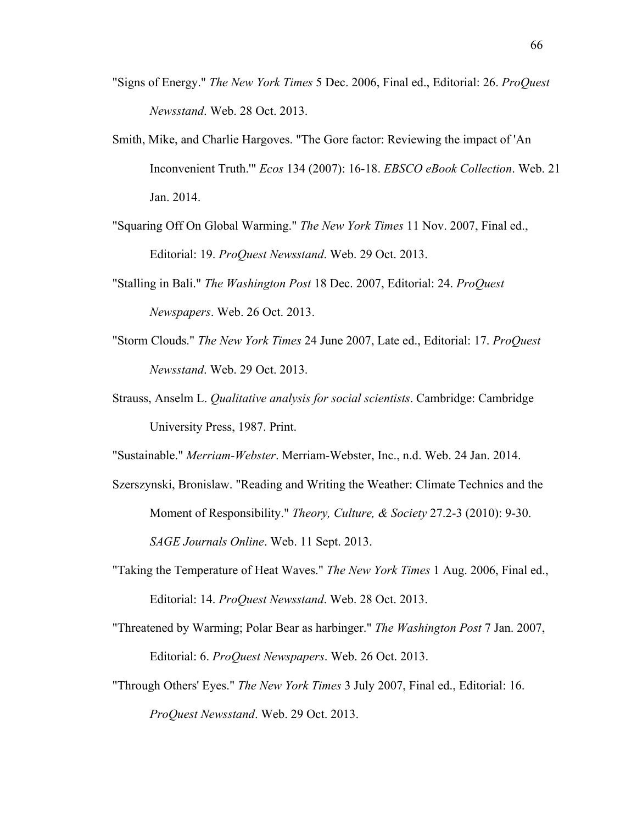- "Signs of Energy." *The New York Times* 5 Dec. 2006, Final ed., Editorial: 26. *ProQuest Newsstand*. Web. 28 Oct. 2013.
- Smith, Mike, and Charlie Hargoves. "The Gore factor: Reviewing the impact of 'An Inconvenient Truth.'" *Ecos* 134 (2007): 16-18. *EBSCO eBook Collection*. Web. 21 Jan. 2014.
- "Squaring Off On Global Warming." *The New York Times* 11 Nov. 2007, Final ed., Editorial: 19. *ProQuest Newsstand*. Web. 29 Oct. 2013.
- "Stalling in Bali." *The Washington Post* 18 Dec. 2007, Editorial: 24. *ProQuest Newspapers*. Web. 26 Oct. 2013.
- "Storm Clouds." *The New York Times* 24 June 2007, Late ed., Editorial: 17. *ProQuest Newsstand*. Web. 29 Oct. 2013.
- Strauss, Anselm L. *Qualitative analysis for social scientists*. Cambridge: Cambridge University Press, 1987. Print.

"Sustainable." *Merriam-Webster*. Merriam-Webster, Inc., n.d. Web. 24 Jan. 2014.

- Szerszynski, Bronislaw. "Reading and Writing the Weather: Climate Technics and the Moment of Responsibility." *Theory, Culture, & Society* 27.2-3 (2010): 9-30. *SAGE Journals Online*. Web. 11 Sept. 2013.
- "Taking the Temperature of Heat Waves." *The New York Times* 1 Aug. 2006, Final ed., Editorial: 14. *ProQuest Newsstand*. Web. 28 Oct. 2013.
- "Threatened by Warming; Polar Bear as harbinger." *The Washington Post* 7 Jan. 2007, Editorial: 6. *ProQuest Newspapers*. Web. 26 Oct. 2013.
- "Through Others' Eyes." *The New York Times* 3 July 2007, Final ed., Editorial: 16. *ProQuest Newsstand*. Web. 29 Oct. 2013.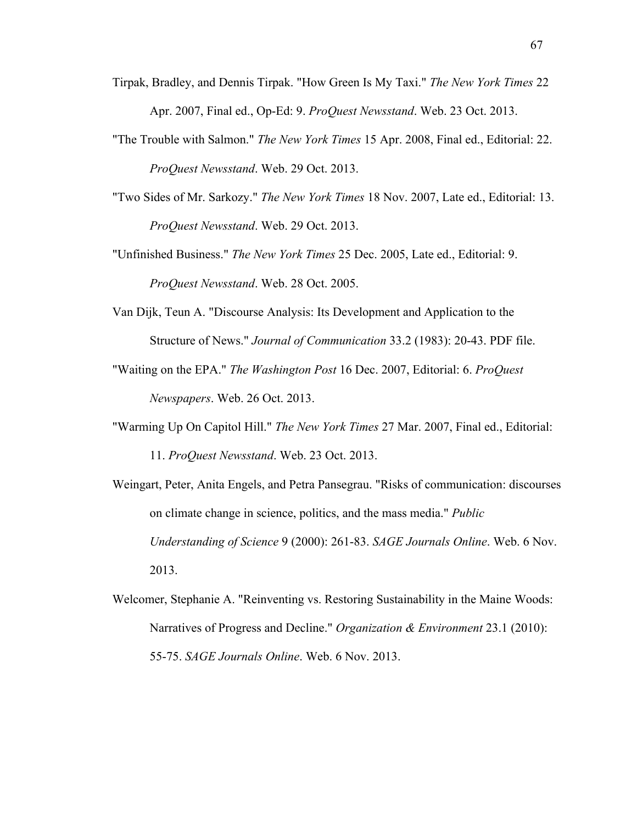- Tirpak, Bradley, and Dennis Tirpak. "How Green Is My Taxi." *The New York Times* 22 Apr. 2007, Final ed., Op-Ed: 9. *ProQuest Newsstand*. Web. 23 Oct. 2013.
- "The Trouble with Salmon." *The New York Times* 15 Apr. 2008, Final ed., Editorial: 22. *ProQuest Newsstand*. Web. 29 Oct. 2013.
- "Two Sides of Mr. Sarkozy." *The New York Times* 18 Nov. 2007, Late ed., Editorial: 13. *ProQuest Newsstand*. Web. 29 Oct. 2013.
- "Unfinished Business." *The New York Times* 25 Dec. 2005, Late ed., Editorial: 9. *ProQuest Newsstand*. Web. 28 Oct. 2005.
- Van Dijk, Teun A. "Discourse Analysis: Its Development and Application to the Structure of News." *Journal of Communication* 33.2 (1983): 20-43. PDF file.
- "Waiting on the EPA." *The Washington Post* 16 Dec. 2007, Editorial: 6. *ProQuest Newspapers*. Web. 26 Oct. 2013.
- "Warming Up On Capitol Hill." *The New York Times* 27 Mar. 2007, Final ed., Editorial: 11. *ProQuest Newsstand*. Web. 23 Oct. 2013.
- Weingart, Peter, Anita Engels, and Petra Pansegrau. "Risks of communication: discourses on climate change in science, politics, and the mass media." *Public Understanding of Science* 9 (2000): 261-83. *SAGE Journals Online*. Web. 6 Nov. 2013.
- Welcomer, Stephanie A. "Reinventing vs. Restoring Sustainability in the Maine Woods: Narratives of Progress and Decline." *Organization & Environment* 23.1 (2010): 55-75. *SAGE Journals Online*. Web. 6 Nov. 2013.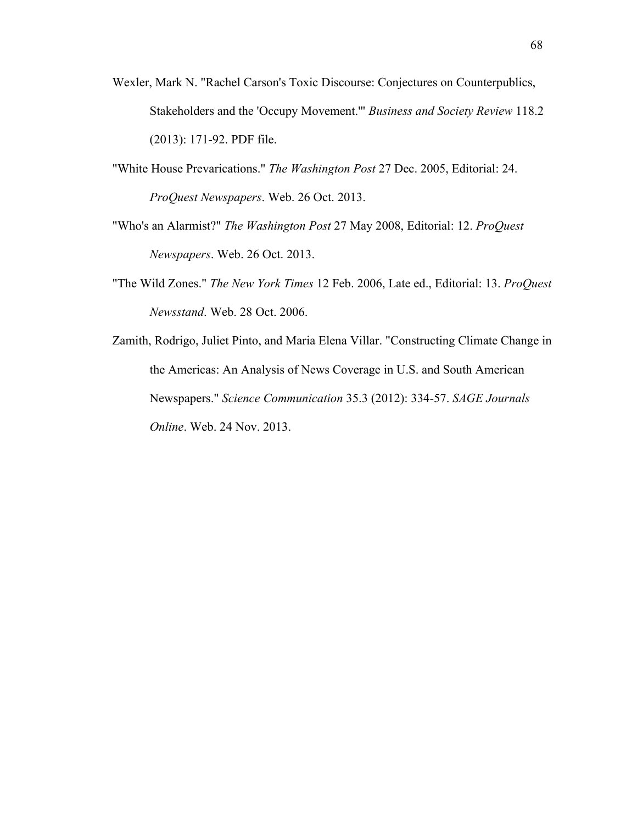- Wexler, Mark N. "Rachel Carson's Toxic Discourse: Conjectures on Counterpublics, Stakeholders and the 'Occupy Movement.'" *Business and Society Review* 118.2 (2013): 171-92. PDF file.
- "White House Prevarications." *The Washington Post* 27 Dec. 2005, Editorial: 24. *ProQuest Newspapers*. Web. 26 Oct. 2013.
- "Who's an Alarmist?" *The Washington Post* 27 May 2008, Editorial: 12. *ProQuest Newspapers*. Web. 26 Oct. 2013.
- "The Wild Zones." *The New York Times* 12 Feb. 2006, Late ed., Editorial: 13. *ProQuest Newsstand*. Web. 28 Oct. 2006.
- Zamith, Rodrigo, Juliet Pinto, and Maria Elena Villar. "Constructing Climate Change in the Americas: An Analysis of News Coverage in U.S. and South American Newspapers." *Science Communication* 35.3 (2012): 334-57. *SAGE Journals Online*. Web. 24 Nov. 2013.